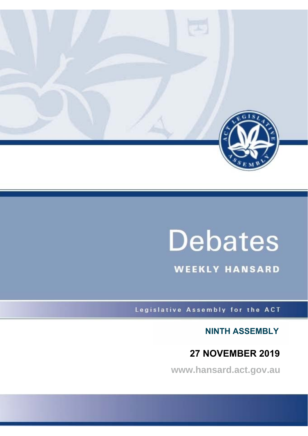

# **Debates**

**WEEKLY HANSARD** 

Legislative Assembly for the ACT

**NINTH ASSEMBLY**

# **27 NOVEMBER 2019**

**www.hansard.act.gov.au**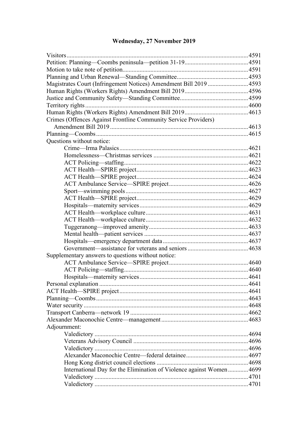# **[Wednesday, 27 November 2019](#page-3-0)**

| Magistrates Court (Infringement Notices) Amendment Bill 2019 4593    |  |
|----------------------------------------------------------------------|--|
|                                                                      |  |
|                                                                      |  |
|                                                                      |  |
|                                                                      |  |
| Crimes (Offences Against Frontline Community Service Providers)      |  |
|                                                                      |  |
|                                                                      |  |
| Questions without notice:                                            |  |
|                                                                      |  |
|                                                                      |  |
|                                                                      |  |
|                                                                      |  |
|                                                                      |  |
|                                                                      |  |
|                                                                      |  |
|                                                                      |  |
|                                                                      |  |
|                                                                      |  |
|                                                                      |  |
|                                                                      |  |
|                                                                      |  |
|                                                                      |  |
|                                                                      |  |
| Supplementary answers to questions without notice:                   |  |
|                                                                      |  |
|                                                                      |  |
|                                                                      |  |
|                                                                      |  |
|                                                                      |  |
|                                                                      |  |
|                                                                      |  |
|                                                                      |  |
|                                                                      |  |
| Adjournment:                                                         |  |
|                                                                      |  |
|                                                                      |  |
|                                                                      |  |
|                                                                      |  |
|                                                                      |  |
| International Day for the Elimination of Violence against Women 4699 |  |
|                                                                      |  |
|                                                                      |  |
|                                                                      |  |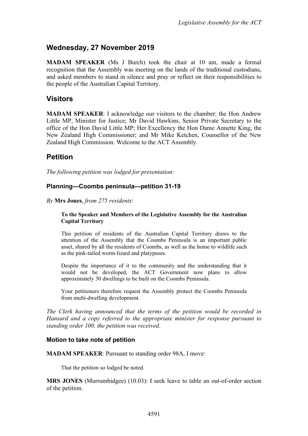# <span id="page-3-0"></span>**Wednesday, 27 November 2019**

**MADAM SPEAKER** (Ms J Burch) took the chair at 10 am, made a formal recognition that the Assembly was meeting on the lands of the traditional custodians, and asked members to stand in silence and pray or reflect on their responsibilities to the people of the Australian Capital Territory.

## <span id="page-3-1"></span>**Visitors**

**MADAM SPEAKER**: I acknowledge our visitors to the chamber: the Hon Andrew Little MP, Minister for Justice; Mr David Hawkins, Senior Private Secretary to the office of the Hon David Little MP; Her Excellency the Hon Dame Annette King, the New Zealand High Commissioner; and Mr Mike Ketchen, Counsellor of the New Zealand High Commission. Welcome to the ACT Assembly.

# <span id="page-3-2"></span>**Petition**

*The following petition was lodged for presentation:*

#### <span id="page-3-3"></span>**Planning—Coombs peninsula—petition 31-19**

*By* **Mrs Jones**, *from 275 residents*:

#### **To the Speaker and Members of the Legislative Assembly for the Australian Capital Territory**

This petition of residents of the Australian Capital Territory draws to the attention of the Assembly that the Coombs Peninsula is an important public asset, shared by all the residents of Coombs, as well as the home to wildlife such as the pink-tailed worm-lizard and platypuses.

Despite the importance of it to the community and the understanding that it would not be developed, the ACT Government now plans to allow approximately 30 dwellings to be built on the Coombs Peninsula.

Your petitioners therefore request the Assembly protect the Coombs Peninsula from multi-dwelling development.

*The Clerk having announced that the terms of the petition would be recorded in Hansard and a copy referred to the appropriate minister for response pursuant to standing order 100, the petition was received*.

#### <span id="page-3-4"></span>**Motion to take note of petition**

**MADAM SPEAKER**: Pursuant to standing order 98A, I move:

That the petition so lodged be noted.

**MRS JONES** (Murrumbidgee) (10.03): I seek leave to table an out-of-order section of the petition.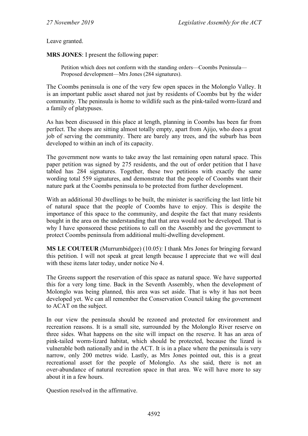Leave granted.

**MRS JONES**: I present the following paper:

Petition which does not conform with the standing orders—Coombs Peninsula— Proposed development—Mrs Jones (284 signatures).

The Coombs peninsula is one of the very few open spaces in the Molonglo Valley. It is an important public asset shared not just by residents of Coombs but by the wider community. The peninsula is home to wildlife such as the pink-tailed worm-lizard and a family of platypuses.

As has been discussed in this place at length, planning in Coombs has been far from perfect. The shops are sitting almost totally empty, apart from Ajijo, who does a great job of serving the community. There are barely any trees, and the suburb has been developed to within an inch of its capacity.

The government now wants to take away the last remaining open natural space. This paper petition was signed by 275 residents, and the out of order petition that I have tabled has 284 signatures. Together, these two petitions with exactly the same wording total 559 signatures, and demonstrate that the people of Coombs want their nature park at the Coombs peninsula to be protected from further development.

With an additional 30 dwellings to be built, the minister is sacrificing the last little bit of natural space that the people of Coombs have to enjoy. This is despite the importance of this space to the community, and despite the fact that many residents bought in the area on the understanding that that area would not be developed. That is why I have sponsored these petitions to call on the Assembly and the government to protect Coombs peninsula from additional multi-dwelling development.

**MS LE COUTEUR** (Murrumbidgee) (10.05): I thank Mrs Jones for bringing forward this petition. I will not speak at great length because I appreciate that we will deal with these items later today, under notice No 4.

The Greens support the reservation of this space as natural space. We have supported this for a very long time. Back in the Seventh Assembly, when the development of Molonglo was being planned, this area was set aside. That is why it has not been developed yet. We can all remember the Conservation Council taking the government to ACAT on the subject.

In our view the peninsula should be rezoned and protected for environment and recreation reasons. It is a small site, surrounded by the Molonglo River reserve on three sides. What happens on the site will impact on the reserve. It has an area of pink-tailed worm-lizard habitat, which should be protected, because the lizard is vulnerable both nationally and in the ACT. It is in a place where the peninsula is very narrow, only 200 metres wide. Lastly, as Mrs Jones pointed out, this is a great recreational asset for the people of Molonglo. As she said, there is not an over-abundance of natural recreation space in that area. We will have more to say about it in a few hours.

Question resolved in the affirmative.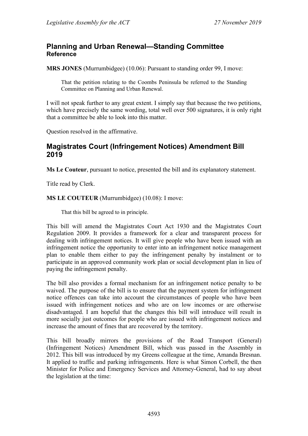# <span id="page-5-0"></span>**Planning and Urban Renewal—Standing Committee Reference**

**MRS JONES** (Murrumbidgee) (10.06): Pursuant to standing order 99, I move:

That the petition relating to the Coombs Peninsula be referred to the Standing Committee on Planning and Urban Renewal.

I will not speak further to any great extent. I simply say that because the two petitions, which have precisely the same wording, total well over 500 signatures, it is only right that a committee be able to look into this matter.

Question resolved in the affirmative.

# <span id="page-5-1"></span>**Magistrates Court (Infringement Notices) Amendment Bill 2019**

**Ms Le Couteur**, pursuant to notice, presented the bill and its explanatory statement.

Title read by Clerk.

#### **MS LE COUTEUR** (Murrumbidgee) (10.08): I move:

That this bill be agreed to in principle.

This bill will amend the Magistrates Court Act 1930 and the Magistrates Court Regulation 2009. It provides a framework for a clear and transparent process for dealing with infringement notices. It will give people who have been issued with an infringement notice the opportunity to enter into an infringement notice management plan to enable them either to pay the infringement penalty by instalment or to participate in an approved community work plan or social development plan in lieu of paying the infringement penalty.

The bill also provides a formal mechanism for an infringement notice penalty to be waived. The purpose of the bill is to ensure that the payment system for infringement notice offences can take into account the circumstances of people who have been issued with infringement notices and who are on low incomes or are otherwise disadvantaged. I am hopeful that the changes this bill will introduce will result in more socially just outcomes for people who are issued with infringement notices and increase the amount of fines that are recovered by the territory.

This bill broadly mirrors the provisions of the Road Transport (General) (Infringement Notices) Amendment Bill, which was passed in the Assembly in 2012. This bill was introduced by my Greens colleague at the time, Amanda Bresnan. It applied to traffic and parking infringements. Here is what Simon Corbell, the then Minister for Police and Emergency Services and Attorney-General, had to say about the legislation at the time: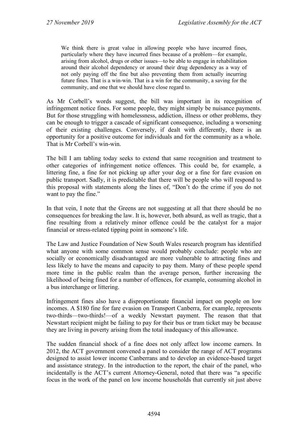We think there is great value in allowing people who have incurred fines, particularly where they have incurred fines because of a problem—for example, arising from alcohol, drugs or other issues—to be able to engage in rehabilitation around their alcohol dependency or around their drug dependency as a way of not only paying off the fine but also preventing them from actually incurring future fines. That is a win-win. That is a win for the community, a saving for the community, and one that we should have close regard to.

As Mr Corbell's words suggest, the bill was important in its recognition of infringement notice fines. For some people, they might simply be nuisance payments. But for those struggling with homelessness, addiction, illness or other problems, they can be enough to trigger a cascade of significant consequence, including a worsening of their existing challenges. Conversely, if dealt with differently, there is an opportunity for a positive outcome for individuals and for the community as a whole. That is Mr Corbell's win-win.

The bill I am tabling today seeks to extend that same recognition and treatment to other categories of infringement notice offences. This could be, for example, a littering fine, a fine for not picking up after your dog or a fine for fare evasion on public transport. Sadly, it is predictable that there will be people who will respond to this proposal with statements along the lines of, "Don't do the crime if you do not want to pay the fine."

In that vein, I note that the Greens are not suggesting at all that there should be no consequences for breaking the law. It is, however, both absurd, as well as tragic, that a fine resulting from a relatively minor offence could be the catalyst for a major financial or stress-related tipping point in someone's life.

The Law and Justice Foundation of New South Wales research program has identified what anyone with some common sense would probably conclude: people who are socially or economically disadvantaged are more vulnerable to attracting fines and less likely to have the means and capacity to pay them. Many of these people spend more time in the public realm than the average person, further increasing the likelihood of being fined for a number of offences, for example, consuming alcohol in a bus interchange or littering.

Infringement fines also have a disproportionate financial impact on people on low incomes. A \$180 fine for fare evasion on Transport Canberra, for example, represents two-thirds—two-thirds!—of a weekly Newstart payment. The reason that that Newstart recipient might be failing to pay for their bus or tram ticket may be because they are living in poverty arising from the total inadequacy of this allowance.

The sudden financial shock of a fine does not only affect low income earners. In 2012, the ACT government convened a panel to consider the range of ACT programs designed to assist lower income Canberrans and to develop an evidence-based target and assistance strategy. In the introduction to the report, the chair of the panel, who incidentally is the ACT's current Attorney-General, noted that there was "a specific focus in the work of the panel on low income households that currently sit just above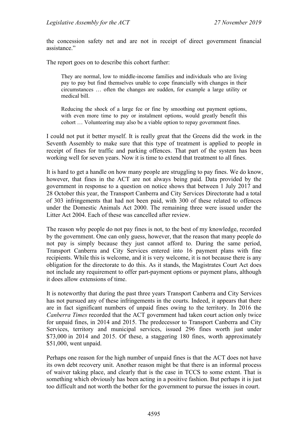the concession safety net and are not in receipt of direct government financial assistance."

The report goes on to describe this cohort further:

They are normal, low to middle-income families and individuals who are living pay to pay but find themselves unable to cope financially with changes in their circumstances … often the changes are sudden, for example a large utility or medical bill.

Reducing the shock of a large fee or fine by smoothing out payment options, with even more time to pay or instalment options, would greatly benefit this cohort … Volunteering may also be a viable option to repay government fines.

I could not put it better myself. It is really great that the Greens did the work in the Seventh Assembly to make sure that this type of treatment is applied to people in receipt of fines for traffic and parking offences. That part of the system has been working well for seven years. Now it is time to extend that treatment to all fines.

It is hard to get a handle on how many people are struggling to pay fines. We do know, however, that fines in the ACT are not always being paid. Data provided by the government in response to a question on notice shows that between 1 July 2017 and 28 October this year, the Transport Canberra and City Services Directorate had a total of 303 infringements that had not been paid, with 300 of these related to offences under the Domestic Animals Act 2000. The remaining three were issued under the Litter Act 2004. Each of these was cancelled after review.

The reason why people do not pay fines is not, to the best of my knowledge, recorded by the government. One can only guess, however, that the reason that many people do not pay is simply because they just cannot afford to. During the same period, Transport Canberra and City Services entered into 16 payment plans with fine recipients. While this is welcome, and it is very welcome, it is not because there is any obligation for the directorate to do this. As it stands, the Magistrates Court Act does not include any requirement to offer part-payment options or payment plans, although it does allow extensions of time.

It is noteworthy that during the past three years Transport Canberra and City Services has not pursued any of these infringements in the courts. Indeed, it appears that there are in fact significant numbers of unpaid fines owing to the territory. In 2016 the *Canberra Times* recorded that the ACT government had taken court action only twice for unpaid fines, in 2014 and 2015. The predecessor to Transport Canberra and City Services, territory and municipal services, issued 296 fines worth just under \$73,000 in 2014 and 2015. Of these, a staggering 180 fines, worth approximately \$51,000, went unpaid.

Perhaps one reason for the high number of unpaid fines is that the ACT does not have its own debt recovery unit. Another reason might be that there is an informal process of waiver taking place, and clearly that is the case in TCCS to some extent. That is something which obviously has been acting in a positive fashion. But perhaps it is just too difficult and not worth the bother for the government to pursue the issues in court.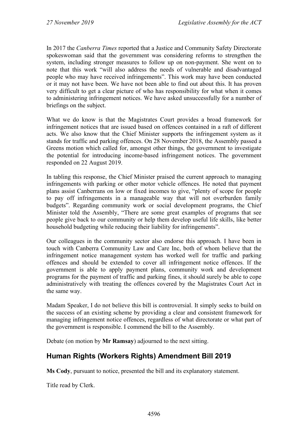In 2017 the *Canberra Times* reported that a Justice and Community Safety Directorate spokeswoman said that the government was considering reforms to strengthen the system, including stronger measures to follow up on non-payment. She went on to note that this work "will also address the needs of vulnerable and disadvantaged people who may have received infringements". This work may have been conducted or it may not have been. We have not been able to find out about this. It has proven very difficult to get a clear picture of who has responsibility for what when it comes to administering infringement notices. We have asked unsuccessfully for a number of briefings on the subject.

What we do know is that the Magistrates Court provides a broad framework for infringement notices that are issued based on offences contained in a raft of different acts. We also know that the Chief Minister supports the infringement system as it stands for traffic and parking offences. On 28 November 2018, the Assembly passed a Greens motion which called for, amongst other things, the government to investigate the potential for introducing income-based infringement notices. The government responded on 22 August 2019.

In tabling this response, the Chief Minister praised the current approach to managing infringements with parking or other motor vehicle offences. He noted that payment plans assist Canberrans on low or fixed incomes to give, "plenty of scope for people to pay off infringements in a manageable way that will not overburden family budgets". Regarding community work or social development programs, the Chief Minister told the Assembly, "There are some great examples of programs that see people give back to our community or help them develop useful life skills, like better household budgeting while reducing their liability for infringements".

Our colleagues in the community sector also endorse this approach. I have been in touch with Canberra Community Law and Care Inc, both of whom believe that the infringement notice management system has worked well for traffic and parking offences and should be extended to cover all infringement notice offences. If the government is able to apply payment plans, community work and development programs for the payment of traffic and parking fines, it should surely be able to cope administratively with treating the offences covered by the Magistrates Court Act in the same way.

Madam Speaker, I do not believe this bill is controversial. It simply seeks to build on the success of an existing scheme by providing a clear and consistent framework for managing infringement notice offences, regardless of what directorate or what part of the government is responsible. I commend the bill to the Assembly.

Debate (on motion by **Mr Ramsay**) adjourned to the next sitting.

# <span id="page-8-0"></span>**Human Rights (Workers Rights) Amendment Bill 2019**

**Ms Cody**, pursuant to notice, presented the bill and its explanatory statement.

Title read by Clerk.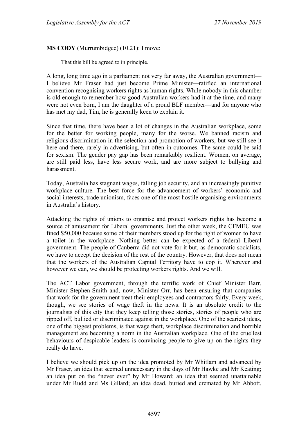#### **MS CODY** (Murrumbidgee) (10.21): I move:

That this bill be agreed to in principle.

A long, long time ago in a parliament not very far away, the Australian government— I believe Mr Fraser had just become Prime Minister—ratified an international convention recognising workers rights as human rights. While nobody in this chamber is old enough to remember how good Australian workers had it at the time, and many were not even born, I am the daughter of a proud BLF member—and for anyone who has met my dad, Tim, he is generally keen to explain it.

Since that time, there have been a lot of changes in the Australian workplace, some for the better for working people, many for the worse. We banned racism and religious discrimination in the selection and promotion of workers, but we still see it here and there, rarely in advertising, but often in outcomes. The same could be said for sexism. The gender pay gap has been remarkably resilient. Women, on average, are still paid less, have less secure work, and are more subject to bullying and harassment.

Today, Australia has stagnant wages, falling job security, and an increasingly punitive workplace culture. The best force for the advancement of workers' economic and social interests, trade unionism, faces one of the most hostile organising environments in Australia's history.

Attacking the rights of unions to organise and protect workers rights has become a source of amusement for Liberal governments. Just the other week, the CFMEU was fined \$50,000 because some of their members stood up for the right of women to have a toilet in the workplace. Nothing better can be expected of a federal Liberal government. The people of Canberra did not vote for it but, as democratic socialists, we have to accept the decision of the rest of the country. However, that does not mean that the workers of the Australian Capital Territory have to cop it. Wherever and however we can, we should be protecting workers rights. And we will.

The ACT Labor government, through the terrific work of Chief Minister Barr, Minister Stephen-Smith and, now, Minister Orr, has been ensuring that companies that work for the government treat their employees and contractors fairly. Every week, though, we see stories of wage theft in the news. It is an absolute credit to the journalists of this city that they keep telling those stories, stories of people who are ripped off, bullied or discriminated against in the workplace. One of the scariest ideas, one of the biggest problems, is that wage theft, workplace discrimination and horrible management are becoming a norm in the Australian workplace. One of the cruellest behaviours of despicable leaders is convincing people to give up on the rights they really do have.

I believe we should pick up on the idea promoted by Mr Whitlam and advanced by Mr Fraser, an idea that seemed unnecessary in the days of Mr Hawke and Mr Keating; an idea put on the "never ever" by Mr Howard; an idea that seemed unattainable under Mr Rudd and Ms Gillard; an idea dead, buried and cremated by Mr Abbott,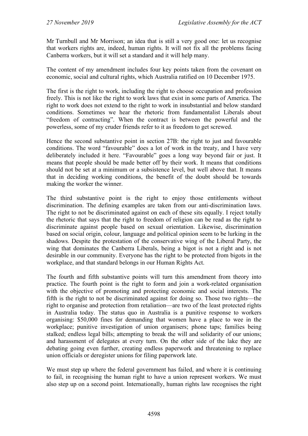Mr Turnbull and Mr Morrison; an idea that is still a very good one: let us recognise that workers rights are, indeed, human rights. It will not fix all the problems facing Canberra workers, but it will set a standard and it will help many.

The content of my amendment includes four key points taken from the covenant on economic, social and cultural rights, which Australia ratified on 10 December 1975.

The first is the right to work, including the right to choose occupation and profession freely. This is not like the right to work laws that exist in some parts of America. The right to work does not extend to the right to work in insubstantial and below standard conditions. Sometimes we hear the rhetoric from fundamentalist Liberals about "freedom of contracting". When the contract is between the powerful and the powerless, some of my cruder friends refer to it as freedom to get screwed.

Hence the second substantive point in section 27B: the right to just and favourable conditions. The word "favourable" does a lot of work in the treaty, and I have very deliberately included it here. "Favourable" goes a long way beyond fair or just. It means that people should be made better off by their work. It means that conditions should not be set at a minimum or a subsistence level, but well above that. It means that in deciding working conditions, the benefit of the doubt should be towards making the worker the winner.

The third substantive point is the right to enjoy those entitlements without discrimination. The defining examples are taken from our anti-discrimination laws. The right to not be discriminated against on each of these sits equally. I reject totally the rhetoric that says that the right to freedom of religion can be read as the right to discriminate against people based on sexual orientation. Likewise, discrimination based on social origin, colour, language and political opinion seem to be lurking in the shadows. Despite the protestation of the conservative wing of the Liberal Party, the wing that dominates the Canberra Liberals, being a bigot is not a right and is not desirable in our community. Everyone has the right to be protected from bigots in the workplace, and that standard belongs in our Human Rights Act.

The fourth and fifth substantive points will turn this amendment from theory into practice. The fourth point is the right to form and join a work-related organisation with the objective of promoting and protecting economic and social interests. The fifth is the right to not be discriminated against for doing so. Those two rights—the right to organise and protection from retaliation—are two of the least protected rights in Australia today. The status quo in Australia is a punitive response to workers organising: \$50,000 fines for demanding that women have a place to wee in the workplace; punitive investigation of union organisers; phone taps; families being stalked; endless legal bills; attempting to break the will and solidarity of our unions; and harassment of delegates at every turn. On the other side of the lake they are debating going even further, creating endless paperwork and threatening to replace union officials or deregister unions for filing paperwork late.

We must step up where the federal government has failed, and where it is continuing to fail, in recognising the human right to have a union represent workers. We must also step up on a second point. Internationally, human rights law recognises the right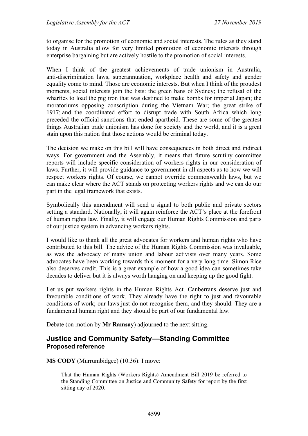to organise for the promotion of economic and social interests. The rules as they stand today in Australia allow for very limited promotion of economic interests through enterprise bargaining but are actively hostile to the promotion of social interests.

When I think of the greatest achievements of trade unionism in Australia, anti-discrimination laws, superannuation, workplace health and safety and gender equality come to mind. Those are economic interests. But when I think of the proudest moments, social interests join the lists: the green bans of Sydney; the refusal of the wharfies to load the pig iron that was destined to make bombs for imperial Japan; the moratoriums opposing conscription during the Vietnam War; the great strike of 1917; and the coordinated effort to disrupt trade with South Africa which long preceded the official sanctions that ended apartheid. These are some of the greatest things Australian trade unionism has done for society and the world, and it is a great stain upon this nation that those actions would be criminal today.

The decision we make on this bill will have consequences in both direct and indirect ways. For government and the Assembly, it means that future scrutiny committee reports will include specific consideration of workers rights in our consideration of laws. Further, it will provide guidance to government in all aspects as to how we will respect workers rights. Of course, we cannot override commonwealth laws, but we can make clear where the ACT stands on protecting workers rights and we can do our part in the legal framework that exists.

Symbolically this amendment will send a signal to both public and private sectors setting a standard. Nationally, it will again reinforce the ACT's place at the forefront of human rights law. Finally, it will engage our Human Rights Commission and parts of our justice system in advancing workers rights.

I would like to thank all the great advocates for workers and human rights who have contributed to this bill. The advice of the Human Rights Commission was invaluable, as was the advocacy of many union and labour activists over many years. Some advocates have been working towards this moment for a very long time. Simon Rice also deserves credit. This is a great example of how a good idea can sometimes take decades to deliver but it is always worth hanging on and keeping up the good fight.

Let us put workers rights in the Human Rights Act. Canberrans deserve just and favourable conditions of work. They already have the right to just and favourable conditions of work; our laws just do not recognise them, and they should. They are a fundamental human right and they should be part of our fundamental law.

Debate (on motion by **Mr Ramsay**) adjourned to the next sitting.

#### <span id="page-11-0"></span>**Justice and Community Safety—Standing Committee Proposed reference**

**MS CODY** (Murrumbidgee) (10.36): I move:

That the Human Rights (Workers Rights) Amendment Bill 2019 be referred to the Standing Committee on Justice and Community Safety for report by the first sitting day of 2020.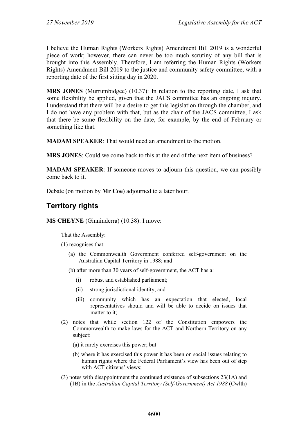I believe the Human Rights (Workers Rights) Amendment Bill 2019 is a wonderful piece of work; however, there can never be too much scrutiny of any bill that is brought into this Assembly. Therefore, I am referring the Human Rights (Workers Rights) Amendment Bill 2019 to the justice and community safety committee, with a reporting date of the first sitting day in 2020.

**MRS JONES** (Murrumbidgee) (10.37): In relation to the reporting date, I ask that some flexibility be applied, given that the JACS committee has an ongoing inquiry. I understand that there will be a desire to get this legislation through the chamber, and I do not have any problem with that, but as the chair of the JACS committee, I ask that there be some flexibility on the date, for example, by the end of February or something like that.

**MADAM SPEAKER**: That would need an amendment to the motion.

**MRS JONES**: Could we come back to this at the end of the next item of business?

**MADAM SPEAKER**: If someone moves to adjourn this question, we can possibly come back to it.

Debate (on motion by **Mr Coe**) adjourned to a later hour.

# <span id="page-12-0"></span>**Territory rights**

**MS CHEYNE** (Ginninderra) (10.38): I move:

That the Assembly:

(1) recognises that:

- (a) the Commonwealth Government conferred self-government on the Australian Capital Territory in 1988; and
- (b) after more than 30 years of self-government, the ACT has a:
	- (i) robust and established parliament;
	- (ii) strong jurisdictional identity; and
	- (iii) community which has an expectation that elected, local representatives should and will be able to decide on issues that matter to it;
- (2) notes that while section 122 of the Constitution empowers the Commonwealth to make laws for the ACT and Northern Territory on any subject:
	- (a) it rarely exercises this power; but
	- (b) where it has exercised this power it has been on social issues relating to human rights where the Federal Parliament's view has been out of step with ACT citizens' views;
- (3) notes with disappointment the continued existence of subsections 23(1A) and (1B) in the *Australian Capital Territory (Self-Government) Act 1988* (Cwlth)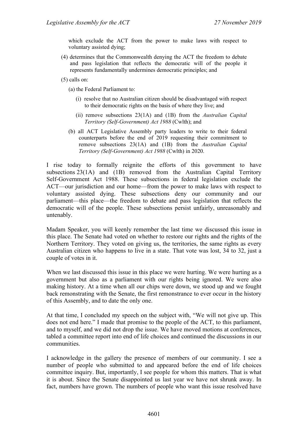which exclude the ACT from the power to make laws with respect to voluntary assisted dying;

- (4) determines that the Commonwealth denying the ACT the freedom to debate and pass legislation that reflects the democratic will of the people it represents fundamentally undermines democratic principles; and
- (5) calls on:

(a) the Federal Parliament to:

- (i) resolve that no Australian citizen should be disadvantaged with respect to their democratic rights on the basis of where they live; and
- (ii) remove subsections 23(1A) and (1B) from the *Australian Capital Territory (Self-Government) Act 1988* (Cwlth); and
- (b) all ACT Legislative Assembly party leaders to write to their federal counterparts before the end of 2019 requesting their commitment to remove subsections 23(1A) and (1B) from the *Australian Capital Territory (Self-Government) Act 1988* (Cwlth) in 2020.

I rise today to formally reignite the efforts of this government to have subsections 23(1A) and (1B) removed from the Australian Capital Territory Self-Government Act 1988. These subsections in federal legislation exclude the ACT—our jurisdiction and our home—from the power to make laws with respect to voluntary assisted dying. These subsections deny our community and our parliament—this place—the freedom to debate and pass legislation that reflects the democratic will of the people. These subsections persist unfairly, unreasonably and untenably.

Madam Speaker, you will keenly remember the last time we discussed this issue in this place. The Senate had voted on whether to restore our rights and the rights of the Northern Territory. They voted on giving us, the territories, the same rights as every Australian citizen who happens to live in a state. That vote was lost, 34 to 32, just a couple of votes in it.

When we last discussed this issue in this place we were hurting. We were hurting as a government but also as a parliament with our rights being ignored. We were also making history. At a time when all our chips were down, we stood up and we fought back remonstrating with the Senate, the first remonstrance to ever occur in the history of this Assembly, and to date the only one.

At that time, I concluded my speech on the subject with, "We will not give up. This does not end here." I made that promise to the people of the ACT, to this parliament, and to myself, and we did not drop the issue. We have moved motions at conferences, tabled a committee report into end of life choices and continued the discussions in our communities.

I acknowledge in the gallery the presence of members of our community. I see a number of people who submitted to and appeared before the end of life choices committee inquiry. But, importantly, I see people for whom this matters. That is what it is about. Since the Senate disappointed us last year we have not shrunk away. In fact, numbers have grown. The numbers of people who want this issue resolved have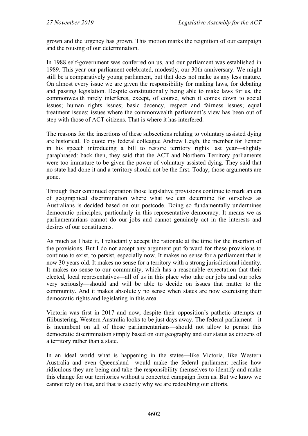grown and the urgency has grown. This motion marks the reignition of our campaign and the rousing of our determination.

In 1988 self-government was conferred on us, and our parliament was established in 1989. This year our parliament celebrated, modestly, our 30th anniversary. We might still be a comparatively young parliament, but that does not make us any less mature. On almost every issue we are given the responsibility for making laws, for debating and passing legislation. Despite constitutionally being able to make laws for us, the commonwealth rarely interferes, except, of course, when it comes down to social issues; human rights issues; basic decency, respect and fairness issues; equal treatment issues; issues where the commonwealth parliament's view has been out of step with those of ACT citizens. That is where it has interfered.

The reasons for the insertions of these subsections relating to voluntary assisted dying are historical. To quote my federal colleague Andrew Leigh, the member for Fenner in his speech introducing a bill to restore territory rights last year—slightly paraphrased: back then, they said that the ACT and Northern Territory parliaments were too immature to be given the power of voluntary assisted dying. They said that no state had done it and a territory should not be the first. Today, those arguments are gone.

Through their continued operation those legislative provisions continue to mark an era of geographical discrimination where what we can determine for ourselves as Australians is decided based on our postcode. Doing so fundamentally undermines democratic principles, particularly in this representative democracy. It means we as parliamentarians cannot do our jobs and cannot genuinely act in the interests and desires of our constituents.

As much as I hate it, I reluctantly accept the rationale at the time for the insertion of the provisions. But I do not accept any argument put forward for these provisions to continue to exist, to persist, especially now. It makes no sense for a parliament that is now 30 years old. It makes no sense for a territory with a strong jurisdictional identity. It makes no sense to our community, which has a reasonable expectation that their elected, local representatives—all of us in this place who take our jobs and our roles very seriously—should and will be able to decide on issues that matter to the community. And it makes absolutely no sense when states are now exercising their democratic rights and legislating in this area.

Victoria was first in 2017 and now, despite their opposition's pathetic attempts at filibustering, Western Australia looks to be just days away. The federal parliament—it is incumbent on all of those parliamentarians—should not allow to persist this democratic discrimination simply based on our geography and our status as citizens of a territory rather than a state.

In an ideal world what is happening in the states—like Victoria, like Western Australia and even Queensland—would make the federal parliament realise how ridiculous they are being and take the responsibility themselves to identify and make this change for our territories without a concerted campaign from us. But we know we cannot rely on that, and that is exactly why we are redoubling our efforts.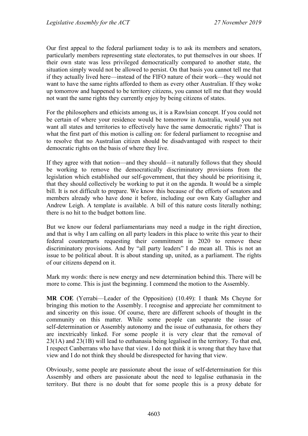Our first appeal to the federal parliament today is to ask its members and senators, particularly members representing state electorates, to put themselves in our shoes. If their own state was less privileged democratically compared to another state, the situation simply would not be allowed to persist. On that basis you cannot tell me that if they actually lived here—instead of the FIFO nature of their work—they would not want to have the same rights afforded to them as every other Australian. If they woke up tomorrow and happened to be territory citizens, you cannot tell me that they would not want the same rights they currently enjoy by being citizens of states.

For the philosophers and ethicists among us, it is a Rawlsian concept. If you could not be certain of where your residence would be tomorrow in Australia, would you not want all states and territories to effectively have the same democratic rights? That is what the first part of this motion is calling on: for federal parliament to recognise and to resolve that no Australian citizen should be disadvantaged with respect to their democratic rights on the basis of where they live.

If they agree with that notion—and they should—it naturally follows that they should be working to remove the democratically discriminatory provisions from the legislation which established our self-government, that they should be prioritising it, that they should collectively be working to put it on the agenda. It would be a simple bill. It is not difficult to prepare. We know this because of the efforts of senators and members already who have done it before, including our own Katy Gallagher and Andrew Leigh. A template is available. A bill of this nature costs literally nothing; there is no hit to the budget bottom line.

But we know our federal parliamentarians may need a nudge in the right direction, and that is why I am calling on all party leaders in this place to write this year to their federal counterparts requesting their commitment in 2020 to remove these discriminatory provisions. And by "all party leaders" I do mean all. This is not an issue to be political about. It is about standing up, united, as a parliament. The rights of our citizens depend on it.

Mark my words: there is new energy and new determination behind this. There will be more to come. This is just the beginning. I commend the motion to the Assembly.

**MR COE** (Yerrabi—Leader of the Opposition) (10.49): I thank Ms Cheyne for bringing this motion to the Assembly. I recognise and appreciate her commitment to and sincerity on this issue. Of course, there are different schools of thought in the community on this matter. While some people can separate the issue of self-determination or Assembly autonomy and the issue of euthanasia, for others they are inextricably linked. For some people it is very clear that the removal of 23(1A) and 23(1B) will lead to euthanasia being legalised in the territory. To that end, I respect Canberrans who have that view. I do not think it is wrong that they have that view and I do not think they should be disrespected for having that view.

Obviously, some people are passionate about the issue of self-determination for this Assembly and others are passionate about the need to legalise euthanasia in the territory. But there is no doubt that for some people this is a proxy debate for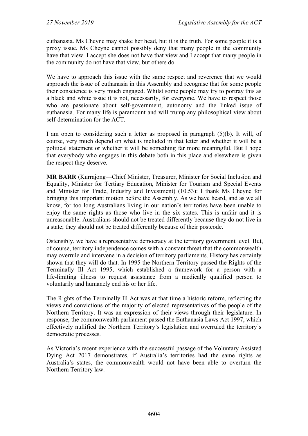euthanasia. Ms Cheyne may shake her head, but it is the truth. For some people it is a proxy issue. Ms Cheyne cannot possibly deny that many people in the community have that view. I accept she does not have that view and I accept that many people in the community do not have that view, but others do.

We have to approach this issue with the same respect and reverence that we would approach the issue of euthanasia in this Assembly and recognise that for some people their conscience is very much engaged. Whilst some people may try to portray this as a black and white issue it is not, necessarily, for everyone. We have to respect those who are passionate about self-government, autonomy and the linked issue of euthanasia. For many life is paramount and will trump any philosophical view about self-determination for the ACT.

I am open to considering such a letter as proposed in paragraph (5)(b). It will, of course, very much depend on what is included in that letter and whether it will be a political statement or whether it will be something far more meaningful. But I hope that everybody who engages in this debate both in this place and elsewhere is given the respect they deserve.

**MR BARR** (Kurrajong—Chief Minister, Treasurer, Minister for Social Inclusion and Equality, Minister for Tertiary Education, Minister for Tourism and Special Events and Minister for Trade, Industry and Investment) (10.53): I thank Ms Cheyne for bringing this important motion before the Assembly. As we have heard, and as we all know, for too long Australians living in our nation's territories have been unable to enjoy the same rights as those who live in the six states. This is unfair and it is unreasonable. Australians should not be treated differently because they do not live in a state; they should not be treated differently because of their postcode.

Ostensibly, we have a representative democracy at the territory government level. But, of course, territory independence comes with a constant threat that the commonwealth may overrule and intervene in a decision of territory parliaments. History has certainly shown that they will do that. In 1995 the Northern Territory passed the Rights of the Terminally Ill Act 1995, which established a framework for a person with a life-limiting illness to request assistance from a medically qualified person to voluntarily and humanely end his or her life.

The Rights of the Terminally Ill Act was at that time a historic reform, reflecting the views and convictions of the majority of elected representatives of the people of the Northern Territory. It was an expression of their views through their legislature. In response, the commonwealth parliament passed the Euthanasia Laws Act 1997, which effectively nullified the Northern Territory's legislation and overruled the territory's democratic processes.

As Victoria's recent experience with the successful passage of the Voluntary Assisted Dying Act 2017 demonstrates, if Australia's territories had the same rights as Australia's states, the commonwealth would not have been able to overturn the Northern Territory law.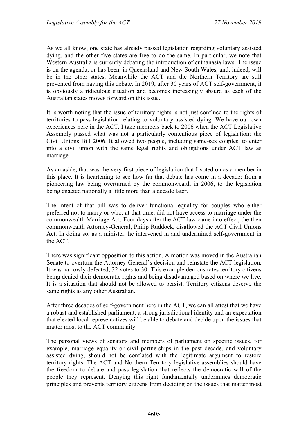As we all know, one state has already passed legislation regarding voluntary assisted dying, and the other five states are free to do the same. In particular, we note that Western Australia is currently debating the introduction of euthanasia laws. The issue is on the agenda, or has been, in Queensland and New South Wales, and, indeed, will be in the other states. Meanwhile the ACT and the Northern Territory are still prevented from having this debate. In 2019, after 30 years of ACT self-government, it is obviously a ridiculous situation and becomes increasingly absurd as each of the Australian states moves forward on this issue.

It is worth noting that the issue of territory rights is not just confined to the rights of territories to pass legislation relating to voluntary assisted dying. We have our own experiences here in the ACT. I take members back to 2006 when the ACT Legislative Assembly passed what was not a particularly contentious piece of legislation: the Civil Unions Bill 2006. It allowed two people, including same-sex couples, to enter into a civil union with the same legal rights and obligations under ACT law as marriage.

As an aside, that was the very first piece of legislation that I voted on as a member in this place. It is heartening to see how far that debate has come in a decade: from a pioneering law being overturned by the commonwealth in 2006, to the legislation being enacted nationally a little more than a decade later.

The intent of that bill was to deliver functional equality for couples who either preferred not to marry or who, at that time, did not have access to marriage under the commonwealth Marriage Act. Four days after the ACT law came into effect, the then commonwealth Attorney-General, Philip Ruddock, disallowed the ACT Civil Unions Act. In doing so, as a minister, he intervened in and undermined self-government in the ACT.

There was significant opposition to this action. A motion was moved in the Australian Senate to overturn the Attorney-General's decision and reinstate the ACT legislation. It was narrowly defeated, 32 votes to 30. This example demonstrates territory citizens being denied their democratic rights and being disadvantaged based on where we live. It is a situation that should not be allowed to persist. Territory citizens deserve the same rights as any other Australian.

After three decades of self-government here in the ACT, we can all attest that we have a robust and established parliament, a strong jurisdictional identity and an expectation that elected local representatives will be able to debate and decide upon the issues that matter most to the ACT community.

The personal views of senators and members of parliament on specific issues, for example, marriage equality or civil partnerships in the past decade, and voluntary assisted dying, should not be conflated with the legitimate argument to restore territory rights. The ACT and Northern Territory legislative assemblies should have the freedom to debate and pass legislation that reflects the democratic will of the people they represent. Denying this right fundamentally undermines democratic principles and prevents territory citizens from deciding on the issues that matter most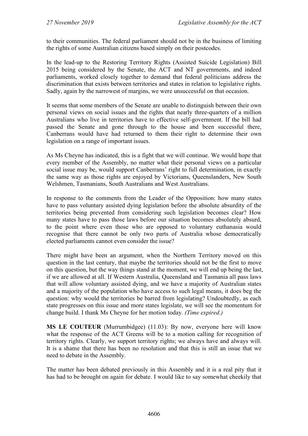to their communities. The federal parliament should not be in the business of limiting the rights of some Australian citizens based simply on their postcodes.

In the lead-up to the Restoring Territory Rights (Assisted Suicide Legislation) Bill 2015 being considered by the Senate, the ACT and NT governments, and indeed parliaments, worked closely together to demand that federal politicians address the discrimination that exists between territories and states in relation to legislative rights. Sadly, again by the narrowest of margins, we were unsuccessful on that occasion.

It seems that some members of the Senate are unable to distinguish between their own personal views on social issues and the rights that nearly three-quarters of a million Australians who live in territories have to effective self-government. If the bill had passed the Senate and gone through to the house and been successful there, Canberrans would have had returned to them their right to determine their own legislation on a range of important issues.

As Ms Cheyne has indicated, this is a fight that we will continue. We would hope that every member of the Assembly, no matter what their personal views on a particular social issue may be, would support Canberrans' right to full determination, in exactly the same way as those rights are enjoyed by Victorians, Queenslanders, New South Welshmen, Tasmanians, South Australians and West Australians.

In response to the comments from the Leader of the Opposition: how many states have to pass voluntary assisted dying legislation before the absolute absurdity of the territories being prevented from considering such legislation becomes clear? How many states have to pass those laws before our situation becomes absolutely absurd, to the point where even those who are opposed to voluntary euthanasia would recognise that there cannot be only two parts of Australia whose democratically elected parliaments cannot even consider the issue?

There might have been an argument, when the Northern Territory moved on this question in the last century, that maybe the territories should not be the first to move on this question, but the way things stand at the moment, we will end up being the last, if we are allowed at all. If Western Australia, Queensland and Tasmania all pass laws that will allow voluntary assisted dying, and we have a majority of Australian states and a majority of the population who have access to such legal means, it does beg the question: why would the territories be barred from legislating? Undoubtedly, as each state progresses on this issue and more states legislate, we will see the momentum for change build. I thank Ms Cheyne for her motion today. *(Time expired.)*

**MS LE COUTEUR** (Murrumbidgee) (11.03): By now, everyone here will know what the response of the ACT Greens will be to a motion calling for recognition of territory rights. Clearly, we support territory rights; we always have and always will. It is a shame that there has been no resolution and that this is still an issue that we need to debate in the Assembly.

The matter has been debated previously in this Assembly and it is a real pity that it has had to be brought on again for debate. I would like to say somewhat cheekily that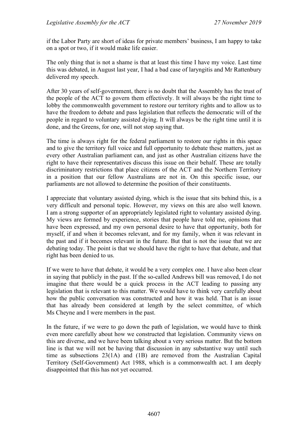if the Labor Party are short of ideas for private members' business, I am happy to take on a spot or two, if it would make life easier.

The only thing that is not a shame is that at least this time I have my voice. Last time this was debated, in August last year, I had a bad case of laryngitis and Mr Rattenbury delivered my speech.

After 30 years of self-government, there is no doubt that the Assembly has the trust of the people of the ACT to govern them effectively. It will always be the right time to lobby the commonwealth government to restore our territory rights and to allow us to have the freedom to debate and pass legislation that reflects the democratic will of the people in regard to voluntary assisted dying. It will always be the right time until it is done, and the Greens, for one, will not stop saying that.

The time is always right for the federal parliament to restore our rights in this space and to give the territory full voice and full opportunity to debate these matters, just as every other Australian parliament can, and just as other Australian citizens have the right to have their representatives discuss this issue on their behalf. These are totally discriminatory restrictions that place citizens of the ACT and the Northern Territory in a position that our fellow Australians are not in. On this specific issue, our parliaments are not allowed to determine the position of their constituents.

I appreciate that voluntary assisted dying, which is the issue that sits behind this, is a very difficult and personal topic. However, my views on this are also well known. I am a strong supporter of an appropriately legislated right to voluntary assisted dying. My views are formed by experience, stories that people have told me, opinions that have been expressed, and my own personal desire to have that opportunity, both for myself, if and when it becomes relevant, and for my family, when it was relevant in the past and if it becomes relevant in the future. But that is not the issue that we are debating today. The point is that we should have the right to have that debate, and that right has been denied to us.

If we were to have that debate, it would be a very complex one. I have also been clear in saying that publicly in the past. If the so-called Andrews bill was removed, I do not imagine that there would be a quick process in the ACT leading to passing any legislation that is relevant to this matter. We would have to think very carefully about how the public conversation was constructed and how it was held. That is an issue that has already been considered at length by the select committee, of which Ms Cheyne and I were members in the past.

In the future, if we were to go down the path of legislation, we would have to think even more carefully about how we constructed that legislation. Community views on this are diverse, and we have been talking about a very serious matter. But the bottom line is that we will not be having that discussion in any substantive way until such time as subsections 23(1A) and (1B) are removed from the Australian Capital Territory (Self-Government) Act 1988, which is a commonwealth act. I am deeply disappointed that this has not yet occurred.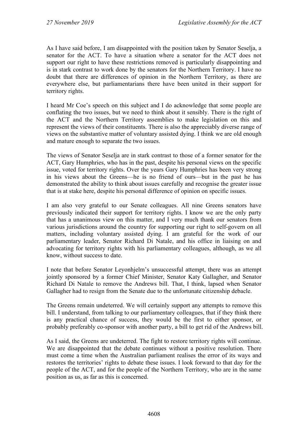As I have said before, I am disappointed with the position taken by Senator Seselja, a senator for the ACT. To have a situation where a senator for the ACT does not support our right to have these restrictions removed is particularly disappointing and is in stark contrast to work done by the senators for the Northern Territory. I have no doubt that there are differences of opinion in the Northern Territory, as there are everywhere else, but parliamentarians there have been united in their support for territory rights.

I heard Mr Coe's speech on this subject and I do acknowledge that some people are conflating the two issues, but we need to think about it sensibly. There is the right of the ACT and the Northern Territory assemblies to make legislation on this and represent the views of their constituents. There is also the appreciably diverse range of views on the substantive matter of voluntary assisted dying. I think we are old enough and mature enough to separate the two issues.

The views of Senator Seselja are in stark contrast to those of a former senator for the ACT, Gary Humphries, who has in the past, despite his personal views on the specific issue, voted for territory rights. Over the years Gary Humphries has been very strong in his views about the Greens—he is no friend of ours—but in the past he has demonstrated the ability to think about issues carefully and recognise the greater issue that is at stake here, despite his personal difference of opinion on specific issues.

I am also very grateful to our Senate colleagues. All nine Greens senators have previously indicated their support for territory rights. I know we are the only party that has a unanimous view on this matter, and I very much thank our senators from various jurisdictions around the country for supporting our right to self-govern on all matters, including voluntary assisted dying. I am grateful for the work of our parliamentary leader, Senator Richard Di Natale, and his office in liaising on and advocating for territory rights with his parliamentary colleagues, although, as we all know, without success to date.

I note that before Senator Leyonhjelm's unsuccessful attempt, there was an attempt jointly sponsored by a former Chief Minister, Senator Katy Gallagher, and Senator Richard Di Natale to remove the Andrews bill. That, I think, lapsed when Senator Gallagher had to resign from the Senate due to the unfortunate citizenship debacle.

The Greens remain undeterred. We will certainly support any attempts to remove this bill. I understand, from talking to our parliamentary colleagues, that if they think there is any practical chance of success, they would be the first to either sponsor, or probably preferably co-sponsor with another party, a bill to get rid of the Andrews bill.

As I said, the Greens are undeterred. The fight to restore territory rights will continue. We are disappointed that the debate continues without a positive resolution. There must come a time when the Australian parliament realises the error of its ways and restores the territories' rights to debate these issues. I look forward to that day for the people of the ACT, and for the people of the Northern Territory, who are in the same position as us, as far as this is concerned.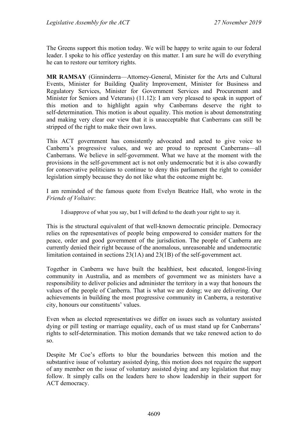The Greens support this motion today. We will be happy to write again to our federal leader. I spoke to his office yesterday on this matter. I am sure he will do everything he can to restore our territory rights.

**MR RAMSAY** (Ginninderra—Attorney-General, Minister for the Arts and Cultural Events, Minister for Building Quality Improvement, Minister for Business and Regulatory Services, Minister for Government Services and Procurement and Minister for Seniors and Veterans) (11.12): I am very pleased to speak in support of this motion and to highlight again why Canberrans deserve the right to self-determination. This motion is about equality. This motion is about demonstrating and making very clear our view that it is unacceptable that Canberrans can still be stripped of the right to make their own laws.

This ACT government has consistently advocated and acted to give voice to Canberra's progressive values, and we are proud to represent Canberrans—all Canberrans. We believe in self-government. What we have at the moment with the provisions in the self-government act is not only undemocratic but it is also cowardly for conservative politicians to continue to deny this parliament the right to consider legislation simply because they do not like what the outcome might be.

I am reminded of the famous quote from Evelyn Beatrice Hall, who wrote in the *Friends of Voltaire*:

I disapprove of what you say, but I will defend to the death your right to say it.

This is the structural equivalent of that well-known democratic principle. Democracy relies on the representatives of people being empowered to consider matters for the peace, order and good government of the jurisdiction. The people of Canberra are currently denied their right because of the anomalous, unreasonable and undemocratic limitation contained in sections 23(1A) and 23(1B) of the self-government act.

Together in Canberra we have built the healthiest, best educated, longest-living community in Australia, and as members of government we as ministers have a responsibility to deliver policies and administer the territory in a way that honours the values of the people of Canberra. That is what we are doing; we are delivering. Our achievements in building the most progressive community in Canberra, a restorative city, honours our constituents' values.

Even when as elected representatives we differ on issues such as voluntary assisted dying or pill testing or marriage equality, each of us must stand up for Canberrans' rights to self-determination. This motion demands that we take renewed action to do so.

Despite Mr Coe's efforts to blur the boundaries between this motion and the substantive issue of voluntary assisted dying, this motion does not require the support of any member on the issue of voluntary assisted dying and any legislation that may follow. It simply calls on the leaders here to show leadership in their support for ACT democracy.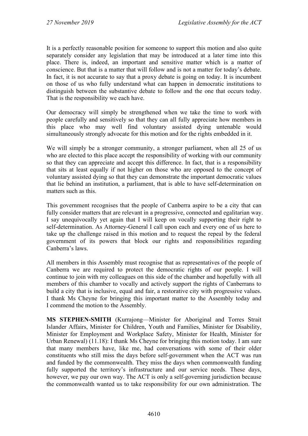It is a perfectly reasonable position for someone to support this motion and also quite separately consider any legislation that may be introduced at a later time into this place. There is, indeed, an important and sensitive matter which is a matter of conscience. But that is a matter that will follow and is not a matter for today's debate. In fact, it is not accurate to say that a proxy debate is going on today. It is incumbent on those of us who fully understand what can happen in democratic institutions to distinguish between the substantive debate to follow and the one that occurs today. That is the responsibility we each have.

Our democracy will simply be strengthened when we take the time to work with people carefully and sensitively so that they can all fully appreciate how members in this place who may well find voluntary assisted dying untenable would simultaneously strongly advocate for this motion and for the rights embedded in it.

We will simply be a stronger community, a stronger parliament, when all 25 of us who are elected to this place accept the responsibility of working with our community so that they can appreciate and accept this difference. In fact, that is a responsibility that sits at least equally if not higher on those who are opposed to the concept of voluntary assisted dying so that they can demonstrate the important democratic values that lie behind an institution, a parliament, that is able to have self-determination on matters such as this.

This government recognises that the people of Canberra aspire to be a city that can fully consider matters that are relevant in a progressive, connected and egalitarian way. I say unequivocally yet again that I will keep on vocally supporting their right to self-determination. As Attorney-General I call upon each and every one of us here to take up the challenge raised in this motion and to request the repeal by the federal government of its powers that block our rights and responsibilities regarding Canberra's laws.

All members in this Assembly must recognise that as representatives of the people of Canberra we are required to protect the democratic rights of our people. I will continue to join with my colleagues on this side of the chamber and hopefully with all members of this chamber to vocally and actively support the rights of Canberrans to build a city that is inclusive, equal and fair, a restorative city with progressive values. I thank Ms Cheyne for bringing this important matter to the Assembly today and I commend the motion to the Assembly.

**MS STEPHEN-SMITH** (Kurrajong—Minister for Aboriginal and Torres Strait Islander Affairs, Minister for Children, Youth and Families, Minister for Disability, Minister for Employment and Workplace Safety, Minister for Health, Minister for Urban Renewal) (11.18): I thank Ms Cheyne for bringing this motion today. I am sure that many members have, like me, had conversations with some of their older constituents who still miss the days before self-government when the ACT was run and funded by the commonwealth. They miss the days when commonwealth funding fully supported the territory's infrastructure and our service needs. These days, however, we pay our own way. The ACT is only a self-governing jurisdiction because the commonwealth wanted us to take responsibility for our own administration. The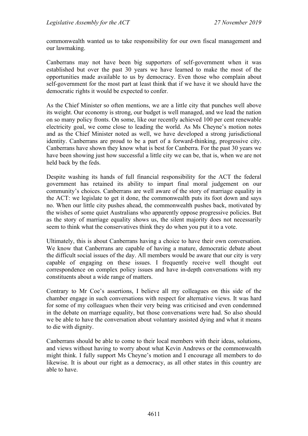commonwealth wanted us to take responsibility for our own fiscal management and our lawmaking.

Canberrans may not have been big supporters of self-government when it was established but over the past 30 years we have learned to make the most of the opportunities made available to us by democracy. Even those who complain about self-government for the most part at least think that if we have it we should have the democratic rights it would be expected to confer.

As the Chief Minister so often mentions, we are a little city that punches well above its weight. Our economy is strong, our budget is well managed, and we lead the nation on so many policy fronts. On some, like our recently achieved 100 per cent renewable electricity goal, we come close to leading the world. As Ms Cheyne's motion notes and as the Chief Minister noted as well, we have developed a strong jurisdictional identity. Canberrans are proud to be a part of a forward-thinking, progressive city. Canberrans have shown they know what is best for Canberra. For the past 30 years we have been showing just how successful a little city we can be, that is, when we are not held back by the feds.

Despite washing its hands of full financial responsibility for the ACT the federal government has retained its ability to impart final moral judgement on our community's choices. Canberrans are well aware of the story of marriage equality in the ACT: we legislate to get it done, the commonwealth puts its foot down and says no. When our little city pushes ahead, the commonwealth pushes back, motivated by the wishes of some quiet Australians who apparently oppose progressive policies. But as the story of marriage equality shows us, the silent majority does not necessarily seem to think what the conservatives think they do when you put it to a vote.

Ultimately, this is about Canberrans having a choice to have their own conversation. We know that Canberrans are capable of having a mature, democratic debate about the difficult social issues of the day. All members would be aware that our city is very capable of engaging on these issues. I frequently receive well thought out correspondence on complex policy issues and have in-depth conversations with my constituents about a wide range of matters.

Contrary to Mr Coe's assertions, I believe all my colleagues on this side of the chamber engage in such conversations with respect for alternative views. It was hard for some of my colleagues when their very being was criticised and even condemned in the debate on marriage equality, but those conversations were had. So also should we be able to have the conversation about voluntary assisted dying and what it means to die with dignity.

Canberrans should be able to come to their local members with their ideas, solutions, and views without having to worry about what Kevin Andrews or the commonwealth might think. I fully support Ms Cheyne's motion and I encourage all members to do likewise. It is about our right as a democracy, as all other states in this country are able to have.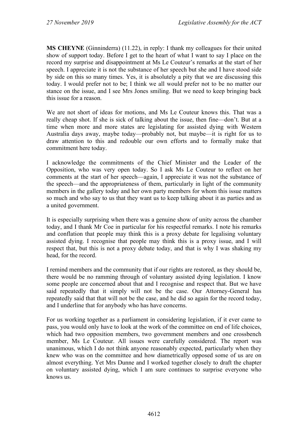**MS CHEYNE** (Ginninderra) (11.22), in reply: I thank my colleagues for their united show of support today. Before I get to the heart of what I want to say I place on the record my surprise and disappointment at Ms Le Couteur's remarks at the start of her speech. I appreciate it is not the substance of her speech but she and I have stood side by side on this so many times. Yes, it is absolutely a pity that we are discussing this today. I would prefer not to be; I think we all would prefer not to be no matter our stance on the issue, and I see Mrs Jones smiling. But we need to keep bringing back this issue for a reason.

We are not short of ideas for motions, and Ms Le Couteur knows this. That was a really cheap shot. If she is sick of talking about the issue, then fine—don't. But at a time when more and more states are legislating for assisted dying with Western Australia days away, maybe today—probably not, but maybe—it is right for us to draw attention to this and redouble our own efforts and to formally make that commitment here today.

I acknowledge the commitments of the Chief Minister and the Leader of the Opposition, who was very open today. So I ask Ms Le Couteur to reflect on her comments at the start of her speech—again, I appreciate it was not the substance of the speech—and the appropriateness of them, particularly in light of the community members in the gallery today and her own party members for whom this issue matters so much and who say to us that they want us to keep talking about it as parties and as a united government.

It is especially surprising when there was a genuine show of unity across the chamber today, and I thank Mr Coe in particular for his respectful remarks. I note his remarks and conflation that people may think this is a proxy debate for legalising voluntary assisted dying. I recognise that people may think this is a proxy issue, and I will respect that, but this is not a proxy debate today, and that is why I was shaking my head, for the record.

I remind members and the community that if our rights are restored, as they should be, there would be no ramming through of voluntary assisted dying legislation. I know some people are concerned about that and I recognise and respect that. But we have said repeatedly that it simply will not be the case. Our Attorney-General has repeatedly said that that will not be the case, and he did so again for the record today, and I underline that for anybody who has have concerns.

For us working together as a parliament in considering legislation, if it ever came to pass, you would only have to look at the work of the committee on end of life choices, which had two opposition members, two government members and one crossbench member, Ms Le Couteur. All issues were carefully considered. The report was unanimous, which I do not think anyone reasonably expected, particularly when they knew who was on the committee and how diametrically opposed some of us are on almost everything. Yet Mrs Dunne and I worked together closely to draft the chapter on voluntary assisted dying, which I am sure continues to surprise everyone who knows us.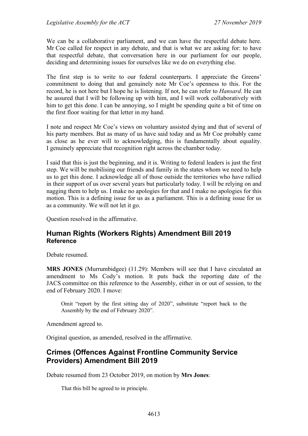We can be a collaborative parliament, and we can have the respectful debate here. Mr Coe called for respect in any debate, and that is what we are asking for: to have that respectful debate, that conversation here in our parliament for our people, deciding and determining issues for ourselves like we do on everything else.

The first step is to write to our federal counterparts. I appreciate the Greens' commitment to doing that and genuinely note Mr Coe's openness to this. For the record, he is not here but I hope he is listening. If not, he can refer to *Hansard*. He can be assured that I will be following up with him, and I will work collaboratively with him to get this done. I can be annoying, so I might be spending quite a bit of time on the first floor waiting for that letter in my hand.

I note and respect Mr Coe's views on voluntary assisted dying and that of several of his party members. But as many of us have said today and as Mr Coe probably came as close as he ever will to acknowledging, this is fundamentally about equality. I genuinely appreciate that recognition right across the chamber today.

I said that this is just the beginning, and it is. Writing to federal leaders is just the first step. We will be mobilising our friends and family in the states whom we need to help us to get this done. I acknowledge all of those outside the territories who have rallied in their support of us over several years but particularly today. I will be relying on and nagging them to help us. I make no apologies for that and I make no apologies for this motion. This is a defining issue for us as a parliament. This is a defining issue for us as a community. We will not let it go.

Question resolved in the affirmative.

# <span id="page-25-0"></span>**Human Rights (Workers Rights) Amendment Bill 2019 Reference**

Debate resumed.

**MRS JONES** (Murrumbidgee) (11.29): Members will see that I have circulated an amendment to Ms Cody's motion. It puts back the reporting date of the JACS committee on this reference to the Assembly, either in or out of session, to the end of February 2020. I move:

Omit "report by the first sitting day of 2020", substitute "report back to the Assembly by the end of February 2020".

Amendment agreed to.

Original question, as amended, resolved in the affirmative.

# <span id="page-25-1"></span>**Crimes (Offences Against Frontline Community Service Providers) Amendment Bill 2019**

Debate resumed from 23 October 2019, on motion by **Mrs Jones**:

That this bill be agreed to in principle.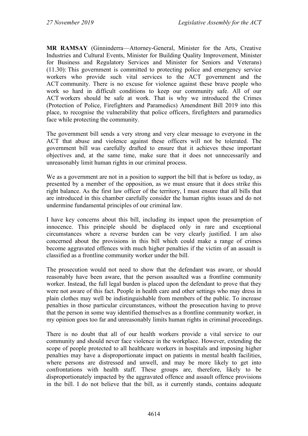**MR RAMSAY** (Ginninderra—Attorney-General, Minister for the Arts, Creative Industries and Cultural Events, Minister for Building Quality Improvement, Minister for Business and Regulatory Services and Minister for Seniors and Veterans) (11.30): This government is committed to protecting police and emergency service workers who provide such vital services to the ACT government and the ACT community. There is no excuse for violence against these brave people who work so hard in difficult conditions to keep our community safe. All of our ACT workers should be safe at work. That is why we introduced the Crimes (Protection of Police, Firefighters and Paramedics) Amendment Bill 2019 into this place, to recognise the vulnerability that police officers, firefighters and paramedics face while protecting the community.

The government bill sends a very strong and very clear message to everyone in the ACT that abuse and violence against these officers will not be tolerated. The government bill was carefully drafted to ensure that it achieves these important objectives and, at the same time, make sure that it does not unnecessarily and unreasonably limit human rights in our criminal process.

We as a government are not in a position to support the bill that is before us today, as presented by a member of the opposition, as we must ensure that it does strike this right balance. As the first law officer of the territory, I must ensure that all bills that are introduced in this chamber carefully consider the human rights issues and do not undermine fundamental principles of our criminal law.

I have key concerns about this bill, including its impact upon the presumption of innocence. This principle should be displaced only in rare and exceptional circumstances where a reverse burden can be very clearly justified. I am also concerned about the provisions in this bill which could make a range of crimes become aggravated offences with much higher penalties if the victim of an assault is classified as a frontline community worker under the bill.

The prosecution would not need to show that the defendant was aware, or should reasonably have been aware, that the person assaulted was a frontline community worker. Instead, the full legal burden is placed upon the defendant to prove that they were not aware of this fact. People in health care and other settings who may dress in plain clothes may well be indistinguishable from members of the public. To increase penalties in those particular circumstances, without the prosecution having to prove that the person in some way identified themselves as a frontline community worker, in my opinion goes too far and unreasonably limits human rights in criminal proceedings.

There is no doubt that all of our health workers provide a vital service to our community and should never face violence in the workplace. However, extending the scope of people protected to all healthcare workers in hospitals and imposing higher penalties may have a disproportionate impact on patients in mental health facilities, where persons are distressed and unwell, and may be more likely to get into confrontations with health staff. These groups are, therefore, likely to be disproportionately impacted by the aggravated offence and assault offence provisions in the bill. I do not believe that the bill, as it currently stands, contains adequate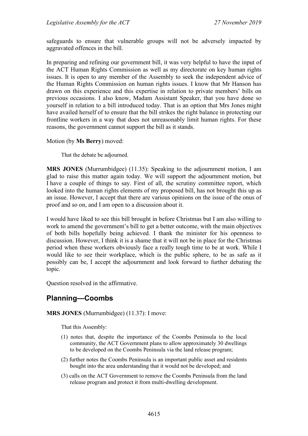safeguards to ensure that vulnerable groups will not be adversely impacted by aggravated offences in the bill.

In preparing and refining our government bill, it was very helpful to have the input of the ACT Human Rights Commission as well as my directorate on key human rights issues. It is open to any member of the Assembly to seek the independent advice of the Human Rights Commission on human rights issues. I know that Mr Hanson has drawn on this experience and this expertise in relation to private members' bills on previous occasions. I also know, Madam Assistant Speaker, that you have done so yourself in relation to a bill introduced today. That is an option that Mrs Jones might have availed herself of to ensure that the bill strikes the right balance in protecting our frontline workers in a way that does not unreasonably limit human rights. For these reasons, the government cannot support the bill as it stands.

#### Motion (by **Ms Berry**) moved:

That the debate be adjourned.

**MRS JONES** (Murrumbidgee) (11.35): Speaking to the adjournment motion, I am glad to raise this matter again today. We will support the adjournment motion, but I have a couple of things to say. First of all, the scrutiny committee report, which looked into the human rights elements of my proposed bill, has not brought this up as an issue. However, I accept that there are various opinions on the issue of the onus of proof and so on, and I am open to a discussion about it.

I would have liked to see this bill brought in before Christmas but I am also willing to work to amend the government's bill to get a better outcome, with the main objectives of both bills hopefully being achieved. I thank the minister for his openness to discussion. However, I think it is a shame that it will not be in place for the Christmas period when these workers obviously face a really tough time to be at work. While I would like to see their workplace, which is the public sphere, to be as safe as it possibly can be, I accept the adjournment and look forward to further debating the topic.

Question resolved in the affirmative.

# <span id="page-27-0"></span>**Planning—Coombs**

#### **MRS JONES** (Murrumbidgee) (11.37): I move:

That this Assembly:

- (1) notes that, despite the importance of the Coombs Peninsula to the local community, the ACT Government plans to allow approximately 30 dwellings to be developed on the Coombs Peninsula via the land release program;
- (2) further notes the Coombs Peninsula is an important public asset and residents bought into the area understanding that it would not be developed; and
- (3) calls on the ACT Government to remove the Coombs Peninsula from the land release program and protect it from multi-dwelling development.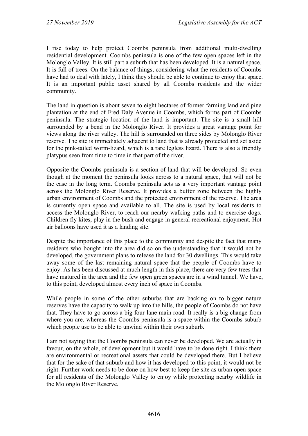I rise today to help protect Coombs peninsula from additional multi-dwelling residential development. Coombs peninsula is one of the few open spaces left in the Molonglo Valley. It is still part a suburb that has been developed. It is a natural space. It is full of trees. On the balance of things, considering what the residents of Coombs have had to deal with lately, I think they should be able to continue to enjoy that space. It is an important public asset shared by all Coombs residents and the wider community.

The land in question is about seven to eight hectares of former farming land and pine plantation at the end of Fred Daly Avenue in Coombs, which forms part of Coombs peninsula. The strategic location of the land is important. The site is a small hill surrounded by a bend in the Molonglo River. It provides a great vantage point for views along the river valley. The hill is surrounded on three sides by Molonglo River reserve. The site is immediately adjacent to land that is already protected and set aside for the pink-tailed worm-lizard, which is a rare legless lizard. There is also a friendly platypus seen from time to time in that part of the river.

Opposite the Coombs peninsula is a section of land that will be developed. So even though at the moment the peninsula looks across to a natural space, that will not be the case in the long term. Coombs peninsula acts as a very important vantage point across the Molonglo River Reserve. It provides a buffer zone between the highly urban environment of Coombs and the protected environment of the reserve. The area is currently open space and available to all. The site is used by local residents to access the Molonglo River, to reach our nearby walking paths and to exercise dogs. Children fly kites, play in the bush and engage in general recreational enjoyment. Hot air balloons have used it as a landing site.

Despite the importance of this place to the community and despite the fact that many residents who bought into the area did so on the understanding that it would not be developed, the government plans to release the land for 30 dwellings. This would take away some of the last remaining natural space that the people of Coombs have to enjoy. As has been discussed at much length in this place, there are very few trees that have matured in the area and the few open green spaces are in a wind tunnel. We have, to this point, developed almost every inch of space in Coombs.

While people in some of the other suburbs that are backing on to bigger nature reserves have the capacity to walk up into the hills, the people of Coombs do not have that. They have to go across a big four-lane main road. It really is a big change from where you are, whereas the Coombs peninsula is a space within the Coombs suburb which people use to be able to unwind within their own suburb.

I am not saying that the Coombs peninsula can never be developed. We are actually in favour, on the whole, of development but it would have to be done right. I think there are environmental or recreational assets that could be developed there. But I believe that for the sake of that suburb and how it has developed to this point, it would not be right. Further work needs to be done on how best to keep the site as urban open space for all residents of the Molonglo Valley to enjoy while protecting nearby wildlife in the Molonglo River Reserve.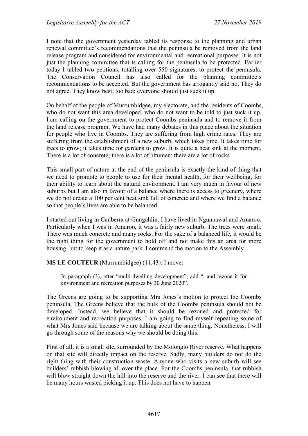I note that the government yesterday tabled its response to the planning and urban renewal committee's recommendations that the peninsula be removed from the land release program and considered for environmental and recreational purposes. It is not just the planning committee that is calling for the peninsula to be protected. Earlier today I tabled two petitions, totalling over 550 signatures, to protect the peninsula. The Conservation Council has also called for the planning committee's recommendations to be accepted. But the government has arrogantly said no. They do not agree. They know best; too bad; everyone should just suck it up.

On behalf of the people of Murrumbidgee, my electorate, and the residents of Coombs, who do not want this area developed, who do not want to be told to just suck it up, I am calling on the government to protect Coombs peninsula and to remove it from the land release program. We have had many debates in this place about the situation for people who live in Coombs. They are suffering from high crime rates. They are suffering from the establishment of a new suburb, which takes time. It takes time for trees to grow; it takes time for gardens to grow. It is quite a heat sink at the moment. There is a lot of concrete; there is a lot of bitumen; there are a lot of rocks.

This small part of nature at the end of the peninsula is exactly the kind of thing that we need to promote to people to use for their mental health, for their wellbeing, for their ability to learn about the natural environment. I am very much in favour of new suburbs but I am also in favour of a balance where there is access to greenery, where we do not create a 100 per cent heat sink full of concrete and where we find a balance so that people's lives are able to be balanced.

I started out living in Canberra at Gungahlin. I have lived in Ngunnawal and Amaroo. Particularly when I was in Amaroo, it was a fairly new suburb. The trees were small. There was much concrete and many rocks. For the sake of a balanced life, it would be the right thing for the government to hold off and not make this an area for more housing, but to keep it as a nature park. I commend the motion to the Assembly.

#### **MS LE COUTEUR** (Murrumbidgee) (11.43): I move:

In paragraph (3), after "multi-dwelling development", add ", and rezone it for environment and recreation purposes by 30 June 2020".

The Greens are going to be supporting Mrs Jones's motion to protect the Coombs peninsula. The Greens believe that the bulk of the Coombs peninsula should not be developed. Instead, we believe that it should be rezoned and protected for environment and recreation purposes. I am going to find myself repeating some of what Mrs Jones said because we are talking about the same thing. Nonetheless, I will go through some of the reasons why we should be doing this.

First of all, it is a small site, surrounded by the Molonglo River reserve. What happens on that site will directly impact on the reserve. Sadly, many builders do not do the right thing with their construction waste. Anyone who visits a new suburb will see builders' rubbish blowing all over the place. For the Coombs peninsula, that rubbish will blow straight down the hill into the reserve and the river. I can see that there will be many hours wasted picking it up. This does not have to happen.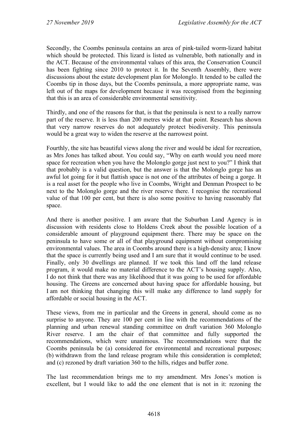Secondly, the Coombs peninsula contains an area of pink-tailed worm-lizard habitat which should be protected. This lizard is listed as vulnerable, both nationally and in the ACT. Because of the environmental values of this area, the Conservation Council has been fighting since 2010 to protect it. In the Seventh Assembly, there were discussions about the estate development plan for Molonglo. It tended to be called the Coombs tip in those days, but the Coombs peninsula, a more appropriate name, was left out of the maps for development because it was recognised from the beginning that this is an area of considerable environmental sensitivity.

Thirdly, and one of the reasons for that, is that the peninsula is next to a really narrow part of the reserve. It is less than 200 metres wide at that point. Research has shown that very narrow reserves do not adequately protect biodiversity. This peninsula would be a great way to widen the reserve at the narrowest point.

Fourthly, the site has beautiful views along the river and would be ideal for recreation, as Mrs Jones has talked about. You could say, "Why on earth would you need more space for recreation when you have the Molonglo gorge just next to you?" I think that that probably is a valid question, but the answer is that the Molonglo gorge has an awful lot going for it but flattish space is not one of the attributes of being a gorge. It is a real asset for the people who live in Coombs, Wright and Denman Prospect to be next to the Molonglo gorge and the river reserve there. I recognise the recreational value of that 100 per cent, but there is also some positive to having reasonably flat space.

And there is another positive. I am aware that the Suburban Land Agency is in discussion with residents close to Holdens Creek about the possible location of a considerable amount of playground equipment there. There may be space on the peninsula to have some or all of that playground equipment without compromising environmental values. The area in Coombs around there is a high-density area; I know that the space is currently being used and I am sure that it would continue to be used. Finally, only 30 dwellings are planned. If we took this land off the land release program, it would make no material difference to the ACT's housing supply. Also, I do not think that there was any likelihood that it was going to be used for affordable housing. The Greens are concerned about having space for affordable housing, but I am not thinking that changing this will make any difference to land supply for affordable or social housing in the ACT.

These views, from me in particular and the Greens in general, should come as no surprise to anyone. They are 100 per cent in line with the recommendations of the planning and urban renewal standing committee on draft variation 360 Molonglo River reserve. I am the chair of that committee and fully supported the recommendations, which were unanimous. The recommendations were that the Coombs peninsula be (a) considered for environmental and recreational purposes; (b) withdrawn from the land release program while this consideration is completed; and (c) rezoned by draft variation 360 to the hills, ridges and buffer zone.

The last recommendation brings me to my amendment. Mrs Jones's motion is excellent, but I would like to add the one element that is not in it: rezoning the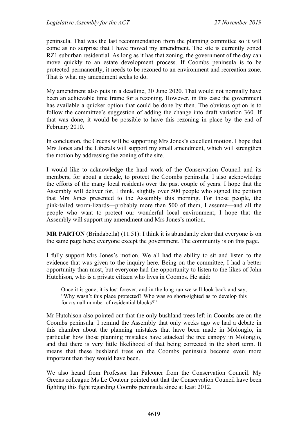peninsula. That was the last recommendation from the planning committee so it will come as no surprise that I have moved my amendment. The site is currently zoned RZ1 suburban residential. As long as it has that zoning, the government of the day can move quickly to an estate development process. If Coombs peninsula is to be protected permanently, it needs to be rezoned to an environment and recreation zone. That is what my amendment seeks to do.

My amendment also puts in a deadline, 30 June 2020. That would not normally have been an achievable time frame for a rezoning. However, in this case the government has available a quicker option that could be done by then. The obvious option is to follow the committee's suggestion of adding the change into draft variation 360. If that was done, it would be possible to have this rezoning in place by the end of February 2010.

In conclusion, the Greens will be supporting Mrs Jones's excellent motion. I hope that Mrs Jones and the Liberals will support my small amendment, which will strengthen the motion by addressing the zoning of the site.

I would like to acknowledge the hard work of the Conservation Council and its members, for about a decade, to protect the Coombs peninsula. I also acknowledge the efforts of the many local residents over the past couple of years. I hope that the Assembly will deliver for, I think, slightly over 500 people who signed the petition that Mrs Jones presented to the Assembly this morning. For those people, the pink-tailed worm-lizards—probably more than 500 of them, I assume—and all the people who want to protect our wonderful local environment, I hope that the Assembly will support my amendment and Mrs Jones's motion.

**MR PARTON** (Brindabella) (11.51): I think it is abundantly clear that everyone is on the same page here; everyone except the government. The community is on this page.

I fully support Mrs Jones's motion. We all had the ability to sit and listen to the evidence that was given to the inquiry here. Being on the committee, I had a better opportunity than most, but everyone had the opportunity to listen to the likes of John Hutchison, who is a private citizen who lives in Coombs. He said:

Once it is gone, it is lost forever, and in the long run we will look back and say, "Why wasn't this place protected? Who was so short-sighted as to develop this for a small number of residential blocks?"

Mr Hutchison also pointed out that the only bushland trees left in Coombs are on the Coombs peninsula. I remind the Assembly that only weeks ago we had a debate in this chamber about the planning mistakes that have been made in Molonglo, in particular how those planning mistakes have attacked the tree canopy in Molonglo, and that there is very little likelihood of that being corrected in the short term. It means that these bushland trees on the Coombs peninsula become even more important than they would have been.

We also heard from Professor Ian Falconer from the Conservation Council. My Greens colleague Ms Le Couteur pointed out that the Conservation Council have been fighting this fight regarding Coombs peninsula since at least 2012.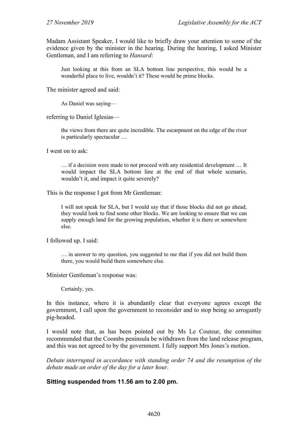Madam Assistant Speaker, I would like to briefly draw your attention to some of the evidence given by the minister in the hearing. During the hearing, I asked Minister Gentleman, and I am referring to *Hansard*:

Just looking at this from an SLA bottom line perspective, this would be a wonderful place to live, wouldn't it? These would be prime blocks.

The minister agreed and said:

As Daniel was saying—

referring to Daniel Iglesias—

the views from there are quite incredible. The escarpment on the edge of the river is particularly spectacular …

I went on to ask:

… if a decision were made to not proceed with any residential development … It would impact the SLA bottom line at the end of that whole scenario, wouldn't it, and impact it quite severely?

This is the response I got from Mr Gentleman:

I will not speak for SLA, but I would say that if those blocks did not go ahead, they would look to find some other blocks. We are looking to ensure that we can supply enough land for the growing population, whether it is there or somewhere else.

I followed up. I said:

… in answer to my question, you suggested to me that if you did not build them there, you would build them somewhere else.

Minister Gentleman's response was:

Certainly, yes.

In this instance, where it is abundantly clear that everyone agrees except the government, I call upon the government to reconsider and to stop being so arrogantly pig-headed.

I would note that, as has been pointed out by Ms Le Couteur, the committee recommended that the Coombs peninsula be withdrawn from the land release program, and this was not agreed to by the government. I fully support Mrs Jones's motion.

*Debate interrupted in accordance with standing order 74 and the resumption of the debate made an order of the day for a later hour.*

#### **Sitting suspended from 11.56 am to 2.00 pm.**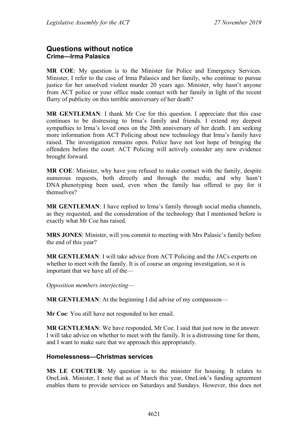# <span id="page-33-1"></span><span id="page-33-0"></span>**Questions without notice Crime—Irma Palasics**

**MR COE**: My question is to the Minister for Police and Emergency Services. Minister, I refer to the case of Irma Palasics and her family, who continue to pursue justice for her unsolved violent murder 20 years ago. Minister, why hasn't anyone from ACT police or your office made contact with her family in light of the recent flurry of publicity on this terrible anniversary of her death?

**MR GENTLEMAN**: I thank Mr Coe for this question. I appreciate that this case continues to be distressing to Irma's family and friends. I extend my deepest sympathies to Irma's loved ones on the 20th anniversary of her death. I am seeking more information from ACT Policing about new technology that Irma's family have raised. The investigation remains open. Police have not lost hope of bringing the offenders before the court. ACT Policing will actively consider any new evidence brought forward.

**MR COE**: Minister, why have you refused to make contact with the family, despite numerous requests, both directly and through the media; and why hasn't DNA phenotyping been used, even when the family has offered to pay for it themselves?

**MR GENTLEMAN**: I have replied to Irma's family through social media channels, as they requested, and the consideration of the technology that I mentioned before is exactly what Mr Coe has raised.

**MRS JONES**: Minister, will you commit to meeting with Mrs Palasic's family before the end of this year?

**MR GENTLEMAN**: I will take advice from ACT Policing and the JACs experts on whether to meet with the family. It is of course an ongoing investigation, so it is important that we have all of the—

*Opposition members interjecting*—

**MR GENTLEMAN:** At the beginning I did advise of my compassion—

**Mr Coe**: You still have not responded to her email.

**MR GENTLEMAN**: We have responded, Mr Coe. I said that just now in the answer. I will take advice on whether to meet with the family. It is a distressing time for them, and I want to make sure that we approach this appropriately.

#### <span id="page-33-2"></span>**Homelessness—Christmas services**

**MS LE COUTEUR**: My question is to the minister for housing. It relates to OneLink. Minister, I note that as of March this year, OneLink's funding agreement enables them to provide services on Saturdays and Sundays. However, this does not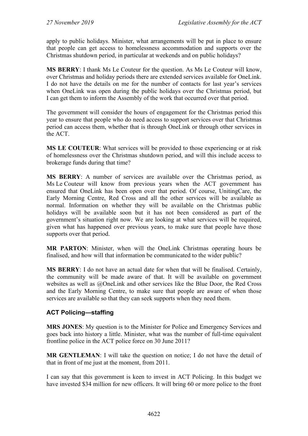apply to public holidays. Minister, what arrangements will be put in place to ensure that people can get access to homelessness accommodation and supports over the Christmas shutdown period, in particular at weekends and on public holidays?

**MS BERRY**: I thank Ms Le Couteur for the question. As Ms Le Couteur will know, over Christmas and holiday periods there are extended services available for OneLink. I do not have the details on me for the number of contacts for last year's services when OneLink was open during the public holidays over the Christmas period, but I can get them to inform the Assembly of the work that occurred over that period.

The government will consider the hours of engagement for the Christmas period this year to ensure that people who do need access to support services over that Christmas period can access them, whether that is through OneLink or through other services in the ACT.

**MS LE COUTEUR**: What services will be provided to those experiencing or at risk of homelessness over the Christmas shutdown period, and will this include access to brokerage funds during that time?

**MS BERRY**: A number of services are available over the Christmas period, as Ms Le Couteur will know from previous years when the ACT government has ensured that OneLink has been open over that period. Of course, UnitingCare, the Early Morning Centre, Red Cross and all the other services will be available as normal. Information on whether they will be available on the Christmas public holidays will be available soon but it has not been considered as part of the government's situation right now. We are looking at what services will be required, given what has happened over previous years, to make sure that people have those supports over that period.

**MR PARTON**: Minister, when will the OneLink Christmas operating hours be finalised, and how will that information be communicated to the wider public?

**MS BERRY**: I do not have an actual date for when that will be finalised. Certainly, the community will be made aware of that. It will be available on government websites as well as @OneLink and other services like the Blue Door, the Red Cross and the Early Morning Centre, to make sure that people are aware of when those services are available so that they can seek supports when they need them.

#### <span id="page-34-0"></span>**ACT Policing—staffing**

**MRS JONES**: My question is to the Minister for Police and Emergency Services and goes back into history a little. Minister, what was the number of full-time equivalent frontline police in the ACT police force on 30 June 2011?

**MR GENTLEMAN**: I will take the question on notice; I do not have the detail of that in front of me just at the moment, from 2011.

I can say that this government is keen to invest in ACT Policing. In this budget we have invested \$34 million for new officers. It will bring 60 or more police to the front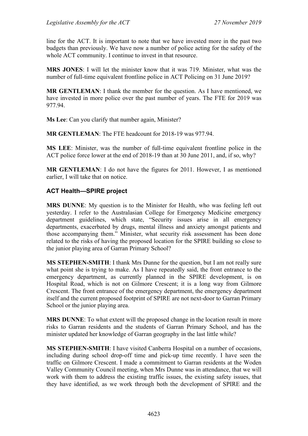line for the ACT. It is important to note that we have invested more in the past two budgets than previously. We have now a number of police acting for the safety of the whole ACT community. I continue to invest in that resource.

**MRS JONES**: I will let the minister know that it was 719. Minister, what was the number of full-time equivalent frontline police in ACT Policing on 31 June 2019?

**MR GENTLEMAN**: I thank the member for the question. As I have mentioned, we have invested in more police over the past number of years. The FTE for 2019 was 977.94.

**Ms Lee**: Can you clarify that number again, Minister?

**MR GENTLEMAN**: The FTE headcount for 2018-19 was 977.94.

**MS LEE**: Minister, was the number of full-time equivalent frontline police in the ACT police force lower at the end of 2018-19 than at 30 June 2011, and, if so, why?

**MR GENTLEMAN**: I do not have the figures for 2011. However, I as mentioned earlier, I will take that on notice.

#### <span id="page-35-0"></span>**ACT Health—SPIRE project**

**MRS DUNNE**: My question is to the Minister for Health, who was feeling left out yesterday. I refer to the Australasian College for Emergency Medicine emergency department guidelines, which state, "Security issues arise in all emergency departments, exacerbated by drugs, mental illness and anxiety amongst patients and those accompanying them." Minister, what security risk assessment has been done related to the risks of having the proposed location for the SPIRE building so close to the junior playing area of Garran Primary School?

**MS STEPHEN-SMITH**: I thank Mrs Dunne for the question, but I am not really sure what point she is trying to make. As I have repeatedly said, the front entrance to the emergency department, as currently planned in the SPIRE development, is on Hospital Road, which is not on Gilmore Crescent; it is a long way from Gilmore Crescent. The front entrance of the emergency department, the emergency department itself and the current proposed footprint of SPIRE are not next-door to Garran Primary School or the junior playing area.

**MRS DUNNE**: To what extent will the proposed change in the location result in more risks to Garran residents and the students of Garran Primary School, and has the minister updated her knowledge of Garran geography in the last little while?

**MS STEPHEN-SMITH**: I have visited Canberra Hospital on a number of occasions, including during school drop-off time and pick-up time recently. I have seen the traffic on Gilmore Crescent. I made a commitment to Garran residents at the Woden Valley Community Council meeting, when Mrs Dunne was in attendance, that we will work with them to address the existing traffic issues, the existing safety issues, that they have identified, as we work through both the development of SPIRE and the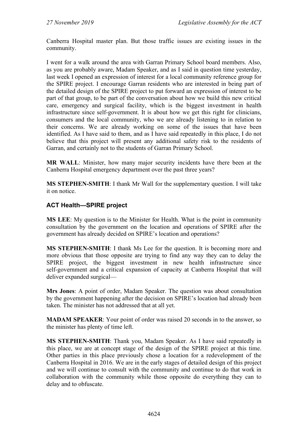Canberra Hospital master plan. But those traffic issues are existing issues in the community.

I went for a walk around the area with Garran Primary School board members. Also, as you are probably aware, Madam Speaker, and as I said in question time yesterday, last week I opened an expression of interest for a local community reference group for the SPIRE project. I encourage Garran residents who are interested in being part of the detailed design of the SPIRE project to put forward an expression of interest to be part of that group, to be part of the conversation about how we build this new critical care, emergency and surgical facility, which is the biggest investment in health infrastructure since self-government. It is about how we get this right for clinicians, consumers and the local community, who we are already listening to in relation to their concerns. We are already working on some of the issues that have been identified. As I have said to them, and as I have said repeatedly in this place, I do not believe that this project will present any additional safety risk to the residents of Garran, and certainly not to the students of Garran Primary School.

**MR WALL**: Minister, how many major security incidents have there been at the Canberra Hospital emergency department over the past three years?

**MS STEPHEN-SMITH**: I thank Mr Wall for the supplementary question. I will take it on notice.

## **ACT Health—SPIRE project**

**MS LEE**: My question is to the Minister for Health. What is the point in community consultation by the government on the location and operations of SPIRE after the government has already decided on SPIRE's location and operations?

**MS STEPHEN-SMITH**: I thank Ms Lee for the question. It is becoming more and more obvious that those opposite are trying to find any way they can to delay the SPIRE project, the biggest investment in new health infrastructure since self-government and a critical expansion of capacity at Canberra Hospital that will deliver expanded surgical—

**Mrs Jones**: A point of order, Madam Speaker. The question was about consultation by the government happening after the decision on SPIRE's location had already been taken. The minister has not addressed that at all yet.

**MADAM SPEAKER**: Your point of order was raised 20 seconds in to the answer, so the minister has plenty of time left.

**MS STEPHEN-SMITH**: Thank you, Madam Speaker. As I have said repeatedly in this place, we are at concept stage of the design of the SPIRE project at this time. Other parties in this place previously chose a location for a redevelopment of the Canberra Hospital in 2016. We are in the early stages of detailed design of this project and we will continue to consult with the community and continue to do that work in collaboration with the community while those opposite do everything they can to delay and to obfuscate.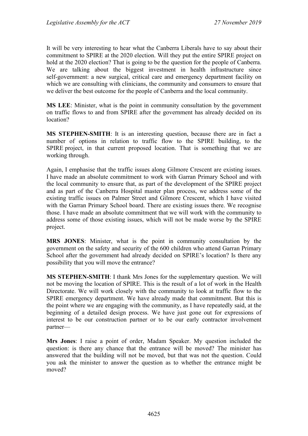It will be very interesting to hear what the Canberra Liberals have to say about their commitment to SPIRE at the 2020 election. Will they put the entire SPIRE project on hold at the 2020 election? That is going to be the question for the people of Canberra. We are talking about the biggest investment in health infrastructure since self-government: a new surgical, critical care and emergency department facility on which we are consulting with clinicians, the community and consumers to ensure that we deliver the best outcome for the people of Canberra and the local community.

**MS LEE**: Minister, what is the point in community consultation by the government on traffic flows to and from SPIRE after the government has already decided on its location?

**MS STEPHEN-SMITH**: It is an interesting question, because there are in fact a number of options in relation to traffic flow to the SPIRE building, to the SPIRE project, in that current proposed location. That is something that we are working through.

Again, I emphasise that the traffic issues along Gilmore Crescent are existing issues. I have made an absolute commitment to work with Garran Primary School and with the local community to ensure that, as part of the development of the SPIRE project and as part of the Canberra Hospital master plan process, we address some of the existing traffic issues on Palmer Street and Gilmore Crescent, which I have visited with the Garran Primary School board. There are existing issues there. We recognise those. I have made an absolute commitment that we will work with the community to address some of those existing issues, which will not be made worse by the SPIRE project.

**MRS JONES**: Minister, what is the point in community consultation by the government on the safety and security of the 600 children who attend Garran Primary School after the government had already decided on SPIRE's location? Is there any possibility that you will move the entrance?

**MS STEPHEN-SMITH**: I thank Mrs Jones for the supplementary question. We will not be moving the location of SPIRE. This is the result of a lot of work in the Health Directorate. We will work closely with the community to look at traffic flow to the SPIRE emergency department. We have already made that commitment. But this is the point where we are engaging with the community, as I have repeatedly said, at the beginning of a detailed design process. We have just gone out for expressions of interest to be our construction partner or to be our early contractor involvement partner—

**Mrs Jones**: I raise a point of order, Madam Speaker. My question included the question: is there any chance that the entrance will be moved? The minister has answered that the building will not be moved, but that was not the question. Could you ask the minister to answer the question as to whether the entrance might be moved?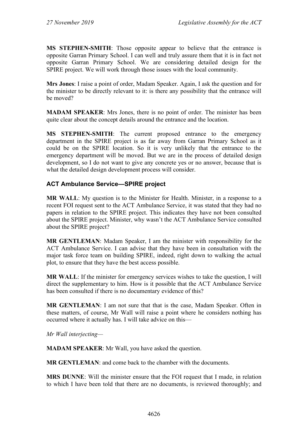**MS STEPHEN-SMITH**: Those opposite appear to believe that the entrance is opposite Garran Primary School. I can well and truly assure them that it is in fact not opposite Garran Primary School. We are considering detailed design for the SPIRE project. We will work through those issues with the local community.

**Mrs Jones**: I raise a point of order, Madam Speaker. Again, I ask the question and for the minister to be directly relevant to it: is there any possibility that the entrance will be moved?

**MADAM SPEAKER**: Mrs Jones, there is no point of order. The minister has been quite clear about the concept details around the entrance and the location.

**MS STEPHEN-SMITH**: The current proposed entrance to the emergency department in the SPIRE project is as far away from Garran Primary School as it could be on the SPIRE location. So it is very unlikely that the entrance to the emergency department will be moved. But we are in the process of detailed design development, so I do not want to give any concrete yes or no answer, because that is what the detailed design development process will consider.

## **ACT Ambulance Service—SPIRE project**

**MR WALL**: My question is to the Minister for Health. Minister, in a response to a recent FOI request sent to the ACT Ambulance Service, it was stated that they had no papers in relation to the SPIRE project. This indicates they have not been consulted about the SPIRE project. Minister, why wasn't the ACT Ambulance Service consulted about the SPIRE project?

**MR GENTLEMAN**: Madam Speaker, I am the minister with responsibility for the ACT Ambulance Service. I can advise that they have been in consultation with the major task force team on building SPIRE, indeed, right down to walking the actual plot, to ensure that they have the best access possible.

**MR WALL**: If the minister for emergency services wishes to take the question, I will direct the supplementary to him. How is it possible that the ACT Ambulance Service has been consulted if there is no documentary evidence of this?

**MR GENTLEMAN**: I am not sure that that is the case, Madam Speaker. Often in these matters, of course, Mr Wall will raise a point where he considers nothing has occurred where it actually has. I will take advice on this—

*Mr Wall interjecting—*

**MADAM SPEAKER**: Mr Wall, you have asked the question.

**MR GENTLEMAN**: and come back to the chamber with the documents.

**MRS DUNNE**: Will the minister ensure that the FOI request that I made, in relation to which I have been told that there are no documents, is reviewed thoroughly; and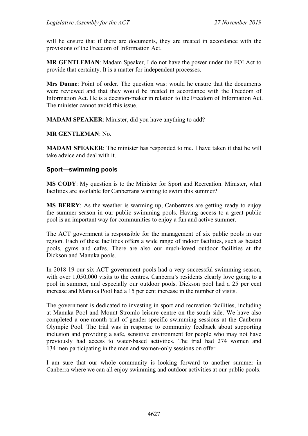will he ensure that if there are documents, they are treated in accordance with the provisions of the Freedom of Information Act.

**MR GENTLEMAN**: Madam Speaker, I do not have the power under the FOI Act to provide that certainty. It is a matter for independent processes.

**Mrs Dunne**: Point of order. The question was: would he ensure that the documents were reviewed and that they would be treated in accordance with the Freedom of Information Act. He is a decision-maker in relation to the Freedom of Information Act. The minister cannot avoid this issue.

**MADAM SPEAKER**: Minister, did you have anything to add?

**MR GENTLEMAN**: No.

**MADAM SPEAKER**: The minister has responded to me. I have taken it that he will take advice and deal with it.

#### **Sport—swimming pools**

**MS CODY**: My question is to the Minister for Sport and Recreation. Minister, what facilities are available for Canberrans wanting to swim this summer?

**MS BERRY**: As the weather is warming up, Canberrans are getting ready to enjoy the summer season in our public swimming pools. Having access to a great public pool is an important way for communities to enjoy a fun and active summer.

The ACT government is responsible for the management of six public pools in our region. Each of these facilities offers a wide range of indoor facilities, such as heated pools, gyms and cafes. There are also our much-loved outdoor facilities at the Dickson and Manuka pools.

In 2018-19 our six ACT government pools had a very successful swimming season, with over 1,050,000 visits to the centres. Canberra's residents clearly love going to a pool in summer, and especially our outdoor pools. Dickson pool had a 25 per cent increase and Manuka Pool had a 15 per cent increase in the number of visits.

The government is dedicated to investing in sport and recreation facilities, including at Manuka Pool and Mount Stromlo leisure centre on the south side. We have also completed a one-month trial of gender-specific swimming sessions at the Canberra Olympic Pool. The trial was in response to community feedback about supporting inclusion and providing a safe, sensitive environment for people who may not have previously had access to water-based activities. The trial had 274 women and 134 men participating in the men and women-only sessions on offer.

I am sure that our whole community is looking forward to another summer in Canberra where we can all enjoy swimming and outdoor activities at our public pools.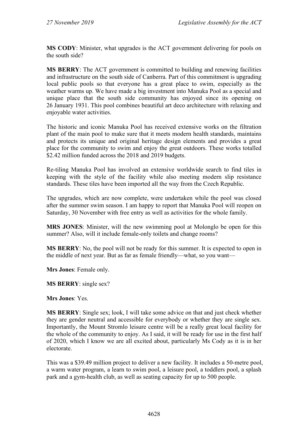**MS CODY**: Minister, what upgrades is the ACT government delivering for pools on the south side?

**MS BERRY**: The ACT government is committed to building and renewing facilities and infrastructure on the south side of Canberra. Part of this commitment is upgrading local public pools so that everyone has a great place to swim, especially as the weather warms up. We have made a big investment into Manuka Pool as a special and unique place that the south side community has enjoyed since its opening on 26 January 1931. This pool combines beautiful art deco architecture with relaxing and enjoyable water activities.

The historic and iconic Manuka Pool has received extensive works on the filtration plant of the main pool to make sure that it meets modern health standards, maintains and protects its unique and original heritage design elements and provides a great place for the community to swim and enjoy the great outdoors. These works totalled \$2.42 million funded across the 2018 and 2019 budgets.

Re-tiling Manuka Pool has involved an extensive worldwide search to find tiles in keeping with the style of the facility while also meeting modern slip resistance standards. These tiles have been imported all the way from the Czech Republic.

The upgrades, which are now complete, were undertaken while the pool was closed after the summer swim season. I am happy to report that Manuka Pool will reopen on Saturday, 30 November with free entry as well as activities for the whole family.

**MRS JONES**: Minister, will the new swimming pool at Molonglo be open for this summer? Also, will it include female-only toilets and change rooms?

**MS BERRY**: No, the pool will not be ready for this summer. It is expected to open in the middle of next year. But as far as female friendly—what, so you want—

**Mrs Jones**: Female only.

**MS BERRY**: single sex?

**Mrs Jones**: Yes.

**MS BERRY**: Single sex; look, I will take some advice on that and just check whether they are gender neutral and accessible for everybody or whether they are single sex. Importantly, the Mount Stromlo leisure centre will be a really great local facility for the whole of the community to enjoy. As I said, it will be ready for use in the first half of 2020, which I know we are all excited about, particularly Ms Cody as it is in her electorate.

This was a \$39.49 million project to deliver a new facility. It includes a 50-metre pool, a warm water program, a learn to swim pool, a leisure pool, a toddlers pool, a splash park and a gym-health club, as well as seating capacity for up to 500 people.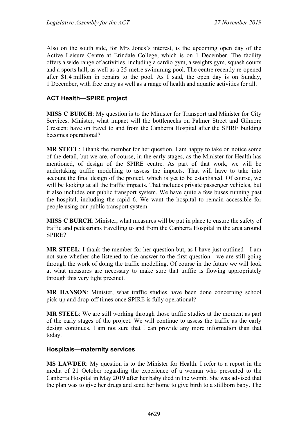Also on the south side, for Mrs Jones's interest, is the upcoming open day of the Active Leisure Centre at Erindale College, which is on 1 December. The facility offers a wide range of activities, including a cardio gym, a weights gym, squash courts and a sports hall, as well as a 25-metre swimming pool. The centre recently re-opened after \$1.4 million in repairs to the pool. As I said, the open day is on Sunday, 1 December, with free entry as well as a range of health and aquatic activities for all.

## **ACT Health—SPIRE project**

**MISS C BURCH**: My question is to the Minister for Transport and Minister for City Services. Minister, what impact will the bottlenecks on Palmer Street and Gilmore Crescent have on travel to and from the Canberra Hospital after the SPIRE building becomes operational?

**MR STEEL**: I thank the member for her question. I am happy to take on notice some of the detail, but we are, of course, in the early stages, as the Minister for Health has mentioned, of design of the SPIRE centre. As part of that work, we will be undertaking traffic modelling to assess the impacts. That will have to take into account the final design of the project, which is yet to be established. Of course, we will be looking at all the traffic impacts. That includes private passenger vehicles, but it also includes our public transport system. We have quite a few buses running past the hospital, including the rapid 6. We want the hospital to remain accessible for people using our public transport system.

**MISS C BURCH**: Minister, what measures will be put in place to ensure the safety of traffic and pedestrians travelling to and from the Canberra Hospital in the area around SPIRE?

**MR STEEL**: I thank the member for her question but, as I have just outlined—I am not sure whether she listened to the answer to the first question—we are still going through the work of doing the traffic modelling. Of course in the future we will look at what measures are necessary to make sure that traffic is flowing appropriately through this very tight precinct.

**MR HANSON**: Minister, what traffic studies have been done concerning school pick-up and drop-off times once SPIRE is fully operational?

**MR STEEL**: We are still working through those traffic studies at the moment as part of the early stages of the project. We will continue to assess the traffic as the early design continues. I am not sure that I can provide any more information than that today.

### **Hospitals—maternity services**

**MS LAWDER**: My question is to the Minister for Health. I refer to a report in the media of 21 October regarding the experience of a woman who presented to the Canberra Hospital in May 2019 after her baby died in the womb. She was advised that the plan was to give her drugs and send her home to give birth to a stillborn baby. The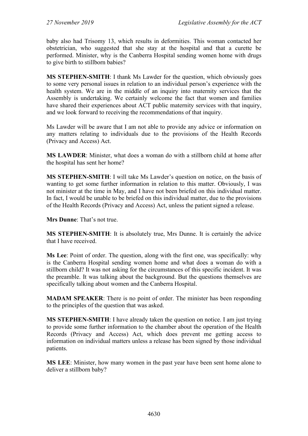baby also had Trisomy 13, which results in deformities. This woman contacted her obstetrician, who suggested that she stay at the hospital and that a curette be performed. Minister, why is the Canberra Hospital sending women home with drugs to give birth to stillborn babies?

**MS STEPHEN-SMITH**: I thank Ms Lawder for the question, which obviously goes to some very personal issues in relation to an individual person's experience with the health system. We are in the middle of an inquiry into maternity services that the Assembly is undertaking. We certainly welcome the fact that women and families have shared their experiences about ACT public maternity services with that inquiry, and we look forward to receiving the recommendations of that inquiry.

Ms Lawder will be aware that I am not able to provide any advice or information on any matters relating to individuals due to the provisions of the Health Records (Privacy and Access) Act.

**MS LAWDER**: Minister, what does a woman do with a stillborn child at home after the hospital has sent her home?

**MS STEPHEN-SMITH**: I will take Ms Lawder's question on notice, on the basis of wanting to get some further information in relation to this matter. Obviously, I was not minister at the time in May, and I have not been briefed on this individual matter. In fact, I would be unable to be briefed on this individual matter, due to the provisions of the Health Records (Privacy and Access) Act, unless the patient signed a release.

**Mrs Dunne**: That's not true.

**MS STEPHEN-SMITH**: It is absolutely true, Mrs Dunne. It is certainly the advice that I have received.

**Ms Lee**: Point of order. The question, along with the first one, was specifically: why is the Canberra Hospital sending women home and what does a woman do with a stillborn child? It was not asking for the circumstances of this specific incident. It was the preamble. It was talking about the background. But the questions themselves are specifically talking about women and the Canberra Hospital.

**MADAM SPEAKER**: There is no point of order. The minister has been responding to the principles of the question that was asked.

**MS STEPHEN-SMITH**: I have already taken the question on notice. I am just trying to provide some further information to the chamber about the operation of the Health Records (Privacy and Access) Act, which does prevent me getting access to information on individual matters unless a release has been signed by those individual patients.

**MS LEE**: Minister, how many women in the past year have been sent home alone to deliver a stillborn baby?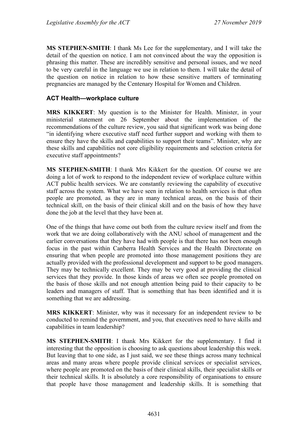**MS STEPHEN-SMITH**: I thank Ms Lee for the supplementary, and I will take the detail of the question on notice. I am not convinced about the way the opposition is phrasing this matter. These are incredibly sensitive and personal issues, and we need to be very careful in the language we use in relation to them. I will take the detail of the question on notice in relation to how these sensitive matters of terminating pregnancies are managed by the Centenary Hospital for Women and Children.

## **ACT Health—workplace culture**

**MRS KIKKERT**: My question is to the Minister for Health. Minister, in your ministerial statement on 26 September about the implementation of the recommendations of the culture review, you said that significant work was being done "in identifying where executive staff need further support and working with them to ensure they have the skills and capabilities to support their teams". Minister, why are these skills and capabilities not core eligibility requirements and selection criteria for executive staff appointments?

**MS STEPHEN-SMITH**: I thank Mrs Kikkert for the question. Of course we are doing a lot of work to respond to the independent review of workplace culture within ACT public health services. We are constantly reviewing the capability of executive staff across the system. What we have seen in relation to health services is that often people are promoted, as they are in many technical areas, on the basis of their technical skill, on the basis of their clinical skill and on the basis of how they have done the job at the level that they have been at.

One of the things that have come out both from the culture review itself and from the work that we are doing collaboratively with the ANU school of management and the earlier conversations that they have had with people is that there has not been enough focus in the past within Canberra Health Services and the Health Directorate on ensuring that when people are promoted into those management positions they are actually provided with the professional development and support to be good managers. They may be technically excellent. They may be very good at providing the clinical services that they provide. In those kinds of areas we often see people promoted on the basis of those skills and not enough attention being paid to their capacity to be leaders and managers of staff. That is something that has been identified and it is something that we are addressing.

**MRS KIKKERT**: Minister, why was it necessary for an independent review to be conducted to remind the government, and you, that executives need to have skills and capabilities in team leadership?

**MS STEPHEN-SMITH**: I thank Mrs Kikkert for the supplementary. I find it interesting that the opposition is choosing to ask questions about leadership this week. But leaving that to one side, as I just said, we see these things across many technical areas and many areas where people provide clinical services or specialist services, where people are promoted on the basis of their clinical skills, their specialist skills or their technical skills. It is absolutely a core responsibility of organisations to ensure that people have those management and leadership skills. It is something that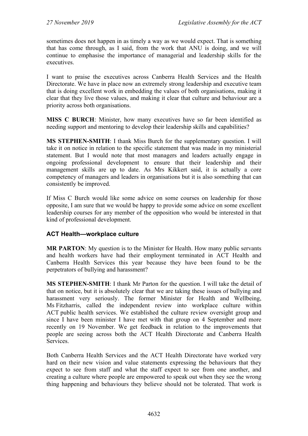sometimes does not happen in as timely a way as we would expect. That is something that has come through, as I said, from the work that ANU is doing, and we will continue to emphasise the importance of managerial and leadership skills for the executives.

I want to praise the executives across Canberra Health Services and the Health Directorate. We have in place now an extremely strong leadership and executive team that is doing excellent work in embedding the values of both organisations, making it clear that they live those values, and making it clear that culture and behaviour are a priority across both organisations.

**MISS C BURCH**: Minister, how many executives have so far been identified as needing support and mentoring to develop their leadership skills and capabilities?

**MS STEPHEN-SMITH**: I thank Miss Burch for the supplementary question. I will take it on notice in relation to the specific statement that was made in my ministerial statement. But I would note that most managers and leaders actually engage in ongoing professional development to ensure that their leadership and their management skills are up to date. As Mrs Kikkert said, it is actually a core competency of managers and leaders in organisations but it is also something that can consistently be improved.

If Miss C Burch would like some advice on some courses on leadership for those opposite, I am sure that we would be happy to provide some advice on some excellent leadership courses for any member of the opposition who would be interested in that kind of professional development.

## **ACT Health—workplace culture**

**MR PARTON:** My question is to the Minister for Health. How many public servants and health workers have had their employment terminated in ACT Health and Canberra Health Services this year because they have been found to be the perpetrators of bullying and harassment?

**MS STEPHEN-SMITH**: I thank Mr Parton for the question. I will take the detail of that on notice, but it is absolutely clear that we are taking these issues of bullying and harassment very seriously. The former Minister for Health and Wellbeing, Ms Fitzharris, called the independent review into workplace culture within ACT public health services. We established the culture review oversight group and since I have been minister I have met with that group on 4 September and more recently on 19 November. We get feedback in relation to the improvements that people are seeing across both the ACT Health Directorate and Canberra Health Services.

Both Canberra Health Services and the ACT Health Directorate have worked very hard on their new vision and value statements expressing the behaviours that they expect to see from staff and what the staff expect to see from one another, and creating a culture where people are empowered to speak out when they see the wrong thing happening and behaviours they believe should not be tolerated. That work is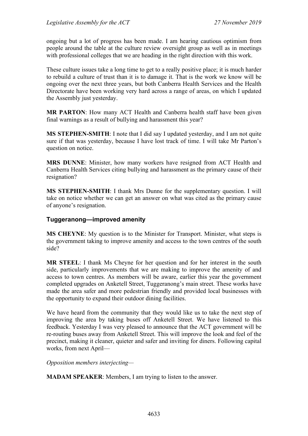ongoing but a lot of progress has been made. I am hearing cautious optimism from people around the table at the culture review oversight group as well as in meetings with professional colleges that we are heading in the right direction with this work.

These culture issues take a long time to get to a really positive place; it is much harder to rebuild a culture of trust than it is to damage it. That is the work we know will be ongoing over the next three years, but both Canberra Health Services and the Health Directorate have been working very hard across a range of areas, on which I updated the Assembly just yesterday.

**MR PARTON**: How many ACT Health and Canberra health staff have been given final warnings as a result of bullying and harassment this year?

**MS STEPHEN-SMITH**: I note that I did say I updated yesterday, and I am not quite sure if that was yesterday, because I have lost track of time. I will take Mr Parton's question on notice.

**MRS DUNNE**: Minister, how many workers have resigned from ACT Health and Canberra Health Services citing bullying and harassment as the primary cause of their resignation?

**MS STEPHEN-SMITH**: I thank Mrs Dunne for the supplementary question. I will take on notice whether we can get an answer on what was cited as the primary cause of anyone's resignation.

## **Tuggeranong—improved amenity**

**MS CHEYNE**: My question is to the Minister for Transport. Minister, what steps is the government taking to improve amenity and access to the town centres of the south side?

**MR STEEL**: I thank Ms Cheyne for her question and for her interest in the south side, particularly improvements that we are making to improve the amenity of and access to town centres. As members will be aware, earlier this year the government completed upgrades on Anketell Street, Tuggeranong's main street. These works have made the area safer and more pedestrian friendly and provided local businesses with the opportunity to expand their outdoor dining facilities.

We have heard from the community that they would like us to take the next step of improving the area by taking buses off Anketell Street. We have listened to this feedback. Yesterday I was very pleased to announce that the ACT government will be re-routing buses away from Anketell Street. This will improve the look and feel of the precinct, making it cleaner, quieter and safer and inviting for diners. Following capital works, from next April—

*Opposition members interjecting—*

**MADAM SPEAKER**: Members, I am trying to listen to the answer.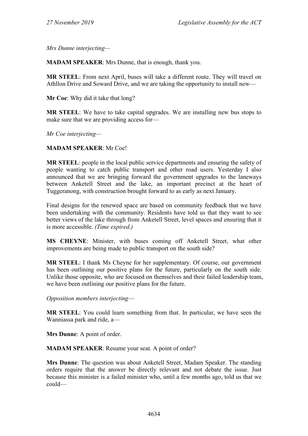*Mrs Dunne interjecting—*

**MADAM SPEAKER**: Mrs Dunne, that is enough, thank you.

**MR STEEL**: From next April, buses will take a different route. They will travel on Athllon Drive and Soward Drive, and we are taking the opportunity to install new—

**Mr Coe**: Why did it take that long?

**MR STEEL**: We have to take capital upgrades. We are installing new bus stops to make sure that we are providing access for—

*Mr Coe interjecting—*

### **MADAM SPEAKER**: Mr Coe!

**MR STEEL**: people in the local public service departments and ensuring the safety of people wanting to catch public transport and other road users. Yesterday I also announced that we are bringing forward the government upgrades to the laneways between Anketell Street and the lake, an important precinct at the heart of Tuggeranong, with construction brought forward to as early as next January.

Final designs for the renewed space are based on community feedback that we have been undertaking with the community. Residents have told us that they want to see better views of the lake through from Anketell Street, level spaces and ensuring that it is more accessible. *(Time expired.)*

**MS CHEYNE**: Minister, with buses coming off Anketell Street, what other improvements are being made to public transport on the south side?

**MR STEEL**: I thank Ms Cheyne for her supplementary. Of course, our government has been outlining our positive plans for the future, particularly on the south side. Unlike those opposite, who are focused on themselves and their failed leadership team, we have been outlining our positive plans for the future.

*Opposition members interjecting*—

**MR STEEL**: You could learn something from that. In particular, we have seen the Wanniassa park and ride, a—

**Mrs Dunne**: A point of order.

**MADAM SPEAKER**: Resume your seat. A point of order?

**Mrs Dunne**: The question was about Anketell Street, Madam Speaker. The standing orders require that the answer be directly relevant and not debate the issue. Just because this minister is a failed minister who, until a few months ago, told us that we could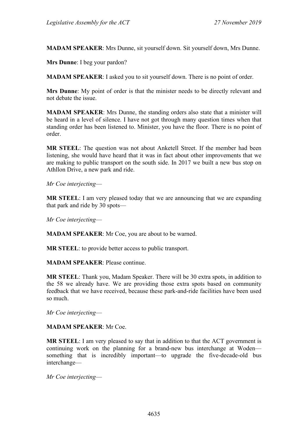**MADAM SPEAKER**: Mrs Dunne, sit yourself down. Sit yourself down, Mrs Dunne.

**Mrs Dunne**: I beg your pardon?

**MADAM SPEAKER**: I asked you to sit yourself down. There is no point of order.

**Mrs Dunne**: My point of order is that the minister needs to be directly relevant and not debate the issue.

**MADAM SPEAKER**: Mrs Dunne, the standing orders also state that a minister will be heard in a level of silence. I have not got through many question times when that standing order has been listened to. Minister, you have the floor. There is no point of order.

**MR STEEL**: The question was not about Anketell Street. If the member had been listening, she would have heard that it was in fact about other improvements that we are making to public transport on the south side. In 2017 we built a new bus stop on Athllon Drive, a new park and ride.

*Mr Coe interjecting*—

**MR STEEL**: I am very pleased today that we are announcing that we are expanding that park and ride by 30 spots—

*Mr Coe interjecting*—

**MADAM SPEAKER**: Mr Coe, you are about to be warned.

**MR STEEL**: to provide better access to public transport.

**MADAM SPEAKER**: Please continue.

**MR STEEL**: Thank you, Madam Speaker. There will be 30 extra spots, in addition to the 58 we already have. We are providing those extra spots based on community feedback that we have received, because these park-and-ride facilities have been used so much.

*Mr Coe interjecting*—

**MADAM SPEAKER**: Mr Coe.

**MR STEEL**: I am very pleased to say that in addition to that the ACT government is continuing work on the planning for a brand-new bus interchange at Woden something that is incredibly important—to upgrade the five-decade-old bus interchange—

*Mr Coe interjecting*—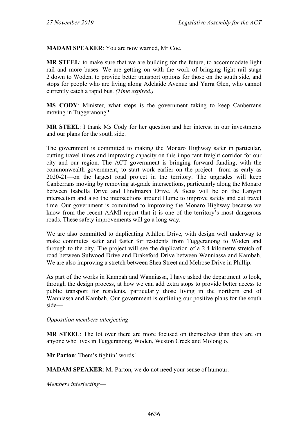**MADAM SPEAKER**: You are now warned, Mr Coe.

**MR STEEL**: to make sure that we are building for the future, to accommodate light rail and more buses. We are getting on with the work of bringing light rail stage 2 down to Woden, to provide better transport options for those on the south side, and stops for people who are living along Adelaide Avenue and Yarra Glen, who cannot currently catch a rapid bus. *(Time expired.)*

**MS CODY**: Minister, what steps is the government taking to keep Canberrans moving in Tuggeranong?

**MR STEEL**: I thank Ms Cody for her question and her interest in our investments and our plans for the south side.

The government is committed to making the Monaro Highway safer in particular, cutting travel times and improving capacity on this important freight corridor for our city and our region. The ACT government is bringing forward funding, with the commonwealth government, to start work earlier on the project—from as early as 2020-21—on the largest road project in the territory. The upgrades will keep Canberrans moving by removing at-grade intersections, particularly along the Monaro between Isabella Drive and Hindmarsh Drive. A focus will be on the Lanyon intersection and also the intersections around Hume to improve safety and cut travel time. Our government is committed to improving the Monaro Highway because we know from the recent AAMI report that it is one of the territory's most dangerous roads. These safety improvements will go a long way.

We are also committed to duplicating Athllon Drive, with design well underway to make commutes safer and faster for residents from Tuggeranong to Woden and through to the city. The project will see the duplication of a 2.4 kilometre stretch of road between Sulwood Drive and Drakeford Drive between Wanniassa and Kambah. We are also improving a stretch between Shea Street and Melrose Drive in Phillip.

As part of the works in Kambah and Wanniassa, I have asked the department to look, through the design process, at how we can add extra stops to provide better access to public transport for residents, particularly those living in the northern end of Wanniassa and Kambah. Our government is outlining our positive plans for the south side—

*Opposition members interjecting*—

**MR STEEL**: The lot over there are more focused on themselves than they are on anyone who lives in Tuggeranong, Woden, Weston Creek and Molonglo.

**Mr Parton**: Them's fightin' words!

**MADAM SPEAKER**: Mr Parton, we do not need your sense of humour.

*Members interjecting*—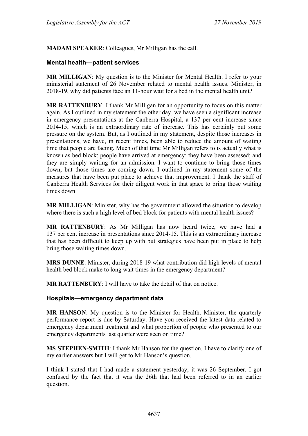**MADAM SPEAKER**: Colleagues, Mr Milligan has the call.

### **Mental health—patient services**

**MR MILLIGAN**: My question is to the Minister for Mental Health. I refer to your ministerial statement of 26 November related to mental health issues. Minister, in 2018-19, why did patients face an 11-hour wait for a bed in the mental health unit?

**MR RATTENBURY**: I thank Mr Milligan for an opportunity to focus on this matter again. As I outlined in my statement the other day, we have seen a significant increase in emergency presentations at the Canberra Hospital, a 137 per cent increase since 2014-15, which is an extraordinary rate of increase. This has certainly put some pressure on the system. But, as I outlined in my statement, despite those increases in presentations, we have, in recent times, been able to reduce the amount of waiting time that people are facing. Much of that time Mr Milligan refers to is actually what is known as bed block: people have arrived at emergency; they have been assessed; and they are simply waiting for an admission. I want to continue to bring those times down, but those times are coming down. I outlined in my statement some of the measures that have been put place to achieve that improvement. I thank the staff of Canberra Health Services for their diligent work in that space to bring those waiting times down.

**MR MILLIGAN**: Minister, why has the government allowed the situation to develop where there is such a high level of bed block for patients with mental health issues?

**MR RATTENBURY**: As Mr Milligan has now heard twice, we have had a 137 per cent increase in presentations since 2014-15. This is an extraordinary increase that has been difficult to keep up with but strategies have been put in place to help bring those waiting times down.

**MRS DUNNE**: Minister, during 2018-19 what contribution did high levels of mental health bed block make to long wait times in the emergency department?

**MR RATTENBURY**: I will have to take the detail of that on notice.

#### **Hospitals—emergency department data**

**MR HANSON**: My question is to the Minister for Health. Minister, the quarterly performance report is due by Saturday. Have you received the latest data related to emergency department treatment and what proportion of people who presented to our emergency departments last quarter were seen on time?

**MS STEPHEN-SMITH**: I thank Mr Hanson for the question. I have to clarify one of my earlier answers but I will get to Mr Hanson's question.

I think I stated that I had made a statement yesterday; it was 26 September. I got confused by the fact that it was the 26th that had been referred to in an earlier question.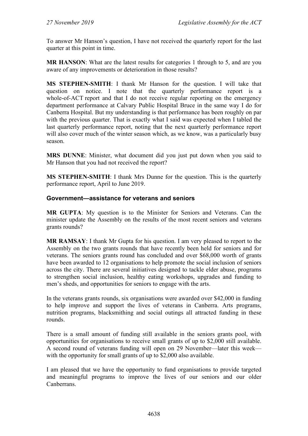To answer Mr Hanson's question, I have not received the quarterly report for the last quarter at this point in time.

**MR HANSON:** What are the latest results for categories 1 through to 5, and are you aware of any improvements or deterioration in those results?

**MS STEPHEN-SMITH**: I thank Mr Hanson for the question. I will take that question on notice. I note that the quarterly performance report is a whole-of-ACT report and that I do not receive regular reporting on the emergency department performance at Calvary Public Hospital Bruce in the same way I do for Canberra Hospital. But my understanding is that performance has been roughly on par with the previous quarter. That is exactly what I said was expected when I tabled the last quarterly performance report, noting that the next quarterly performance report will also cover much of the winter season which, as we know, was a particularly busy season.

**MRS DUNNE**: Minister, what document did you just put down when you said to Mr Hanson that you had not received the report?

**MS STEPHEN-SMITH**: I thank Mrs Dunne for the question. This is the quarterly performance report, April to June 2019.

### **Government—assistance for veterans and seniors**

**MR GUPTA**: My question is to the Minister for Seniors and Veterans. Can the minister update the Assembly on the results of the most recent seniors and veterans grants rounds?

**MR RAMSAY**: I thank Mr Gupta for his question. I am very pleased to report to the Assembly on the two grants rounds that have recently been held for seniors and for veterans. The seniors grants round has concluded and over \$68,000 worth of grants have been awarded to 12 organisations to help promote the social inclusion of seniors across the city. There are several initiatives designed to tackle elder abuse, programs to strengthen social inclusion, healthy eating workshops, upgrades and funding to men's sheds, and opportunities for seniors to engage with the arts.

In the veterans grants rounds, six organisations were awarded over \$42,000 in funding to help improve and support the lives of veterans in Canberra. Arts programs, nutrition programs, blacksmithing and social outings all attracted funding in these rounds.

There is a small amount of funding still available in the seniors grants pool, with opportunities for organisations to receive small grants of up to \$2,000 still available. A second round of veterans funding will open on 29 November—later this week with the opportunity for small grants of up to \$2,000 also available.

I am pleased that we have the opportunity to fund organisations to provide targeted and meaningful programs to improve the lives of our seniors and our older Canberrans.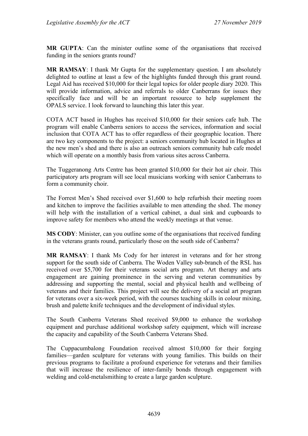**MR GUPTA**: Can the minister outline some of the organisations that received funding in the seniors grants round?

**MR RAMSAY**: I thank Mr Gupta for the supplementary question. I am absolutely delighted to outline at least a few of the highlights funded through this grant round. Legal Aid has received \$10,000 for their legal topics for older people diary 2020. This will provide information, advice and referrals to older Canberrans for issues they specifically face and will be an important resource to help supplement the OPALS service. I look forward to launching this later this year.

COTA ACT based in Hughes has received \$10,000 for their seniors cafe hub. The program will enable Canberra seniors to access the services, information and social inclusion that COTA ACT has to offer regardless of their geographic location. There are two key components to the project: a seniors community hub located in Hughes at the new men's shed and there is also an outreach seniors community hub cafe model which will operate on a monthly basis from various sites across Canberra.

The Tuggeranong Arts Centre has been granted \$10,000 for their hot air choir. This participatory arts program will see local musicians working with senior Canberrans to form a community choir.

The Forrest Men's Shed received over \$1,600 to help refurbish their meeting room and kitchen to improve the facilities available to men attending the shed. The money will help with the installation of a vertical cabinet, a dual sink and cupboards to improve safety for members who attend the weekly meetings at that venue.

**MS CODY**: Minister, can you outline some of the organisations that received funding in the veterans grants round, particularly those on the south side of Canberra?

**MR RAMSAY**: I thank Ms Cody for her interest in veterans and for her strong support for the south side of Canberra. The Woden Valley sub-branch of the RSL has received over \$5,700 for their veterans social arts program. Art therapy and arts engagement are gaining prominence in the serving and veteran communities by addressing and supporting the mental, social and physical health and wellbeing of veterans and their families. This project will see the delivery of a social art program for veterans over a six-week period, with the courses teaching skills in colour mixing, brush and palette knife techniques and the development of individual styles.

The South Canberra Veterans Shed received \$9,000 to enhance the workshop equipment and purchase additional workshop safety equipment, which will increase the capacity and capability of the South Canberra Veterans Shed.

The Cuppacumbalong Foundation received almost \$10,000 for their forging families—garden sculpture for veterans with young families. This builds on their previous programs to facilitate a profound experience for veterans and their families that will increase the resilience of inter-family bonds through engagement with welding and cold-metalsmithing to create a large garden sculpture.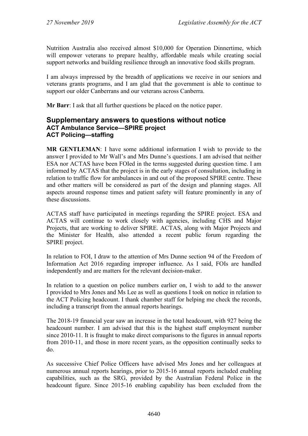Nutrition Australia also received almost \$10,000 for Operation Dinnertime, which will empower veterans to prepare healthy, affordable meals while creating social support networks and building resilience through an innovative food skills program.

I am always impressed by the breadth of applications we receive in our seniors and veterans grants programs, and I am glad that the government is able to continue to support our older Canberrans and our veterans across Canberra.

**Mr Barr**: I ask that all further questions be placed on the notice paper.

## **Supplementary answers to questions without notice ACT Ambulance Service—SPIRE project ACT Policing—staffing**

**MR GENTLEMAN**: I have some additional information I wish to provide to the answer I provided to Mr Wall's and Mrs Dunne's questions. I am advised that neither ESA nor ACTAS have been FOIed in the terms suggested during question time. I am informed by ACTAS that the project is in the early stages of consultation, including in relation to traffic flow for ambulances in and out of the proposed SPIRE centre. These and other matters will be considered as part of the design and planning stages. All aspects around response times and patient safety will feature prominently in any of these discussions.

ACTAS staff have participated in meetings regarding the SPIRE project. ESA and ACTAS will continue to work closely with agencies, including CHS and Major Projects, that are working to deliver SPIRE. ACTAS, along with Major Projects and the Minister for Health, also attended a recent public forum regarding the SPIRE project.

In relation to FOI, I draw to the attention of Mrs Dunne section 94 of the Freedom of Information Act 2016 regarding improper influence. As I said, FOIs are handled independently and are matters for the relevant decision-maker.

In relation to a question on police numbers earlier on, I wish to add to the answer I provided to Mrs Jones and Ms Lee as well as questions I took on notice in relation to the ACT Policing headcount. I thank chamber staff for helping me check the records, including a transcript from the annual reports hearings.

The 2018-19 financial year saw an increase in the total headcount, with 927 being the headcount number. I am advised that this is the highest staff employment number since 2010-11. It is fraught to make direct comparisons to the figures in annual reports from 2010-11, and those in more recent years, as the opposition continually seeks to do.

As successive Chief Police Officers have advised Mrs Jones and her colleagues at numerous annual reports hearings, prior to 2015-16 annual reports included enabling capabilities, such as the SRG, provided by the Australian Federal Police in the headcount figure. Since 2015-16 enabling capability has been excluded from the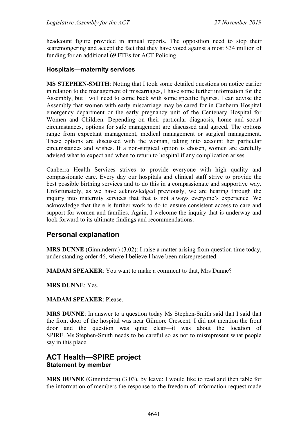headcount figure provided in annual reports. The opposition need to stop their scaremongering and accept the fact that they have voted against almost \$34 million of funding for an additional 69 FTEs for ACT Policing.

### **Hospitals—maternity services**

**MS STEPHEN-SMITH**: Noting that I took some detailed questions on notice earlier in relation to the management of miscarriages, I have some further information for the Assembly, but I will need to come back with some specific figures. I can advise the Assembly that women with early miscarriage may be cared for in Canberra Hospital emergency department or the early pregnancy unit of the Centenary Hospital for Women and Children. Depending on their particular diagnosis, home and social circumstances, options for safe management are discussed and agreed. The options range from expectant management, medical management or surgical management. These options are discussed with the woman, taking into account her particular circumstances and wishes. If a non-surgical option is chosen, women are carefully advised what to expect and when to return to hospital if any complication arises.

Canberra Health Services strives to provide everyone with high quality and compassionate care. Every day our hospitals and clinical staff strive to provide the best possible birthing services and to do this in a compassionate and supportive way. Unfortunately, as we have acknowledged previously, we are hearing through the inquiry into maternity services that that is not always everyone's experience. We acknowledge that there is further work to do to ensure consistent access to care and support for women and families. Again, I welcome the inquiry that is underway and look forward to its ultimate findings and recommendations.

## **Personal explanation**

**MRS DUNNE** (Ginninderra) (3.02): I raise a matter arising from question time today, under standing order 46, where I believe I have been misrepresented.

**MADAM SPEAKER**: You want to make a comment to that, Mrs Dunne?

**MRS DUNNE**: Yes.

**MADAM SPEAKER**: Please.

**MRS DUNNE**: In answer to a question today Ms Stephen-Smith said that I said that the front door of the hospital was near Gilmore Crescent. I did not mention the front door and the question was quite clear—it was about the location of SPIRE. Ms Stephen-Smith needs to be careful so as not to misrepresent what people say in this place.

## **ACT Health—SPIRE project Statement by member**

**MRS DUNNE** (Ginninderra) (3.03), by leave: I would like to read and then table for the information of members the response to the freedom of information request made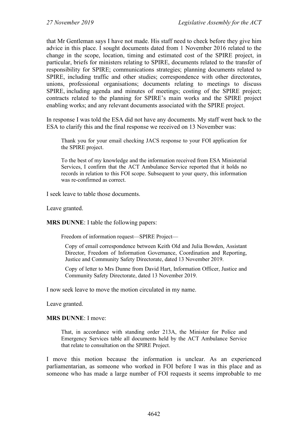that Mr Gentleman says I have not made. His staff need to check before they give him advice in this place. I sought documents dated from 1 November 2016 related to the change in the scope, location, timing and estimated cost of the SPIRE project, in particular, briefs for ministers relating to SPIRE, documents related to the transfer of responsibility for SPIRE; communications strategies; planning documents related to SPIRE, including traffic and other studies; correspondence with other directorates, unions, professional organisations; documents relating to meetings to discuss SPIRE, including agenda and minutes of meetings; costing of the SPIRE project; contracts related to the planning for SPIRE's main works and the SPIRE project enabling works; and any relevant documents associated with the SPIRE project.

In response I was told the ESA did not have any documents. My staff went back to the ESA to clarify this and the final response we received on 13 November was:

Thank you for your email checking JACS response to your FOI application for the SPIRE project.

To the best of my knowledge and the information received from ESA Ministerial Services, I confirm that the ACT Ambulance Service reported that it holds no records in relation to this FOI scope. Subsequent to your query, this information was re-confirmed as correct.

I seek leave to table those documents.

Leave granted.

**MRS DUNNE**: I table the following papers:

Freedom of information request—SPIRE Project—

Copy of email correspondence between Keith Old and Julia Bowden, Assistant Director, Freedom of Information Governance, Coordination and Reporting, Justice and Community Safety Directorate, dated 13 November 2019.

Copy of letter to Mrs Dunne from David Hart, Information Officer, Justice and Community Safety Directorate, dated 13 November 2019.

I now seek leave to move the motion circulated in my name.

Leave granted.

#### **MRS DUNNE**: I move:

That, in accordance with standing order 213A, the Minister for Police and Emergency Services table all documents held by the ACT Ambulance Service that relate to consultation on the SPIRE Project.

I move this motion because the information is unclear. As an experienced parliamentarian, as someone who worked in FOI before I was in this place and as someone who has made a large number of FOI requests it seems improbable to me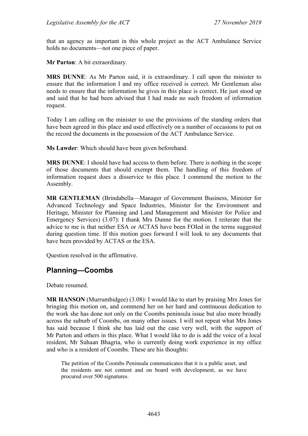that an agency as important in this whole project as the ACT Ambulance Service holds no documents—not one piece of paper.

**Mr Parton**: A bit extraordinary.

**MRS DUNNE**: As Mr Parton said, it is extraordinary. I call upon the minister to ensure that the information I and my office received is correct. Mr Gentleman also needs to ensure that the information he gives in this place is correct. He just stood up and said that he had been advised that I had made no such freedom of information request.

Today I am calling on the minister to use the provisions of the standing orders that have been agreed in this place and used effectively on a number of occasions to put on the record the documents in the possession of the ACT Ambulance Service.

**Ms Lawder**: Which should have been given beforehand.

**MRS DUNNE**: I should have had access to them before. There is nothing in the scope of those documents that should exempt them. The handling of this freedom of information request does a disservice to this place. I commend the motion to the Assembly.

**MR GENTLEMAN** (Brindabella—Manager of Government Business, Minister for Advanced Technology and Space Industries, Minister for the Environment and Heritage, Minister for Planning and Land Management and Minister for Police and Emergency Services) (3.07): I thank Mrs Dunne for the motion. I reiterate that the advice to me is that neither ESA or ACTAS have been FOIed in the terms suggested during question time. If this motion goes forward I will look to any documents that have been provided by ACTAS or the ESA.

Question resolved in the affirmative.

# **Planning—Coombs**

Debate resumed.

**MR HANSON** (Murrumbidgee) (3.08): I would like to start by praising Mrs Jones for bringing this motion on, and commend her on her hard and continuous dedication to the work she has done not only on the Coombs peninsula issue but also more broadly across the suburb of Coombs, on many other issues. I will not repeat what Mrs Jones has said because I think she has laid out the case very well, with the support of Mr Parton and others in this place. What I would like to do is add the voice of a local resident, Mr Suhaan Bhagria, who is currently doing work experience in my office and who is a resident of Coombs. These are his thoughts:

The petition of the Coombs Peninsula communicates that it is a public asset, and the residents are not content and on board with development, as we have procured over 500 signatures.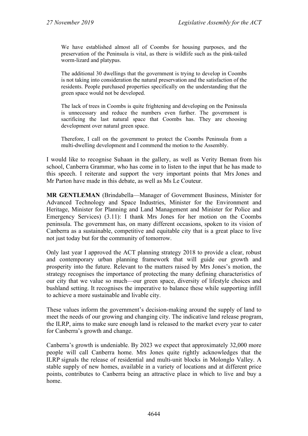We have established almost all of Coombs for housing purposes, and the preservation of the Peninsula is vital, as there is wildlife such as the pink-tailed worm-lizard and platypus.

The additional 30 dwellings that the government is trying to develop in Coombs is not taking into consideration the natural preservation and the satisfaction of the residents. People purchased properties specifically on the understanding that the green space would not be developed.

The lack of trees in Coombs is quite frightening and developing on the Peninsula is unnecessary and reduce the numbers even further. The government is sacrificing the last natural space that Coombs has. They are choosing development over natural green space.

Therefore, I call on the government to protect the Coombs Peninsula from a multi-dwelling development and I commend the motion to the Assembly.

I would like to recognise Suhaan in the gallery, as well as Verity Beman from his school, Canberra Grammar, who has come in to listen to the input that he has made to this speech. I reiterate and support the very important points that Mrs Jones and Mr Parton have made in this debate, as well as Ms Le Couteur.

**MR GENTLEMAN** (Brindabella—Manager of Government Business, Minister for Advanced Technology and Space Industries, Minister for the Environment and Heritage, Minister for Planning and Land Management and Minister for Police and Emergency Services) (3.11): I thank Mrs Jones for her motion on the Coombs peninsula. The government has, on many different occasions, spoken to its vision of Canberra as a sustainable, competitive and equitable city that is a great place to live not just today but for the community of tomorrow.

Only last year I approved the ACT planning strategy 2018 to provide a clear, robust and contemporary urban planning framework that will guide our growth and prosperity into the future. Relevant to the matters raised by Mrs Jones's motion, the strategy recognises the importance of protecting the many defining characteristics of our city that we value so much—our green space, diversity of lifestyle choices and bushland setting. It recognises the imperative to balance these while supporting infill to achieve a more sustainable and livable city.

These values inform the government's decision-making around the supply of land to meet the needs of our growing and changing city. The indicative land release program, the ILRP, aims to make sure enough land is released to the market every year to cater for Canberra's growth and change.

Canberra's growth is undeniable. By 2023 we expect that approximately 32,000 more people will call Canberra home. Mrs Jones quite rightly acknowledges that the ILRP signals the release of residential and multi-unit blocks in Molonglo Valley. A stable supply of new homes, available in a variety of locations and at different price points, contributes to Canberra being an attractive place in which to live and buy a home.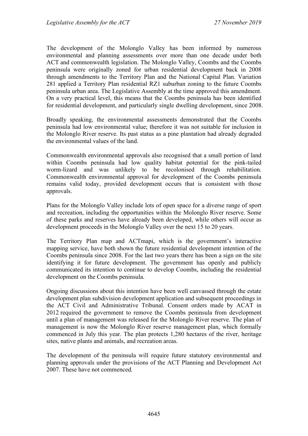The development of the Molonglo Valley has been informed by numerous environmental and planning assessments over more than one decade under both ACT and commonwealth legislation. The Molonglo Valley, Coombs and the Coombs peninsula were originally zoned for urban residential development back in 2008 through amendments to the Territory Plan and the National Capital Plan. Variation 281 applied a Territory Plan residential RZ1 suburban zoning to the future Coombs peninsula urban area. The Legislative Assembly at the time approved this amendment. On a very practical level, this means that the Coombs peninsula has been identified for residential development, and particularly single dwelling development, since 2008.

Broadly speaking, the environmental assessments demonstrated that the Coombs peninsula had low environmental value; therefore it was not suitable for inclusion in the Molonglo River reserve. Its past status as a pine plantation had already degraded the environmental values of the land.

Commonwealth environmental approvals also recognised that a small portion of land within Coombs peninsula had low quality habitat potential for the pink-tailed worm-lizard and was unlikely to be recolonised through rehabilitation. Commonwealth environmental approval for development of the Coombs peninsula remains valid today, provided development occurs that is consistent with those approvals.

Plans for the Molonglo Valley include lots of open space for a diverse range of sport and recreation, including the opportunities within the Molonglo River reserve. Some of these parks and reserves have already been developed, while others will occur as development proceeds in the Molonglo Valley over the next 15 to 20 years.

The Territory Plan map and ACTmapi, which is the government's interactive mapping service, have both shown the future residential development intention of the Coombs peninsula since 2008. For the last two years there has been a sign on the site identifying it for future development. The government has openly and publicly communicated its intention to continue to develop Coombs, including the residential development on the Coombs peninsula.

Ongoing discussions about this intention have been well canvassed through the estate development plan subdivision development application and subsequent proceedings in the ACT Civil and Administrative Tribunal. Consent orders made by ACAT in 2012 required the government to remove the Coombs peninsula from development until a plan of management was released for the Molonglo River reserve. The plan of management is now the Molonglo River reserve management plan, which formally commenced in July this year. The plan protects 1,280 hectares of the river, heritage sites, native plants and animals, and recreation areas.

The development of the peninsula will require future statutory environmental and planning approvals under the provisions of the ACT Planning and Development Act 2007. These have not commenced.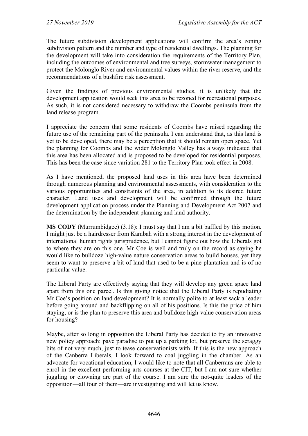The future subdivision development applications will confirm the area's zoning subdivision pattern and the number and type of residential dwellings. The planning for the development will take into consideration the requirements of the Territory Plan, including the outcomes of environmental and tree surveys, stormwater management to protect the Molonglo River and environmental values within the river reserve, and the recommendations of a bushfire risk assessment.

Given the findings of previous environmental studies, it is unlikely that the development application would seek this area to be rezoned for recreational purposes. As such, it is not considered necessary to withdraw the Coombs peninsula from the land release program.

I appreciate the concern that some residents of Coombs have raised regarding the future use of the remaining part of the peninsula. I can understand that, as this land is yet to be developed, there may be a perception that it should remain open space. Yet the planning for Coombs and the wider Molonglo Valley has always indicated that this area has been allocated and is proposed to be developed for residential purposes. This has been the case since variation 281 to the Territory Plan took effect in 2008.

As I have mentioned, the proposed land uses in this area have been determined through numerous planning and environmental assessments, with consideration to the various opportunities and constraints of the area, in addition to its desired future character. Land uses and development will be confirmed through the future development application process under the Planning and Development Act 2007 and the determination by the independent planning and land authority.

**MS CODY** (Murrumbidgee) (3.18): I must say that I am a bit baffled by this motion. I might just be a hairdresser from Kambah with a strong interest in the development of international human rights jurisprudence, but I cannot figure out how the Liberals got to where they are on this one. Mr Coe is well and truly on the record as saying he would like to bulldoze high-value nature conservation areas to build houses, yet they seem to want to preserve a bit of land that used to be a pine plantation and is of no particular value.

The Liberal Party are effectively saying that they will develop any green space land apart from this one parcel. Is this giving notice that the Liberal Party is repudiating Mr Coe's position on land development? It is normally polite to at least sack a leader before going around and backflipping on all of his positions. Is this the price of him staying, or is the plan to preserve this area and bulldoze high-value conservation areas for housing?

Maybe, after so long in opposition the Liberal Party has decided to try an innovative new policy approach: pave paradise to put up a parking lot, but preserve the scraggy bits of not very much, just to tease conservationists with. If this is the new approach of the Canberra Liberals, I look forward to coal juggling in the chamber. As an advocate for vocational education, I would like to note that all Canberrans are able to enrol in the excellent performing arts courses at the CIT, but I am not sure whether juggling or clowning are part of the course. I am sure the not-quite leaders of the opposition—all four of them—are investigating and will let us know.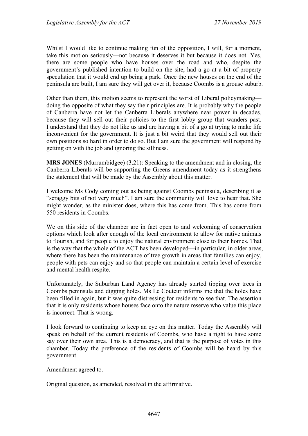Whilst I would like to continue making fun of the opposition, I will, for a moment, take this motion seriously—not because it deserves it but because it does not. Yes, there are some people who have houses over the road and who, despite the government's published intention to build on the site, had a go at a bit of property speculation that it would end up being a park. Once the new houses on the end of the peninsula are built, I am sure they will get over it, because Coombs is a grouse suburb.

Other than them, this motion seems to represent the worst of Liberal policymaking doing the opposite of what they say their principles are. It is probably why the people of Canberra have not let the Canberra Liberals anywhere near power in decades, because they will sell out their policies to the first lobby group that wanders past. I understand that they do not like us and are having a bit of a go at trying to make life inconvenient for the government. It is just a bit weird that they would sell out their own positions so hard in order to do so. But I am sure the government will respond by getting on with the job and ignoring the silliness.

**MRS JONES** (Murrumbidgee) (3.21): Speaking to the amendment and in closing, the Canberra Liberals will be supporting the Greens amendment today as it strengthens the statement that will be made by the Assembly about this matter.

I welcome Ms Cody coming out as being against Coombs peninsula, describing it as "scraggy bits of not very much". I am sure the community will love to hear that. She might wonder, as the minister does, where this has come from. This has come from 550 residents in Coombs.

We on this side of the chamber are in fact open to and welcoming of conservation options which look after enough of the local environment to allow for native animals to flourish, and for people to enjoy the natural environment close to their homes. That is the way that the whole of the ACT has been developed—in particular, in older areas, where there has been the maintenance of tree growth in areas that families can enjoy, people with pets can enjoy and so that people can maintain a certain level of exercise and mental health respite.

Unfortunately, the Suburban Land Agency has already started tipping over trees in Coombs peninsula and digging holes. Ms Le Couteur informs me that the holes have been filled in again, but it was quite distressing for residents to see that. The assertion that it is only residents whose houses face onto the nature reserve who value this place is incorrect. That is wrong.

I look forward to continuing to keep an eye on this matter. Today the Assembly will speak on behalf of the current residents of Coombs, who have a right to have some say over their own area. This is a democracy, and that is the purpose of votes in this chamber. Today the preference of the residents of Coombs will be heard by this government.

Amendment agreed to.

Original question, as amended, resolved in the affirmative.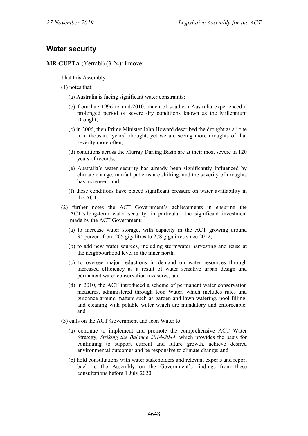## **Water security**

**MR GUPTA** (Yerrabi) (3.24): I move:

That this Assembly:

- (1) notes that:
	- (a) Australia is facing significant water constraints;
	- (b) from late 1996 to mid-2010, much of southern Australia experienced a prolonged period of severe dry conditions known as the Millennium Drought;
	- (c) in 2006, then Prime Minister John Howard described the drought as a "one in a thousand years" drought, yet we are seeing more droughts of that severity more often;
	- (d) conditions across the Murray Darling Basin are at their most severe in 120 years of records;
	- (e) Australia's water security has already been significantly influenced by climate change, rainfall patterns are shifting, and the severity of droughts has increased; and
	- (f) these conditions have placed significant pressure on water availability in the ACT;
- (2) further notes the ACT Government's achievements in ensuring the ACT's long-term water security, in particular, the significant investment made by the ACT Government:
	- (a) to increase water storage, with capacity in the ACT growing around 35 percent from 205 gigalitres to 278 gigalitres since 2012;
	- (b) to add new water sources, including stormwater harvesting and reuse at the neighbourhood level in the inner north;
	- (c) to oversee major reductions in demand on water resources through increased efficiency as a result of water sensitive urban design and permanent water conservation measures; and
	- (d) in 2010, the ACT introduced a scheme of permanent water conservation measures, administered through Icon Water, which includes rules and guidance around matters such as garden and lawn watering, pool filling, and cleaning with potable water which are mandatory and enforceable; and
- (3) calls on the ACT Government and Icon Water to:
	- (a) continue to implement and promote the comprehensive ACT Water Strategy, *Striking the Balance 2014-2044*, which provides the basis for continuing to support current and future growth, achieve desired environmental outcomes and be responsive to climate change; and
	- (b) hold consultations with water stakeholders and relevant experts and report back to the Assembly on the Government's findings from these consultations before 1 July 2020.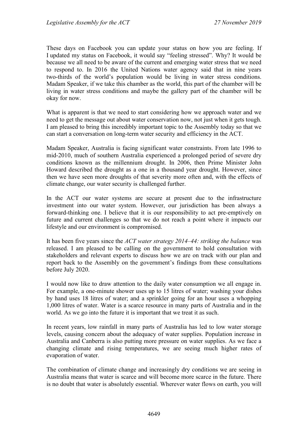These days on Facebook you can update your status on how you are feeling. If I updated my status on Facebook, it would say "feeling stressed". Why? It would be because we all need to be aware of the current and emerging water stress that we need to respond to. In 2016 the United Nations water agency said that in nine years two-thirds of the world's population would be living in water stress conditions. Madam Speaker, if we take this chamber as the world, this part of the chamber will be living in water stress conditions and maybe the gallery part of the chamber will be okay for now.

What is apparent is that we need to start considering how we approach water and we need to get the message out about water conservation now, not just when it gets tough. I am pleased to bring this incredibly important topic to the Assembly today so that we can start a conversation on long-term water security and efficiency in the ACT.

Madam Speaker, Australia is facing significant water constraints. From late 1996 to mid-2010, much of southern Australia experienced a prolonged period of severe dry conditions known as the millennium drought. In 2006, then Prime Minister John Howard described the drought as a one in a thousand year drought. However, since then we have seen more droughts of that severity more often and, with the effects of climate change, our water security is challenged further.

In the ACT our water systems are secure at present due to the infrastructure investment into our water system. However, our jurisdiction has been always a forward-thinking one. I believe that it is our responsibility to act pre-emptively on future and current challenges so that we do not reach a point where it impacts our lifestyle and our environment is compromised.

It has been five years since the *ACT water strategy 2014–44: striking the balance* was released. I am pleased to be calling on the government to hold consultation with stakeholders and relevant experts to discuss how we are on track with our plan and report back to the Assembly on the government's findings from these consultations before July 2020.

I would now like to draw attention to the daily water consumption we all engage in. For example, a one-minute shower uses up to 15 litres of water; washing your dishes by hand uses 18 litres of water; and a sprinkler going for an hour uses a whopping 1,000 litres of water. Water is a scarce resource in many parts of Australia and in the world. As we go into the future it is important that we treat it as such.

In recent years, low rainfall in many parts of Australia has led to low water storage levels, causing concern about the adequacy of water supplies. Population increase in Australia and Canberra is also putting more pressure on water supplies. As we face a changing climate and rising temperatures, we are seeing much higher rates of evaporation of water.

The combination of climate change and increasingly dry conditions we are seeing in Australia means that water is scarce and will become more scarce in the future. There is no doubt that water is absolutely essential. Wherever water flows on earth, you will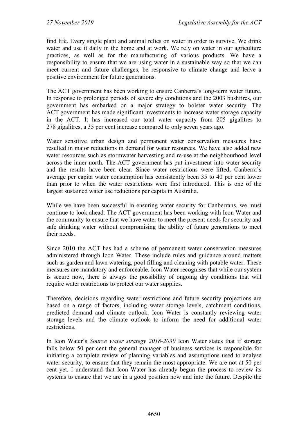find life. Every single plant and animal relies on water in order to survive. We drink water and use it daily in the home and at work. We rely on water in our agriculture practices, as well as for the manufacturing of various products. We have a responsibility to ensure that we are using water in a sustainable way so that we can meet current and future challenges, be responsive to climate change and leave a positive environment for future generations.

The ACT government has been working to ensure Canberra's long-term water future. In response to prolonged periods of severe dry conditions and the 2003 bushfires, our government has embarked on a major strategy to bolster water security. The ACT government has made significant investments to increase water storage capacity in the ACT. It has increased our total water capacity from 205 gigalitres to 278 gigalitres, a 35 per cent increase compared to only seven years ago.

Water sensitive urban design and permanent water conservation measures have resulted in major reductions in demand for water resources. We have also added new water resources such as stormwater harvesting and re-use at the neighbourhood level across the inner north. The ACT government has put investment into water security and the results have been clear. Since water restrictions were lifted, Canberra's average per capita water consumption has consistently been 35 to 40 per cent lower than prior to when the water restrictions were first introduced. This is one of the largest sustained water use reductions per capita in Australia.

While we have been successful in ensuring water security for Canberrans, we must continue to look ahead. The ACT government has been working with Icon Water and the community to ensure that we have water to meet the present needs for security and safe drinking water without compromising the ability of future generations to meet their needs.

Since 2010 the ACT has had a scheme of permanent water conservation measures administered through Icon Water. These include rules and guidance around matters such as garden and lawn watering, pool filling and cleaning with potable water. These measures are mandatory and enforceable. Icon Water recognises that while our system is secure now, there is always the possibility of ongoing dry conditions that will require water restrictions to protect our water supplies.

Therefore, decisions regarding water restrictions and future security projections are based on a range of factors, including water storage levels, catchment conditions, predicted demand and climate outlook. Icon Water is constantly reviewing water storage levels and the climate outlook to inform the need for additional water restrictions.

In Icon Water's *Source water strategy 2018-2030* Icon Water states that if storage falls below 50 per cent the general manager of business services is responsible for initiating a complete review of planning variables and assumptions used to analyse water security, to ensure that they remain the most appropriate. We are not at 50 per cent yet. I understand that Icon Water has already begun the process to review its systems to ensure that we are in a good position now and into the future. Despite the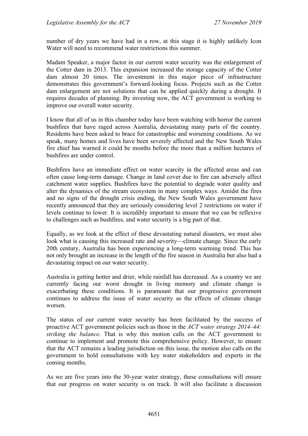number of dry years we have had in a row, at this stage it is highly unlikely Icon Water will need to recommend water restrictions this summer.

Madam Speaker, a major factor in our current water security was the enlargement of the Cotter dam in 2013. This expansion increased the storage capacity of the Cotter dam almost 20 times. The investment in this major piece of infrastructure demonstrates this government's forward-looking focus. Projects such as the Cotter dam enlargement are not solutions that can be applied quickly during a drought. It requires decades of planning. By investing now, the ACT government is working to improve our overall water security.

I know that all of us in this chamber today have been watching with horror the current bushfires that have raged across Australia, devastating many parts of the country. Residents have been asked to brace for catastrophic and worsening conditions. As we speak, many homes and lives have been severely affected and the New South Wales fire chief has warned it could be months before the more than a million hectares of bushfires are under control.

Bushfires have an immediate effect on water scarcity in the affected areas and can often cause long-term damage. Change in land cover due to fire can adversely affect catchment water supplies. Bushfires have the potential to degrade water quality and alter the dynamics of the stream ecosystem in many complex ways. Amidst the fires and no signs of the drought crisis ending, the New South Wales government have recently announced that they are seriously considering level 2 restrictions on water if levels continue to lower. It is incredibly important to ensure that we can be reflexive to challenges such as bushfires, and water security is a big part of that.

Equally, as we look at the effect of these devastating natural disasters, we must also look what is causing this increased rate and severity—climate change. Since the early 20th century, Australia has been experiencing a long-term warming trend. This has not only brought an increase in the length of the fire season in Australia but also had a devastating impact on our water security.

Australia is getting hotter and drier, while rainfall has decreased. As a country we are currently facing our worst drought in living memory and climate change is exacerbating these conditions. It is paramount that our progressive government continues to address the issue of water security as the effects of climate change worsen.

The status of our current water security has been facilitated by the success of proactive ACT government policies such as those in the *ACT water strategy 2014–44: striking the balance*. That is why this motion calls on the ACT government to continue to implement and promote this comprehensive policy. However, to ensure that the ACT remains a leading jurisdiction on this issue, the motion also calls on the government to hold consultations with key water stakeholders and experts in the coming months.

As we are five years into the 30-year water strategy, these consultations will ensure that our progress on water security is on track. It will also facilitate a discussion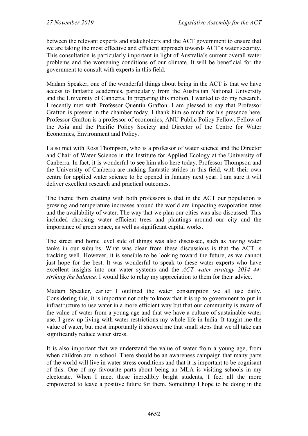between the relevant experts and stakeholders and the ACT government to ensure that we are taking the most effective and efficient approach towards ACT's water security. This consultation is particularly important in light of Australia's current overall water problems and the worsening conditions of our climate. It will be beneficial for the government to consult with experts in this field.

Madam Speaker, one of the wonderful things about being in the ACT is that we have access to fantastic academics, particularly from the Australian National University and the University of Canberra. In preparing this motion, I wanted to do my research. I recently met with Professor Quentin Grafton. I am pleased to say that Professor Grafton is present in the chamber today. I thank him so much for his presence here. Professor Grafton is a professor of economics, ANU Public Policy Fellow, Fellow of the Asia and the Pacific Policy Society and Director of the Centre for Water Economics, Environment and Policy.

I also met with Ross Thompson, who is a professor of water science and the Director and Chair of Water Science in the Institute for Applied Ecology at the University of Canberra. In fact, it is wonderful to see him also here today. Professor Thompson and the University of Canberra are making fantastic strides in this field, with their own centre for applied water science to be opened in January next year. I am sure it will deliver excellent research and practical outcomes.

The theme from chatting with both professors is that in the ACT our population is growing and temperature increases around the world are impacting evaporation rates and the availability of water. The way that we plan our cities was also discussed. This included choosing water efficient trees and plantings around our city and the importance of green space, as well as significant capital works.

The street and home level side of things was also discussed, such as having water tanks in our suburbs. What was clear from these discussions is that the ACT is tracking well. However, it is sensible to be looking toward the future, as we cannot just hope for the best. It was wonderful to speak to these water experts who have excellent insights into our water systems and the *ACT water strategy 2014–44: striking the balance.* I would like to relay my appreciation to them for their advice.

Madam Speaker, earlier I outlined the water consumption we all use daily. Considering this, it is important not only to know that it is up to government to put in infrastructure to use water in a more efficient way but that our community is aware of the value of water from a young age and that we have a culture of sustainable water use. I grew up living with water restrictions my whole life in India. It taught me the value of water, but most importantly it showed me that small steps that we all take can significantly reduce water stress.

It is also important that we understand the value of water from a young age, from when children are in school. There should be an awareness campaign that many parts of the world will live in water stress conditions and that it is important to be cognisant of this. One of my favourite parts about being an MLA is visiting schools in my electorate. When I meet these incredibly bright students, I feel all the more empowered to leave a positive future for them. Something I hope to be doing in the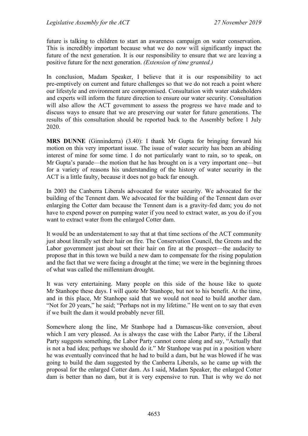future is talking to children to start an awareness campaign on water conservation. This is incredibly important because what we do now will significantly impact the future of the next generation. It is our responsibility to ensure that we are leaving a positive future for the next generation. *(Extension of time granted.)*

In conclusion, Madam Speaker, I believe that it is our responsibility to act pre-emptively on current and future challenges so that we do not reach a point where our lifestyle and environment are compromised. Consultation with water stakeholders and experts will inform the future direction to ensure our water security. Consultation will also allow the ACT government to assess the progress we have made and to discuss ways to ensure that we are preserving our water for future generations. The results of this consultation should be reported back to the Assembly before 1 July 2020.

**MRS DUNNE** (Ginninderra) (3.40): I thank Mr Gupta for bringing forward his motion on this very important issue. The issue of water security has been an abiding interest of mine for some time. I do not particularly want to rain, so to speak, on Mr Gupta's parade—the motion that he has brought on is a very important one—but for a variety of reasons his understanding of the history of water security in the ACT is a little faulty, because it does not go back far enough.

In 2003 the Canberra Liberals advocated for water security. We advocated for the building of the Tennent dam. We advocated for the building of the Tennent dam over enlarging the Cotter dam because the Tennent dam is a gravity-fed dam; you do not have to expend power on pumping water if you need to extract water, as you do if you want to extract water from the enlarged Cotter dam.

It would be an understatement to say that at that time sections of the ACT community just about literally set their hair on fire. The Conservation Council, the Greens and the Labor government just about set their hair on fire at the prospect—the audacity to propose that in this town we build a new dam to compensate for the rising population and the fact that we were facing a drought at the time; we were in the beginning throes of what was called the millennium drought.

It was very entertaining. Many people on this side of the house like to quote Mr Stanhope these days. I will quote Mr Stanhope, but not to his benefit. At the time, and in this place, Mr Stanhope said that we would not need to build another dam. "Not for 20 years," he said; "Perhaps not in my lifetime." He went on to say that even if we built the dam it would probably never fill.

Somewhere along the line, Mr Stanhope had a Damascus-like conversion, about which I am very pleased. As is always the case with the Labor Party, if the Liberal Party suggests something, the Labor Party cannot come along and say, "Actually that is not a bad idea; perhaps we should do it." Mr Stanhope was put in a position where he was eventually convinced that he had to build a dam, but he was blowed if he was going to build the dam suggested by the Canberra Liberals, so he came up with the proposal for the enlarged Cotter dam. As I said, Madam Speaker, the enlarged Cotter dam is better than no dam, but it is very expensive to run. That is why we do not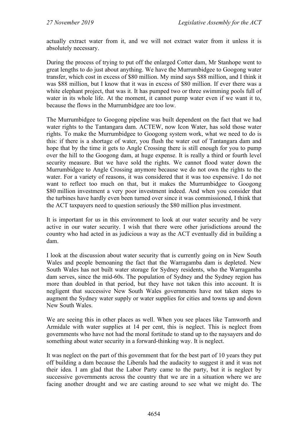actually extract water from it, and we will not extract water from it unless it is absolutely necessary.

During the process of trying to put off the enlarged Cotter dam, Mr Stanhope went to great lengths to do just about anything. We have the Murrumbidgee to Googong water transfer, which cost in excess of \$80 million. My mind says \$88 million, and I think it was \$88 million, but I know that it was in excess of \$80 million. If ever there was a white elephant project, that was it. It has pumped two or three swimming pools full of water in its whole life. At the moment, it cannot pump water even if we want it to, because the flows in the Murrumbidgee are too low.

The Murrumbidgee to Googong pipeline was built dependent on the fact that we had water rights to the Tantangara dam. ACTEW, now Icon Water, has sold those water rights. To make the Murrumbidgee to Googong system work, what we need to do is this: if there is a shortage of water, you flush the water out of Tantangara dam and hope that by the time it gets to Angle Crossing there is still enough for you to pump over the hill to the Googong dam, at huge expense. It is really a third or fourth level security measure. But we have sold the rights. We cannot flood water down the Murrumbidgee to Angle Crossing anymore because we do not own the rights to the water. For a variety of reasons, it was considered that it was too expensive. I do not want to reflect too much on that, but it makes the Murrumbidgee to Googong \$80 million investment a very poor investment indeed. And when you consider that the turbines have hardly even been turned over since it was commissioned, I think that the ACT taxpayers need to question seriously the \$80 million plus investment.

It is important for us in this environment to look at our water security and be very active in our water security. I wish that there were other jurisdictions around the country who had acted in as judicious a way as the ACT eventually did in building a dam.

I look at the discussion about water security that is currently going on in New South Wales and people bemoaning the fact that the Warragamba dam is depleted. New South Wales has not built water storage for Sydney residents, who the Warragamba dam serves, since the mid-60s. The population of Sydney and the Sydney region has more than doubled in that period, but they have not taken this into account. It is negligent that successive New South Wales governments have not taken steps to augment the Sydney water supply or water supplies for cities and towns up and down New South Wales.

We are seeing this in other places as well. When you see places like Tamworth and Armidale with water supplies at 14 per cent, this is neglect. This is neglect from governments who have not had the moral fortitude to stand up to the naysayers and do something about water security in a forward-thinking way. It is neglect.

It was neglect on the part of this government that for the best part of 10 years they put off building a dam because the Liberals had the audacity to suggest it and it was not their idea. I am glad that the Labor Party came to the party, but it is neglect by successive governments across the country that we are in a situation where we are facing another drought and we are casting around to see what we might do. The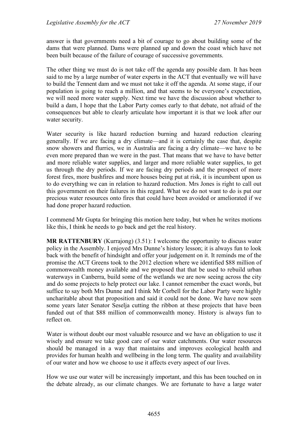answer is that governments need a bit of courage to go about building some of the dams that were planned. Dams were planned up and down the coast which have not been built because of the failure of courage of successive governments.

The other thing we must do is not take off the agenda any possible dam. It has been said to me by a large number of water experts in the ACT that eventually we will have to build the Tennent dam and we must not take it off the agenda. At some stage, if our population is going to reach a million, and that seems to be everyone's expectation, we will need more water supply. Next time we have the discussion about whether to build a dam, I hope that the Labor Party comes early to that debate, not afraid of the consequences but able to clearly articulate how important it is that we look after our water security.

Water security is like hazard reduction burning and hazard reduction clearing generally. If we are facing a dry climate—and it is certainly the case that, despite snow showers and flurries, we in Australia are facing a dry climate—we have to be even more prepared than we were in the past. That means that we have to have better and more reliable water supplies, and larger and more reliable water supplies, to get us through the dry periods. If we are facing dry periods and the prospect of more forest fires, more bushfires and more houses being put at risk, it is incumbent upon us to do everything we can in relation to hazard reduction. Mrs Jones is right to call out this government on their failures in this regard. What we do not want to do is put our precious water resources onto fires that could have been avoided or ameliorated if we had done proper hazard reduction.

I commend Mr Gupta for bringing this motion here today, but when he writes motions like this, I think he needs to go back and get the real history.

**MR RATTENBURY** (Kurrajong) (3.51): I welcome the opportunity to discuss water policy in the Assembly. I enjoyed Mrs Dunne's history lesson; it is always fun to look back with the benefit of hindsight and offer your judgement on it. It reminds me of the promise the ACT Greens took to the 2012 election where we identified \$88 million of commonwealth money available and we proposed that that be used to rebuild urban waterways in Canberra, build some of the wetlands we are now seeing across the city and do some projects to help protect our lake. I cannot remember the exact words, but suffice to say both Mrs Dunne and I think Mr Corbell for the Labor Party were highly uncharitable about that proposition and said it could not be done. We have now seen some years later Senator Seselja cutting the ribbon at these projects that have been funded out of that \$88 million of commonwealth money. History is always fun to reflect on.

Water is without doubt our most valuable resource and we have an obligation to use it wisely and ensure we take good care of our water catchments. Our water resources should be managed in a way that maintains and improves ecological health and provides for human health and wellbeing in the long term. The quality and availability of our water and how we choose to use it affects every aspect of our lives.

How we use our water will be increasingly important, and this has been touched on in the debate already, as our climate changes. We are fortunate to have a large water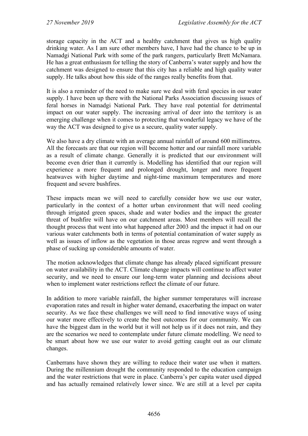storage capacity in the ACT and a healthy catchment that gives us high quality drinking water. As I am sure other members have, I have had the chance to be up in Namadgi National Park with some of the park rangers, particularly Brett McNamara. He has a great enthusiasm for telling the story of Canberra's water supply and how the catchment was designed to ensure that this city has a reliable and high quality water supply. He talks about how this side of the ranges really benefits from that.

It is also a reminder of the need to make sure we deal with feral species in our water supply. I have been up there with the National Parks Association discussing issues of feral horses in Namadgi National Park. They have real potential for detrimental impact on our water supply. The increasing arrival of deer into the territory is an emerging challenge when it comes to protecting that wonderful legacy we have of the way the ACT was designed to give us a secure, quality water supply.

We also have a dry climate with an average annual rainfall of around 600 millimetres. All the forecasts are that our region will become hotter and our rainfall more variable as a result of climate change. Generally it is predicted that our environment will become even drier than it currently is. Modelling has identified that our region will experience a more frequent and prolonged drought, longer and more frequent heatwaves with higher daytime and night-time maximum temperatures and more frequent and severe bushfires.

These impacts mean we will need to carefully consider how we use our water, particularly in the context of a hotter urban environment that will need cooling through irrigated green spaces, shade and water bodies and the impact the greater threat of bushfire will have on our catchment areas. Most members will recall the thought process that went into what happened after 2003 and the impact it had on our various water catchments both in terms of potential contamination of water supply as well as issues of inflow as the vegetation in those areas regrew and went through a phase of sucking up considerable amounts of water.

The motion acknowledges that climate change has already placed significant pressure on water availability in the ACT. Climate change impacts will continue to affect water security, and we need to ensure our long-term water planning and decisions about when to implement water restrictions reflect the climate of our future.

In addition to more variable rainfall, the higher summer temperatures will increase evaporation rates and result in higher water demand, exacerbating the impact on water security. As we face these challenges we will need to find innovative ways of using our water more effectively to create the best outcomes for our community. We can have the biggest dam in the world but it will not help us if it does not rain, and they are the scenarios we need to contemplate under future climate modelling. We need to be smart about how we use our water to avoid getting caught out as our climate changes.

Canberrans have shown they are willing to reduce their water use when it matters. During the millennium drought the community responded to the education campaign and the water restrictions that were in place. Canberra's per capita water used dipped and has actually remained relatively lower since. We are still at a level per capita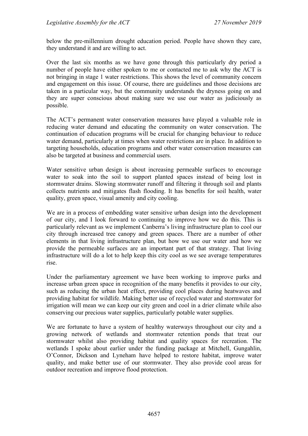below the pre-millennium drought education period. People have shown they care, they understand it and are willing to act.

Over the last six months as we have gone through this particularly dry period a number of people have either spoken to me or contacted me to ask why the ACT is not bringing in stage 1 water restrictions. This shows the level of community concern and engagement on this issue. Of course, there are guidelines and those decisions are taken in a particular way, but the community understands the dryness going on and they are super conscious about making sure we use our water as judiciously as possible.

The ACT's permanent water conservation measures have played a valuable role in reducing water demand and educating the community on water conservation. The continuation of education programs will be crucial for changing behaviour to reduce water demand, particularly at times when water restrictions are in place. In addition to targeting households, education programs and other water conservation measures can also be targeted at business and commercial users.

Water sensitive urban design is about increasing permeable surfaces to encourage water to soak into the soil to support planted spaces instead of being lost in stormwater drains. Slowing stormwater runoff and filtering it through soil and plants collects nutrients and mitigates flash flooding. It has benefits for soil health, water quality, green space, visual amenity and city cooling.

We are in a process of embedding water sensitive urban design into the development of our city, and I look forward to continuing to improve how we do this. This is particularly relevant as we implement Canberra's living infrastructure plan to cool our city through increased tree canopy and green spaces. There are a number of other elements in that living infrastructure plan, but how we use our water and how we provide the permeable surfaces are an important part of that strategy. That living infrastructure will do a lot to help keep this city cool as we see average temperatures rise.

Under the parliamentary agreement we have been working to improve parks and increase urban green space in recognition of the many benefits it provides to our city, such as reducing the urban heat effect, providing cool places during heatwaves and providing habitat for wildlife. Making better use of recycled water and stormwater for irrigation will mean we can keep our city green and cool in a drier climate while also conserving our precious water supplies, particularly potable water supplies.

We are fortunate to have a system of healthy waterways throughout our city and a growing network of wetlands and stormwater retention ponds that treat our stormwater whilst also providing habitat and quality spaces for recreation. The wetlands I spoke about earlier under the funding package at Mitchell, Gungahlin, O'Connor, Dickson and Lyneham have helped to restore habitat, improve water quality, and make better use of our stormwater. They also provide cool areas for outdoor recreation and improve flood protection.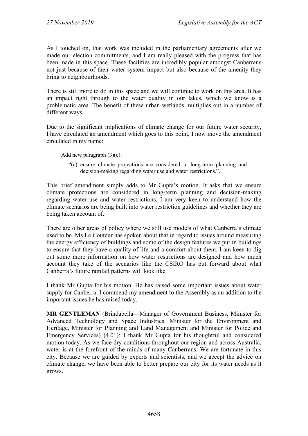As I touched on, that work was included in the parliamentary agreements after we made our election commitments, and I am really pleased with the progress that has been made in this space. These facilities are incredibly popular amongst Canberrans not just because of their water system impact but also because of the amenity they bring to neighbourhoods.

There is still more to do in this space and we will continue to work on this area. It has an impact right through to the water quality in our lakes, which we know is a problematic area. The benefit of these urban wetlands multiplies out in a number of different ways.

Due to the significant implications of climate change for our future water security, I have circulated an amendment which goes to this point, I now move the amendment circulated in my name:

Add new paragraph (3)(c):

"(c) ensure climate projections are considered in long-term planning and decision-making regarding water use and water restrictions.".

This brief amendment simply adds to Mr Gupta's motion. It asks that we ensure climate protections are considered in long-term planning and decision-making regarding water use and water restrictions. I am very keen to understand how the climate scenarios are being built into water restriction guidelines and whether they are being taken account of.

There are other areas of policy where we still use models of what Canberra's climate used to be. Ms Le Couteur has spoken about that in regard to issues around measuring the energy efficiency of buildings and some of the design features we put in buildings to ensure that they have a quality of life and a comfort about them. I am keen to dig out some more information on how water restrictions are designed and how much account they take of the scenarios like the CSIRO has put forward about what Canberra's future rainfall patterns will look like.

I thank Mr Gupta for his motion. He has raised some important issues about water supply for Canberra. I commend my amendment to the Assembly as an addition to the important issues he has raised today.

**MR GENTLEMAN** (Brindabella—Manager of Government Business, Minister for Advanced Technology and Space Industries, Minister for the Environment and Heritage, Minister for Planning and Land Management and Minister for Police and Emergency Services) (4.01): I thank Mr Gupta for his thoughtful and considered motion today. As we face dry conditions throughout our region and across Australia, water is at the forefront of the minds of many Canberrans. We are fortunate in this city. Because we are guided by experts and scientists, and we accept the advice on climate change, we have been able to better prepare our city for its water needs as it grows.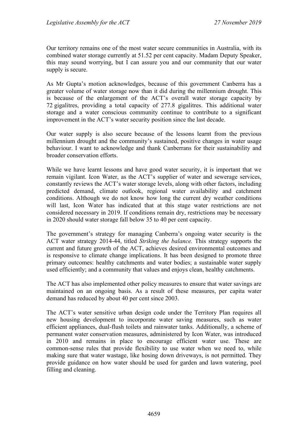Our territory remains one of the most water secure communities in Australia, with its combined water storage currently at 51.52 per cent capacity. Madam Deputy Speaker, this may sound worrying, but I can assure you and our community that our water supply is secure.

As Mr Gupta's motion acknowledges, because of this government Canberra has a greater volume of water storage now than it did during the millennium drought. This is because of the enlargement of the ACT's overall water storage capacity by 72 gigalitres, providing a total capacity of 277.8 gigalitres. This additional water storage and a water conscious community continue to contribute to a significant improvement in the ACT's water security position since the last decade.

Our water supply is also secure because of the lessons learnt from the previous millennium drought and the community's sustained, positive changes in water usage behaviour. I want to acknowledge and thank Canberrans for their sustainability and broader conservation efforts.

While we have learnt lessons and have good water security, it is important that we remain vigilant. Icon Water, as the ACT's supplier of water and sewerage services, constantly reviews the ACT's water storage levels, along with other factors, including predicted demand, climate outlook, regional water availability and catchment conditions. Although we do not know how long the current dry weather conditions will last, Icon Water has indicated that at this stage water restrictions are not considered necessary in 2019. If conditions remain dry, restrictions may be necessary in 2020 should water storage fall below 35 to 40 per cent capacity.

The government's strategy for managing Canberra's ongoing water security is the ACT water strategy 2014-44, titled *Striking the balance.* This strategy supports the current and future growth of the ACT, achieves desired environmental outcomes and is responsive to climate change implications. It has been designed to promote three primary outcomes: healthy catchments and water bodies; a sustainable water supply used efficiently; and a community that values and enjoys clean, healthy catchments.

The ACT has also implemented other policy measures to ensure that water savings are maintained on an ongoing basis. As a result of these measures, per capita water demand has reduced by about 40 per cent since 2003.

The ACT's water sensitive urban design code under the Territory Plan requires all new housing development to incorporate water saving measures, such as water efficient appliances, dual-flush toilets and rainwater tanks. Additionally, a scheme of permanent water conservation measures, administered by Icon Water, was introduced in 2010 and remains in place to encourage efficient water use. These are common-sense rules that provide flexibility to use water when we need to, while making sure that water wastage, like hosing down driveways, is not permitted. They provide guidance on how water should be used for garden and lawn watering, pool filling and cleaning.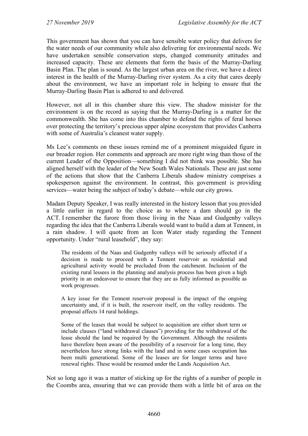This government has shown that you can have sensible water policy that delivers for the water needs of our community while also delivering for environmental needs. We have undertaken sensible conservation steps, changed community attitudes and increased capacity. These are elements that form the basis of the Murray-Darling Basin Plan. The plan is sound. As the largest urban area on the river, we have a direct interest in the health of the Murray-Darling river system. As a city that cares deeply about the environment, we have an important role in helping to ensure that the Murray-Darling Basin Plan is adhered to and delivered.

However, not all in this chamber share this view. The shadow minister for the environment is on the record as saying that the Murray-Darling is a matter for the commonwealth. She has come into this chamber to defend the rights of feral horses over protecting the territory's precious upper alpine ecosystem that provides Canberra with some of Australia's cleanest water supply.

Ms Lee's comments on these issues remind me of a prominent misguided figure in our broader region. Her comments and approach are more right wing than those of the current Leader of the Opposition—something I did not think was possible. She has aligned herself with the leader of the New South Wales Nationals. These are just some of the actions that show that the Canberra Liberals shadow ministry comprises a spokesperson against the environment. In contrast, this government is providing services—water being the subject of today's debate—while our city grows.

Madam Deputy Speaker, I was really interested in the history lesson that you provided a little earlier in regard to the choice as to where a dam should go in the ACT. I remember the furore from those living in the Naas and Gudgenby valleys regarding the idea that the Canberra Liberals would want to build a dam at Tennent, in a rain shadow. I will quote from an Icon Water study regarding the Tennent opportunity. Under "rural leasehold", they say:

The residents of the Naas and Gudgenby valleys will be seriously affected if a decision is made to proceed with a Tennent reservoir as residential and agricultural activity would be precluded from the catchment. Inclusion of the existing rural lessees in the planning and analysis process has been given a high priority in an endeavour to ensure that they are as fully informed as possible as work progresses.

A key issue for the Tennent reservoir proposal is the impact of the ongoing uncertainty and, if it is built, the reservoir itself, on the valley residents. The proposal affects 14 rural holdings.

Some of the leases that would be subject to acquisition are either short term or include clauses ("land withdrawal clauses") providing for the withdrawal of the lease should the land be required by the Government. Although the residents have therefore been aware of the possibility of a reservoir for a long time, they nevertheless have strong links with the land and in some cases occupation has been multi generational. Some of the leases are for longer terms and have renewal rights. These would be resumed under the Lands Acquisition Act.

Not so long ago it was a matter of sticking up for the rights of a number of people in the Coombs area, ensuring that we can provide them with a little bit of area on the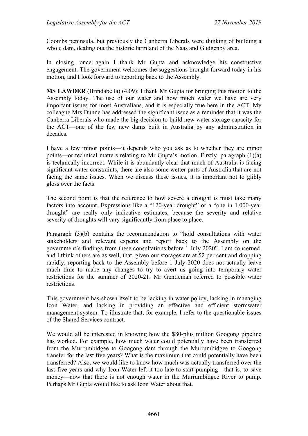Coombs peninsula, but previously the Canberra Liberals were thinking of building a whole dam, dealing out the historic farmland of the Naas and Gudgenby area.

In closing, once again I thank Mr Gupta and acknowledge his constructive engagement. The government welcomes the suggestions brought forward today in his motion, and I look forward to reporting back to the Assembly.

**MS LAWDER** (Brindabella) (4.09): I thank Mr Gupta for bringing this motion to the Assembly today. The use of our water and how much water we have are very important issues for most Australians, and it is especially true here in the ACT. My colleague Mrs Dunne has addressed the significant issue as a reminder that it was the Canberra Liberals who made the big decision to build new water storage capacity for the ACT—one of the few new dams built in Australia by any administration in decades.

I have a few minor points—it depends who you ask as to whether they are minor points—or technical matters relating to Mr Gupta's motion. Firstly, paragraph (1)(a) is technically incorrect. While it is abundantly clear that much of Australia is facing significant water constraints, there are also some wetter parts of Australia that are not facing the same issues. When we discuss these issues, it is important not to glibly gloss over the facts.

The second point is that the reference to how severe a drought is must take many factors into account. Expressions like a "120-year drought" or a "one in 1,000-year drought" are really only indicative estimates, because the severity and relative severity of droughts will vary significantly from place to place.

Paragraph (3)(b) contains the recommendation to "hold consultations with water stakeholders and relevant experts and report back to the Assembly on the government's findings from these consultations before 1 July 2020". I am concerned, and I think others are as well, that, given our storages are at 52 per cent and dropping rapidly, reporting back to the Assembly before 1 July 2020 does not actually leave much time to make any changes to try to avert us going into temporary water restrictions for the summer of 2020-21. Mr Gentleman referred to possible water restrictions.

This government has shown itself to be lacking in water policy, lacking in managing Icon Water, and lacking in providing an effective and efficient stormwater management system. To illustrate that, for example, I refer to the questionable issues of the Shared Services contract.

We would all be interested in knowing how the \$80-plus million Googong pipeline has worked. For example, how much water could potentially have been transferred from the Murrumbidgee to Googong dam through the Murrumbidgee to Googong transfer for the last five years? What is the maximum that could potentially have been transferred? Also, we would like to know how much was actually transferred over the last five years and why Icon Water left it too late to start pumping—that is, to save money—now that there is not enough water in the Murrumbidgee River to pump. Perhaps Mr Gupta would like to ask Icon Water about that.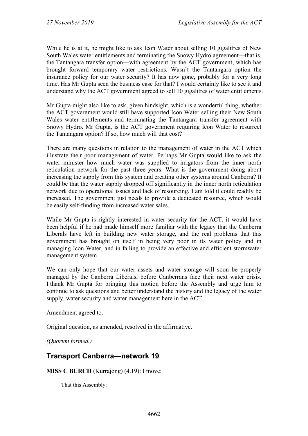While he is at it, he might like to ask Icon Water about selling 10 gigalitres of New South Wales water entitlements and terminating the Snowy Hydro agreement—that is, the Tantangara transfer option—with agreement by the ACT government, which has brought forward temporary water restrictions. Wasn't the Tantangara option the insurance policy for our water security? It has now gone, probably for a very long time. Has Mr Gupta seen the business case for that? I would certainly like to see it and understand why the ACT government agreed to sell 10 gigalitres of water entitlements.

Mr Gupta might also like to ask, given hindsight, which is a wonderful thing, whether the ACT government would still have supported Icon Water selling their New South Wales water entitlements and terminating the Tantangara transfer agreement with Snowy Hydro. Mr Gupta, is the ACT government requiring Icon Water to resurrect the Tantangara option? If so, how much will that cost?

There are many questions in relation to the management of water in the ACT which illustrate their poor management of water. Perhaps Mr Gupta would like to ask the water minister how much water was supplied to irrigators from the inner north reticulation network for the past three years. What is the government doing about increasing the supply from this system and creating other systems around Canberra? It could be that the water supply dropped off significantly in the inner north reticulation network due to operational issues and lack of resourcing. I am told it could readily be increased. The government just needs to provide a dedicated resource, which would be easily self-funding from increased water sales.

While Mr Gupta is rightly interested in water security for the ACT, it would have been helpful if he had made himself more familiar with the legacy that the Canberra Liberals have left in building new water storage, and the real problems that this government has brought on itself in being very poor in its water policy and in managing Icon Water, and in failing to provide an effective and efficient stormwater management system.

We can only hope that our water assets and water storage will soon be properly managed by the Canberra Liberals, before Canberrans face their next water crisis. I thank Mr Gupta for bringing this motion before the Assembly and urge him to continue to ask questions and better understand the history and the legacy of the water supply, water security and water management here in the ACT.

Amendment agreed to.

Original question, as amended, resolved in the affirmative.

*(Quorum formed.)*

# **Transport Canberra—network 19**

**MISS C BURCH** (Kurrajong) (4.19): I move:

That this Assembly: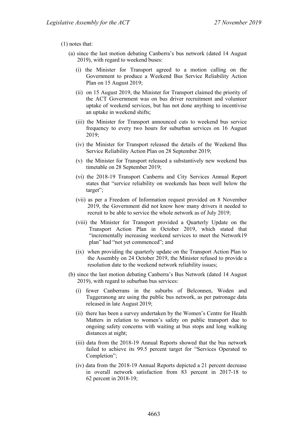#### (1) notes that:

- (a) since the last motion debating Canberra's bus network (dated 14 August 2019), with regard to weekend buses:
	- (i) the Minister for Transport agreed to a motion calling on the Government to produce a Weekend Bus Service Reliability Action Plan on 15 August 2019;
	- (ii) on 15 August 2019, the Minister for Transport claimed the priority of the ACT Government was on bus driver recruitment and volunteer uptake of weekend services, but has not done anything to incentivise an uptake in weekend shifts;
	- (iii) the Minister for Transport announced cuts to weekend bus service frequency to every two hours for suburban services on 16 August 2019;
	- (iv) the Minister for Transport released the details of the Weekend Bus Service Reliability Action Plan on 28 September 2019;
	- (v) the Minister for Transport released a substantively new weekend bus timetable on 28 September 2019;
	- (vi) the 2018-19 Transport Canberra and City Services Annual Report states that "service reliability on weekends has been well below the target";
	- (vii) as per a Freedom of Information request provided on 8 November 2019, the Government did not know how many drivers it needed to recruit to be able to service the whole network as of July 2019;
	- (viii) the Minister for Transport provided a Quarterly Update on the Transport Action Plan in October 2019, which stated that "incrementally increasing weekend services to meet the Network19 plan" had "not yet commenced"; and
	- (ix) when providing the quarterly update on the Transport Action Plan to the Assembly on 24 October 2019, the Minister refused to provide a resolution date to the weekend network reliability issues;
- (b) since the last motion debating Canberra's Bus Network (dated 14 August 2019), with regard to suburban bus services:
	- (i) fewer Canberrans in the suburbs of Belconnen, Woden and Tuggeranong are using the public bus network, as per patronage data released in late August 2019;
	- (ii) there has been a survey undertaken by the Women's Centre for Health Matters in relation to women's safety on public transport due to ongoing safety concerns with waiting at bus stops and long walking distances at night;
	- (iii) data from the 2018-19 Annual Reports showed that the bus network failed to achieve its 99.5 percent target for "Services Operated to Completion";
	- (iv) data from the 2018-19 Annual Reports depicted a 21 percent decrease in overall network satisfaction from 83 percent in 2017-18 to 62 percent in 2018-19;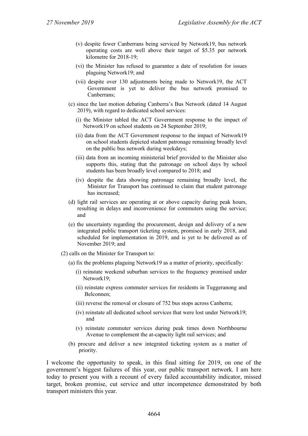- (v) despite fewer Canberrans being serviced by Network19, bus network operating costs are well above their target of \$5.35 per network kilometre for 2018-19;
- (vi) the Minister has refused to guarantee a date of resolution for issues plaguing Network19; and
- (vii) despite over 130 adjustments being made to Network19, the ACT Government is yet to deliver the bus network promised to Canberrans;
- (c) since the last motion debating Canberra's Bus Network (dated 14 August 2019), with regard to dedicated school services:
	- (i) the Minister tabled the ACT Government response to the impact of Network19 on school students on 24 September 2019;
	- (ii) data from the ACT Government response to the impact of Network19 on school students depicted student patronage remaining broadly level on the public bus network during weekdays;
	- (iii) data from an incoming ministerial brief provided to the Minister also supports this, stating that the patronage on school days by school students has been broadly level compared to 2018; and
	- (iv) despite the data showing patronage remaining broadly level, the Minister for Transport has continued to claim that student patronage has increased;
- (d) light rail services are operating at or above capacity during peak hours, resulting in delays and inconvenience for commuters using the service; and
- (e) the uncertainty regarding the procurement, design and delivery of a new integrated public transport ticketing system, promised in early 2018, and scheduled for implementation in 2019, and is yet to be delivered as of November 2019; and
- (2) calls on the Minister for Transport to:
	- (a) fix the problems plaguing Network19 as a matter of priority, specifically:
		- (i) reinstate weekend suburban services to the frequency promised under Network19;
		- (ii) reinstate express commuter services for residents in Tuggeranong and Belconnen;
		- (iii) reverse the removal or closure of 752 bus stops across Canberra;
		- (iv) reinstate all dedicated school services that were lost under Network19; and
		- (v) reinstate commuter services during peak times down Northbourne Avenue to complement the at-capacity light rail services; and
	- (b) procure and deliver a new integrated ticketing system as a matter of priority.

I welcome the opportunity to speak, in this final sitting for 2019, on one of the government's biggest failures of this year, our public transport network. I am here today to present you with a recount of every failed accountability indicator, missed target, broken promise, cut service and utter incompetence demonstrated by both transport ministers this year.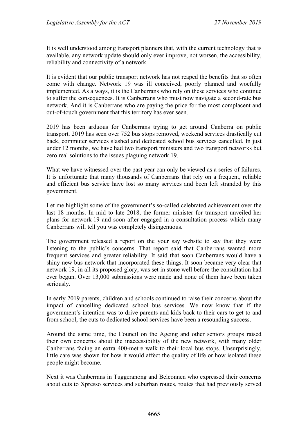It is well understood among transport planners that, with the current technology that is available, any network update should only ever improve, not worsen, the accessibility, reliability and connectivity of a network.

It is evident that our public transport network has not reaped the benefits that so often come with change. Network 19 was ill conceived, poorly planned and woefully implemented. As always, it is the Canberrans who rely on these services who continue to suffer the consequences. It is Canberrans who must now navigate a second-rate bus network. And it is Canberrans who are paying the price for the most complacent and out-of-touch government that this territory has ever seen.

2019 has been arduous for Canberrans trying to get around Canberra on public transport. 2019 has seen over 752 bus stops removed, weekend services drastically cut back, commuter services slashed and dedicated school bus services cancelled. In just under 12 months, we have had two transport ministers and two transport networks but zero real solutions to the issues plaguing network 19.

What we have witnessed over the past year can only be viewed as a series of failures. It is unfortunate that many thousands of Canberrans that rely on a frequent, reliable and efficient bus service have lost so many services and been left stranded by this government.

Let me highlight some of the government's so-called celebrated achievement over the last 18 months. In mid to late 2018, the former minister for transport unveiled her plans for network 19 and soon after engaged in a consultation process which many Canberrans will tell you was completely disingenuous.

The government released a report on the your say website to say that they were listening to the public's concerns. That report said that Canberrans wanted more frequent services and greater reliability. It said that soon Canberrans would have a shiny new bus network that incorporated these things. It soon became very clear that network 19, in all its proposed glory, was set in stone well before the consultation had ever begun. Over 13,000 submissions were made and none of them have been taken seriously.

In early 2019 parents, children and schools continued to raise their concerns about the impact of cancelling dedicated school bus services. We now know that if the government's intention was to drive parents and kids back to their cars to get to and from school, the cuts to dedicated school services have been a resounding success.

Around the same time, the Council on the Ageing and other seniors groups raised their own concerns about the inaccessibility of the new network, with many older Canberrans facing an extra 400-metre walk to their local bus stops. Unsurprisingly, little care was shown for how it would affect the quality of life or how isolated these people might become.

Next it was Canberrans in Tuggeranong and Belconnen who expressed their concerns about cuts to Xpresso services and suburban routes, routes that had previously served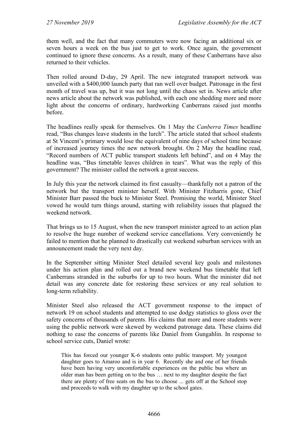them well, and the fact that many commuters were now facing an additional six or seven hours a week on the bus just to get to work. Once again, the government continued to ignore these concerns. As a result, many of these Canberrans have also returned to their vehicles.

Then rolled around D-day, 29 April. The new integrated transport network was unveiled with a \$400,000 launch party that ran well over budget. Patronage in the first month of travel was up, but it was not long until the chaos set in. News article after news article about the network was published, with each one shedding more and more light about the concerns of ordinary, hardworking Canberrans raised just months before.

The headlines really speak for themselves. On 1 May the *Canberra Times* headline read, "Bus changes leave students in the lurch". The article stated that school students at St Vincent's primary would lose the equivalent of nine days of school time because of increased journey times the new network brought. On 2 May the headline read, "Record numbers of ACT public transport students left behind", and on 4 May the headline was, "Bus timetable leaves children in tears". What was the reply of this government? The minister called the network a great success.

In July this year the network claimed its first casualty—thankfully not a patron of the network but the transport minister herself. With Minister Fitzharris gone, Chief Minister Barr passed the buck to Minister Steel. Promising the world, Minister Steel vowed he would turn things around, starting with reliability issues that plagued the weekend network.

That brings us to 15 August, when the new transport minister agreed to an action plan to resolve the huge number of weekend service cancellations. Very conveniently he failed to mention that he planned to drastically cut weekend suburban services with an announcement made the very next day.

In the September sitting Minister Steel detailed several key goals and milestones under his action plan and rolled out a brand new weekend bus timetable that left Canberrans stranded in the suburbs for up to two hours. What the minister did not detail was any concrete date for restoring these services or any real solution to long-term reliability.

Minister Steel also released the ACT government response to the impact of network 19 on school students and attempted to use dodgy statistics to gloss over the safety concerns of thousands of parents. His claims that more and more students were using the public network were skewed by weekend patronage data. These claims did nothing to ease the concerns of parents like Daniel from Gungahlin. In response to school service cuts, Daniel wrote:

This has forced our younger K-6 students onto public transport. My youngest daughter goes to Amaroo and is in year 6. Recently she and one of her friends have been having very uncomfortable experiences on the public bus where an older man has been getting on to the bus … next to my daughter despite the fact there are plenty of free seats on the bus to choose ... gets off at the School stop and proceeds to walk with my daughter up to the school gates.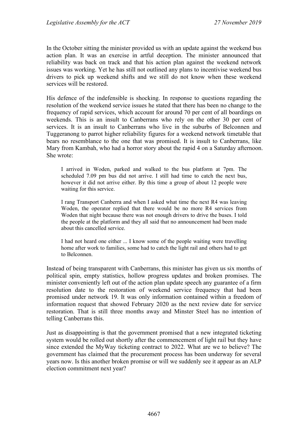In the October sitting the minister provided us with an update against the weekend bus action plan. It was an exercise in artful deception. The minister announced that reliability was back on track and that his action plan against the weekend network issues was working. Yet he has still not outlined any plans to incentivise weekend bus drivers to pick up weekend shifts and we still do not know when these weekend services will be restored.

His defence of the indefensible is shocking. In response to questions regarding the resolution of the weekend service issues he stated that there has been no change to the frequency of rapid services, which account for around 70 per cent of all boardings on weekends. This is an insult to Canberrans who rely on the other 30 per cent of services. It is an insult to Canberrans who live in the suburbs of Belconnen and Tuggeranong to parrot higher reliability figures for a weekend network timetable that bears no resemblance to the one that was promised. It is insult to Canberrans, like Mary from Kambah, who had a horror story about the rapid 4 on a Saturday afternoon. She wrote:

I arrived in Woden, parked and walked to the bus platform at 7pm. The scheduled 7.09 pm bus did not arrive. I still had time to catch the next bus, however it did not arrive either. By this time a group of about 12 people were waiting for this service.

I rang Transport Canberra and when I asked what time the next R4 was leaving Woden, the operator replied that there would be no more R4 services from Woden that night because there was not enough drivers to drive the buses. I told the people at the platform and they all said that no announcement had been made about this cancelled service.

I had not heard one either ... I know some of the people waiting were travelling home after work to families, some had to catch the light rail and others had to get to Belconnen.

Instead of being transparent with Canberrans, this minister has given us six months of political spin, empty statistics, hollow progress updates and broken promises. The minister conveniently left out of the action plan update speech any guarantee of a firm resolution date to the restoration of weekend service frequency that had been promised under network 19. It was only information contained within a freedom of information request that showed February 2020 as the next review date for service restoration. That is still three months away and Minster Steel has no intention of telling Canberrans this.

Just as disappointing is that the government promised that a new integrated ticketing system would be rolled out shortly after the commencement of light rail but they have since extended the MyWay ticketing contract to 2022. What are we to believe? The government has claimed that the procurement process has been underway for several years now. Is this another broken promise or will we suddenly see it appear as an ALP election commitment next year?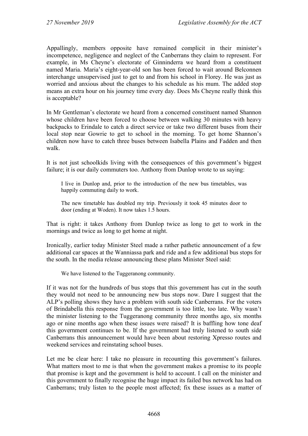Appallingly, members opposite have remained complicit in their minister's incompetence, negligence and neglect of the Canberrans they claim to represent. For example, in Ms Cheyne's electorate of Ginninderra we heard from a constituent named Maria. Maria's eight-year-old son has been forced to wait around Belconnen interchange unsupervised just to get to and from his school in Florey. He was just as worried and anxious about the changes to his schedule as his mum. The added stop means an extra hour on his journey time every day. Does Ms Cheyne really think this is acceptable?

In Mr Gentleman's electorate we heard from a concerned constituent named Shannon whose children have been forced to choose between walking 30 minutes with heavy backpacks to Erindale to catch a direct service or take two different buses from their local stop near Gowrie to get to school in the morning. To get home Shannon's children now have to catch three buses between Isabella Plains and Fadden and then walk.

It is not just schoolkids living with the consequences of this government's biggest failure; it is our daily commuters too. Anthony from Dunlop wrote to us saying:

I live in Dunlop and, prior to the introduction of the new bus timetables, was happily commuting daily to work.

The new timetable has doubled my trip. Previously it took 45 minutes door to door (ending at Woden). It now takes 1.5 hours.

That is right: it takes Anthony from Dunlop twice as long to get to work in the mornings and twice as long to get home at night.

Ironically, earlier today Minister Steel made a rather pathetic announcement of a few additional car spaces at the Wanniassa park and ride and a few additional bus stops for the south. In the media release announcing these plans Minister Steel said:

We have listened to the Tuggeranong community.

If it was not for the hundreds of bus stops that this government has cut in the south they would not need to be announcing new bus stops now. Dare I suggest that the ALP's polling shows they have a problem with south side Canberrans. For the voters of Brindabella this response from the government is too little, too late. Why wasn't the minister listening to the Tuggeranong community three months ago, six months ago or nine months ago when these issues were raised? It is baffling how tone deaf this government continues to be. If the government had truly listened to south side Canberrans this announcement would have been about restoring Xpresso routes and weekend services and reinstating school buses.

Let me be clear here: I take no pleasure in recounting this government's failures. What matters most to me is that when the government makes a promise to its people that promise is kept and the government is held to account. I call on the minister and this government to finally recognise the huge impact its failed bus network has had on Canberrans; truly listen to the people most affected; fix these issues as a matter of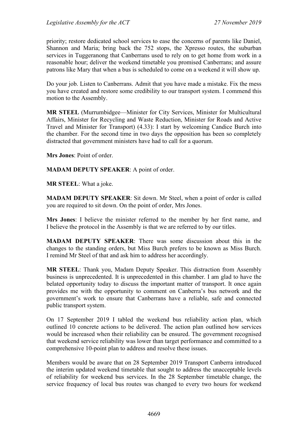priority; restore dedicated school services to ease the concerns of parents like Daniel, Shannon and Maria; bring back the 752 stops, the Xpresso routes, the suburban services in Tuggeranong that Canberrans used to rely on to get home from work in a reasonable hour; deliver the weekend timetable you promised Canberrans; and assure patrons like Mary that when a bus is scheduled to come on a weekend it will show up.

Do your job. Listen to Canberrans. Admit that you have made a mistake. Fix the mess you have created and restore some credibility to our transport system. I commend this motion to the Assembly.

**MR STEEL** (Murrumbidgee—Minister for City Services, Minister for Multicultural Affairs, Minister for Recycling and Waste Reduction, Minister for Roads and Active Travel and Minister for Transport) (4.33): I start by welcoming Candice Burch into the chamber. For the second time in two days the opposition has been so completely distracted that government ministers have had to call for a quorum.

**Mrs Jones**: Point of order.

**MADAM DEPUTY SPEAKER**: A point of order.

**MR STEEL**: What a joke.

**MADAM DEPUTY SPEAKER**: Sit down. Mr Steel, when a point of order is called you are required to sit down. On the point of order, Mrs Jones.

**Mrs Jones**: I believe the minister referred to the member by her first name, and I believe the protocol in the Assembly is that we are referred to by our titles.

**MADAM DEPUTY SPEAKER**: There was some discussion about this in the changes to the standing orders, but Miss Burch prefers to be known as Miss Burch. I remind Mr Steel of that and ask him to address her accordingly.

**MR STEEL**: Thank you, Madam Deputy Speaker. This distraction from Assembly business is unprecedented. It is unprecedented in this chamber. I am glad to have the belated opportunity today to discuss the important matter of transport. It once again provides me with the opportunity to comment on Canberra's bus network and the government's work to ensure that Canberrans have a reliable, safe and connected public transport system.

On 17 September 2019 I tabled the weekend bus reliability action plan, which outlined 10 concrete actions to be delivered. The action plan outlined how services would be increased when their reliability can be ensured. The government recognised that weekend service reliability was lower than target performance and committed to a comprehensive 10-point plan to address and resolve these issues.

Members would be aware that on 28 September 2019 Transport Canberra introduced the interim updated weekend timetable that sought to address the unacceptable levels of reliability for weekend bus services. In the 28 September timetable change, the service frequency of local bus routes was changed to every two hours for weekend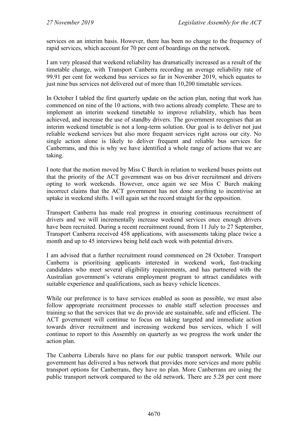services on an interim basis. However, there has been no change to the frequency of rapid services, which account for 70 per cent of boardings on the network.

I am very pleased that weekend reliability has dramatically increased as a result of the timetable change, with Transport Canberra recording an average reliability rate of 99.91 per cent for weekend bus services so far in November 2019, which equates to just nine bus services not delivered out of more than 10,200 timetable services.

In October I tabled the first quarterly update on the action plan, noting that work has commenced on nine of the 10 actions, with two actions already complete. These are to implement an interim weekend timetable to improve reliability, which has been achieved, and increase the use of standby drivers. The government recognises that an interim weekend timetable is not a long-term solution. Our goal is to deliver not just reliable weekend services but also more frequent services right across our city. No single action alone is likely to deliver frequent and reliable bus services for Canberrans, and this is why we have identified a whole range of actions that we are taking.

I note that the motion moved by Miss C Burch in relation to weekend buses points out that the priority of the ACT government was on bus driver recruitment and drivers opting to work weekends. However, once again we see Miss C Burch making incorrect claims that the ACT government has not done anything to incentivise an uptake in weekend shifts. I will again set the record straight for the opposition.

Transport Canberra has made real progress in ensuring continuous recruitment of drivers and we will incrementally increase weekend services once enough drivers have been recruited. During a recent recruitment round, from 11 July to 27 September, Transport Canberra received 458 applications, with assessments taking place twice a month and up to 45 interviews being held each week with potential drivers.

I am advised that a further recruitment round commenced on 28 October. Transport Canberra is prioritising applicants interested in weekend work, fast-tracking candidates who meet several eligibility requirements, and has partnered with the Australian government's veterans employment program to attract candidates with suitable experience and qualifications, such as heavy vehicle licences.

While our preference is to have services enabled as soon as possible, we must also follow appropriate recruitment processes to enable staff selection processes and training so that the services that we do provide are sustainable, safe and efficient. The ACT government will continue to focus on taking targeted and immediate action towards driver recruitment and increasing weekend bus services, which I will continue to report to this Assembly on quarterly as we progress the work under the action plan.

The Canberra Liberals have no plans for our public transport network. While our government has delivered a bus network that provides more services and more public transport options for Canberrans, they have no plan. More Canberrans are using the public transport network compared to the old network. There are 5.28 per cent more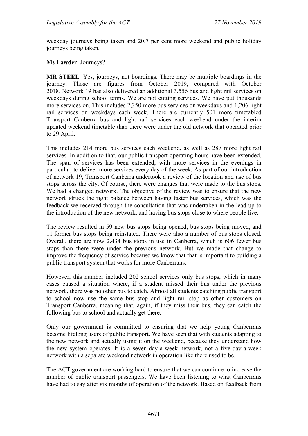weekday journeys being taken and 20.7 per cent more weekend and public holiday journeys being taken.

#### **Ms Lawder**: Journeys?

**MR STEEL**: Yes, journeys, not boardings. There may be multiple boardings in the journey. Those are figures from October 2019, compared with October 2018. Network 19 has also delivered an additional 3,556 bus and light rail services on weekdays during school terms. We are not cutting services. We have put thousands more services on. This includes 2,350 more bus services on weekdays and 1,206 light rail services on weekdays each week. There are currently 501 more timetabled Transport Canberra bus and light rail services each weekend under the interim updated weekend timetable than there were under the old network that operated prior to 29 April.

This includes 214 more bus services each weekend, as well as 287 more light rail services. In addition to that, our public transport operating hours have been extended. The span of services has been extended, with more services in the evenings in particular, to deliver more services every day of the week. As part of our introduction of network 19, Transport Canberra undertook a review of the location and use of bus stops across the city. Of course, there were changes that were made to the bus stops. We had a changed network. The objective of the review was to ensure that the new network struck the right balance between having faster bus services, which was the feedback we received through the consultation that was undertaken in the lead-up to the introduction of the new network, and having bus stops close to where people live.

The review resulted in 59 new bus stops being opened, bus stops being moved, and 11 former bus stops being reinstated. There were also a number of bus stops closed. Overall, there are now 2,434 bus stops in use in Canberra, which is 606 fewer bus stops than there were under the previous network. But we made that change to improve the frequency of service because we know that that is important to building a public transport system that works for more Canberrans.

However, this number included 202 school services only bus stops, which in many cases caused a situation where, if a student missed their bus under the previous network, there was no other bus to catch. Almost all students catching public transport to school now use the same bus stop and light rail stop as other customers on Transport Canberra, meaning that, again, if they miss their bus, they can catch the following bus to school and actually get there.

Only our government is committed to ensuring that we help young Canberrans become lifelong users of public transport. We have seen that with students adapting to the new network and actually using it on the weekend, because they understand how the new system operates. It is a seven-day-a-week network, not a five-day-a-week network with a separate weekend network in operation like there used to be.

The ACT government are working hard to ensure that we can continue to increase the number of public transport passengers. We have been listening to what Canberrans have had to say after six months of operation of the network. Based on feedback from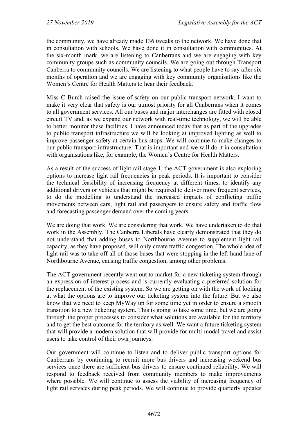the community, we have already made 136 tweaks to the network. We have done that in consultation with schools. We have done it in consultation with communities. At the six-month mark, we are listening to Canberrans and we are engaging with key community groups such as community councils. We are going out through Transport Canberra to community councils. We are listening to what people have to say after six months of operation and we are engaging with key community organisations like the Women's Centre for Health Matters to hear their feedback.

Miss C Burch raised the issue of safety on our public transport network. I want to make it very clear that safety is our utmost priority for all Canberrans when it comes to all government services. All our buses and major interchanges are fitted with closed circuit TV and, as we expand our network with real-time technology, we will be able to better monitor these facilities. I have announced today that as part of the upgrades to public transport infrastructure we will be looking at improved lighting as well to improve passenger safety at certain bus stops. We will continue to make changes to our public transport infrastructure. That is important and we will do it in consultation with organisations like, for example, the Women's Centre for Health Matters.

As a result of the success of light rail stage 1, the ACT government is also exploring options to increase light rail frequencies in peak periods. It is important to consider the technical feasibility of increasing frequency at different times, to identify any additional drivers or vehicles that might be required to deliver more frequent services, to do the modelling to understand the increased impacts of conflicting traffic movements between cars, light rail and passengers to ensure safety and traffic flow and forecasting passenger demand over the coming years.

We are doing that work. We are considering that work. We have undertaken to do that work in the Assembly. The Canberra Liberals have clearly demonstrated that they do not understand that adding buses to Northbourne Avenue to supplement light rail capacity, as they have proposed, will only create traffic congestion. The whole idea of light rail was to take off all of those buses that were stopping in the left-hand lane of Northbourne Avenue, causing traffic congestion, among other problems.

The ACT government recently went out to market for a new ticketing system through an expression of interest process and is currently evaluating a preferred solution for the replacement of the existing system. So we are getting on with the work of looking at what the options are to improve our ticketing system into the future. But we also know that we need to keep MyWay up for some time yet in order to ensure a smooth transition to a new ticketing system. This is going to take some time, but we are going through the proper processes to consider what solutions are available for the territory and to get the best outcome for the territory as well. We want a future ticketing system that will provide a modern solution that will provide for multi-modal travel and assist users to take control of their own journeys.

Our government will continue to listen and to deliver public transport options for Canberrans by continuing to recruit more bus drivers and increasing weekend bus services once there are sufficient bus drivers to ensure continued reliability. We will respond to feedback received from community members to make improvements where possible. We will continue to assess the viability of increasing frequency of light rail services during peak periods. We will continue to provide quarterly updates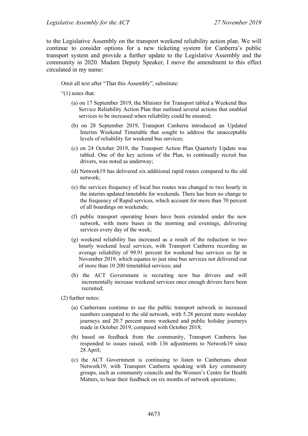to the Legislative Assembly on the transport weekend reliability action plan. We will continue to consider options for a new ticketing system for Canberra's public transport system and provide a further update to the Legislative Assembly and the community in 2020. Madam Deputy Speaker, I move the amendment to this effect circulated in my name:

Omit all text after "That this Assembly", substitute:

"(1) notes that:

- (a) on 17 September 2019, the Minister for Transport tabled a Weekend Bus Service Reliability Action Plan that outlined several actions that enabled services to be increased when reliability could be ensured;
- (b) on 28 September 2019, Transport Canberra introduced an Updated Interim Weekend Timetable that sought to address the unacceptable levels of reliability for weekend bus services;
- (c) on 24 October 2019, the Transport Action Plan Quarterly Update was tabled. One of the key actions of the Plan, to continually recruit bus drivers, was noted as underway;
- (d) Network19 has delivered six additional rapid routes compared to the old network;
- (e) the services frequency of local bus routes was changed to two hourly in the interim updated timetable for weekends. There has been no change to the frequency of Rapid services, which account for more than 70 percent of all boardings on weekends;
- (f) public transport operating hours have been extended under the new network, with more buses in the morning and evenings, delivering services every day of the week;
- (g) weekend reliability has increased as a result of the reduction to two hourly weekend local services, with Transport Canberra recording an average reliability of 99.91 percent for weekend bus services so far in November 2019, which equates to just nine bus services not delivered out of more than 10 200 timetabled services; and
- (h) the ACT Government is recruiting new bus drivers and will incrementally increase weekend services once enough drivers have been recruited;
- (2) further notes:
	- (a) Canberrans continue to use the public transport network in increased numbers compared to the old network, with 5.28 percent more weekday journeys and 20.7 percent more weekend and public holiday journeys made in October 2019, compared with October 2018;
	- (b) based on feedback from the community, Transport Canberra has responded to issues raised, with 136 adjustments to Network19 since 28 April;
	- (c) the ACT Government is continuing to listen to Canberrans about Network19, with Transport Canberra speaking with key community groups, such as community councils and the Women's Centre for Health Matters, to hear their feedback on six months of network operations;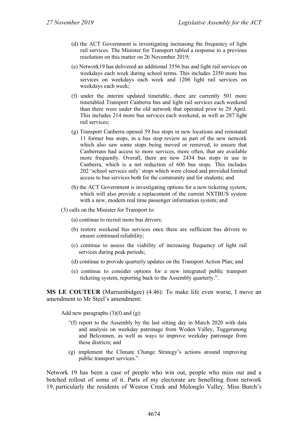- (d) the ACT Government is investigating increasing the frequency of light rail services. The Minister for Transport tabled a response to a previous resolution on this matter on 26 November 2019;
- (e) Network19 has delivered an additional 3556 bus and light rail services on weekdays each week during school terms. This includes 2350 more bus services on weekdays each week and 1206 light rail services on weekdays each week;
- (f) under the interim updated timetable, there are currently 501 more timetabled Transport Canberra bus and light rail services each weekend than there were under the old network that operated prior to 29 April. This includes 214 more bus services each weekend, as well as 287 light rail services;
- (g) Transport Canberra opened 59 bus stops in new locations and reinstated 11 former bus stops, in a bus stop review as part of the new network which also saw some stops being moved or removed, to ensure that Canberrans had access to more services, more often, that are available more frequently. Overall, there are now 2434 bus stops in use in Canberra, which is a net reduction of 606 bus stops. This includes 202 'school services only' stops which were closed and provided limited access to bus services both for the community and for students; and
- (h) the ACT Government is investigating options for a new ticketing system, which will also provide a replacement of the current NXTBUS system with a new, modern real time passenger information system; and
- (3) calls on the Minister for Transport to:
	- (a) continue to recruit more bus drivers;
	- (b) restore weekend bus services once there are sufficient bus drivers to ensure continued reliability;
	- (c) continue to assess the viability of increasing frequency of light rail services during peak periods;
	- (d) continue to provide quarterly updates on the Transport Action Plan; and
	- (e) continue to consider options for a new integrated public transport ticketing system, reporting back to the Assembly quarterly.".

**MS LE COUTEUR** (Murrumbidgee) (4.46): To make life even worse, I move an amendment to Mr Steel's amendment:

Add new paragraphs  $(3)(f)$  and  $(g)$ :

- "(f) report to the Assembly by the last sitting day in March 2020 with data and analysis on weekday patronage from Woden Valley, Tuggeranong and Belconnen, as well as ways to improve weekday patronage from these districts; and
- (g) implement the Climate Change Strategy's actions around improving public transport services.".

Network 19 has been a case of people who win out, people who miss out and a botched rollout of some of it. Parts of my electorate are benefiting from network 19, particularly the residents of Weston Creek and Molonglo Valley. Miss Burch's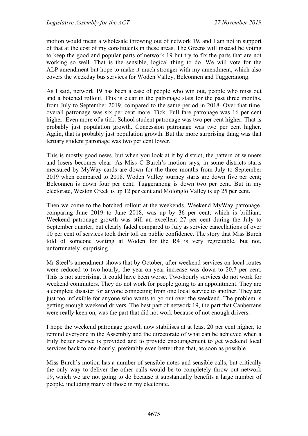motion would mean a wholesale throwing out of network 19, and I am not in support of that at the cost of my constituents in these areas. The Greens will instead be voting to keep the good and popular parts of network 19 but try to fix the parts that are not working so well. That is the sensible, logical thing to do. We will vote for the ALP amendment but hope to make it much stronger with my amendment, which also covers the weekday bus services for Woden Valley, Belconnen and Tuggeranong.

As I said, network 19 has been a case of people who win out, people who miss out and a botched rollout. This is clear in the patronage stats for the past three months, from July to September 2019, compared to the same period in 2018. Over that time, overall patronage was six per cent more. Tick. Full fare patronage was 16 per cent higher. Even more of a tick. School student patronage was two per cent higher. That is probably just population growth. Concession patronage was two per cent higher. Again, that is probably just population growth. But the more surprising thing was that tertiary student patronage was two per cent lower.

This is mostly good news, but when you look at it by district, the pattern of winners and losers becomes clear. As Miss C Burch's motion says, in some districts starts measured by MyWay cards are down for the three months from July to September 2019 when compared to 2018. Woden Valley journey starts are down five per cent; Belconnen is down four per cent; Tuggeranong is down two per cent. But in my electorate, Weston Creek is up 12 per cent and Molonglo Valley is up 25 per cent.

Then we come to the botched rollout at the weekends. Weekend MyWay patronage, comparing June 2019 to June 2018, was up by 36 per cent, which is brilliant. Weekend patronage growth was still an excellent 27 per cent during the July to September quarter, but clearly faded compared to July as service cancellations of over 10 per cent of services took their toll on public confidence. The story that Miss Burch told of someone waiting at Woden for the R4 is very regrettable, but not, unfortunately, surprising.

Mr Steel's amendment shows that by October, after weekend services on local routes were reduced to two-hourly, the year-on-year increase was down to 20.7 per cent. This is not surprising. It could have been worse. Two-hourly services do not work for weekend commuters. They do not work for people going to an appointment. They are a complete disaster for anyone connecting from one local service to another. They are just too inflexible for anyone who wants to go out over the weekend. The problem is getting enough weekend drivers. The best part of network 19, the part that Canberrans were really keen on, was the part that did not work because of not enough drivers.

I hope the weekend patronage growth now stabilises at at least 20 per cent higher, to remind everyone in the Assembly and the directorate of what can be achieved when a truly better service is provided and to provide encouragement to get weekend local services back to one-hourly, preferably even better than that, as soon as possible.

Miss Burch's motion has a number of sensible notes and sensible calls, but critically the only way to deliver the other calls would be to completely throw out network 19, which we are not going to do because it substantially benefits a large number of people, including many of those in my electorate.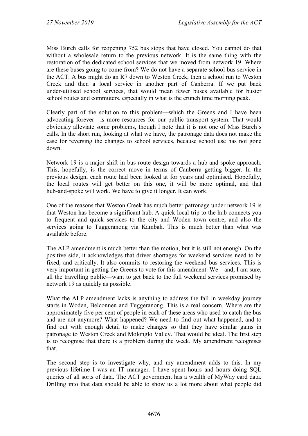Miss Burch calls for reopening 752 bus stops that have closed. You cannot do that without a wholesale return to the previous network. It is the same thing with the restoration of the dedicated school services that we moved from network 19. Where are these buses going to come from? We do not have a separate school bus service in the ACT. A bus might do an R7 down to Weston Creek, then a school run to Weston Creek and then a local service in another part of Canberra. If we put back under-utilised school services, that would mean fewer buses available for busier school routes and commuters, especially in what is the crunch time morning peak.

Clearly part of the solution to this problem—which the Greens and I have been advocating forever—is more resources for our public transport system. That would obviously alleviate some problems, though I note that it is not one of Miss Burch's calls. In the short run, looking at what we have, the patronage data does not make the case for reversing the changes to school services, because school use has not gone down.

Network 19 is a major shift in bus route design towards a hub-and-spoke approach. This, hopefully, is the correct move in terms of Canberra getting bigger. In the previous design, each route had been looked at for years and optimised. Hopefully, the local routes will get better on this one, it will be more optimal, and that hub-and-spoke will work. We have to give it longer. It can work.

One of the reasons that Weston Creek has much better patronage under network 19 is that Weston has become a significant hub. A quick local trip to the hub connects you to frequent and quick services to the city and Woden town centre, and also the services going to Tuggeranong via Kambah. This is much better than what was available before.

The ALP amendment is much better than the motion, but it is still not enough. On the positive side, it acknowledges that driver shortages for weekend services need to be fixed, and critically. It also commits to restoring the weekend bus services. This is very important in getting the Greens to vote for this amendment. We—and, I am sure, all the travelling public—want to get back to the full weekend services promised by network 19 as quickly as possible.

What the ALP amendment lacks is anything to address the fall in weekday journey starts in Woden, Belconnen and Tuggeranong. This is a real concern. Where are the approximately five per cent of people in each of these areas who used to catch the bus and are not anymore? What happened? We need to find out what happened, and to find out with enough detail to make changes so that they have similar gains in patronage to Weston Creek and Molonglo Valley. That would be ideal. The first step is to recognise that there is a problem during the week. My amendment recognises that.

The second step is to investigate why, and my amendment adds to this. In my previous lifetime I was an IT manager. I have spent hours and hours doing SQL queries of all sorts of data. The ACT government has a wealth of MyWay card data. Drilling into that data should be able to show us a lot more about what people did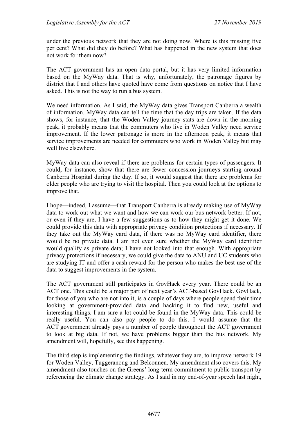under the previous network that they are not doing now. Where is this missing five per cent? What did they do before? What has happened in the new system that does not work for them now?

The ACT government has an open data portal, but it has very limited information based on the MyWay data. That is why, unfortunately, the patronage figures by district that I and others have quoted have come from questions on notice that I have asked. This is not the way to run a bus system.

We need information. As I said, the MyWay data gives Transport Canberra a wealth of information. MyWay data can tell the time that the day trips are taken. If the data shows, for instance, that the Woden Valley journey stats are down in the morning peak, it probably means that the commuters who live in Woden Valley need service improvement. If the lower patronage is more in the afternoon peak, it means that service improvements are needed for commuters who work in Woden Valley but may well live elsewhere.

MyWay data can also reveal if there are problems for certain types of passengers. It could, for instance, show that there are fewer concession journeys starting around Canberra Hospital during the day. If so, it would suggest that there are problems for older people who are trying to visit the hospital. Then you could look at the options to improve that.

I hope—indeed, I assume—that Transport Canberra is already making use of MyWay data to work out what we want and how we can work our bus network better. If not, or even if they are, I have a few suggestions as to how they might get it done. We could provide this data with appropriate privacy condition protections if necessary. If they take out the MyWay card data, if there was no MyWay card identifier, there would be no private data. I am not even sure whether the MyWay card identifier would qualify as private data; I have not looked into that enough. With appropriate privacy protections if necessary, we could give the data to ANU and UC students who are studying IT and offer a cash reward for the person who makes the best use of the data to suggest improvements in the system.

The ACT government still participates in GovHack every year. There could be an ACT one. This could be a major part of next year's ACT-based GovHack. GovHack, for those of you who are not into it, is a couple of days where people spend their time looking at government-provided data and hacking it to find new, useful and interesting things. I am sure a lot could be found in the MyWay data. This could be really useful. You can also pay people to do this. I would assume that the ACT government already pays a number of people throughout the ACT government to look at big data. If not, we have problems bigger than the bus network. My amendment will, hopefully, see this happening.

The third step is implementing the findings, whatever they are, to improve network 19 for Woden Valley, Tuggeranong and Belconnen. My amendment also covers this. My amendment also touches on the Greens' long-term commitment to public transport by referencing the climate change strategy. As I said in my end-of-year speech last night,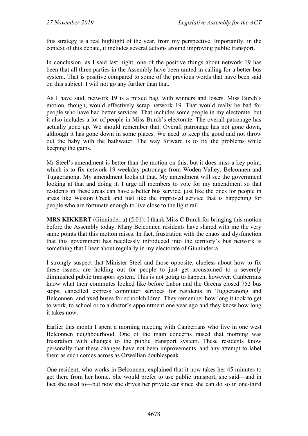this strategy is a real highlight of the year, from my perspective. Importantly, in the context of this debate, it includes several actions around improving public transport.

In conclusion, as I said last night, one of the positive things about network 19 has been that all three parties in the Assembly have been united in calling for a better bus system. That is positive compared to some of the previous words that have been said on this subject. I will not go any further than that.

As I have said, network 19 is a mixed bag, with winners and losers. Miss Burch's motion, though, would effectively scrap network 19. That would really be bad for people who have had better services. That includes some people in my electorate, but it also includes a lot of people in Miss Burch's electorate. The overall patronage has actually gone up. We should remember that. Overall patronage has not gone down, although it has gone down in some places. We need to keep the good and not throw out the baby with the bathwater. The way forward is to fix the problems while keeping the gains.

Mr Steel's amendment is better than the motion on this, but it does miss a key point, which is to fix network 19 weekday patronage from Woden Valley, Belconnen and Tuggeranong. My amendment looks at that. My amendment will see the government looking at that and doing it. I urge all members to vote for my amendment so that residents in these areas can have a better bus service, just like the ones for people in areas like Weston Creek and just like the improved service that is happening for people who are fortunate enough to live close to the light rail.

**MRS KIKKERT** (Ginninderra) (5.01): I thank Miss C Burch for bringing this motion before the Assembly today. Many Belconnen residents have shared with me the very same points that this motion raises. In fact, frustration with the chaos and dysfunction that this government has needlessly introduced into the territory's bus network is something that I hear about regularly in my electorate of Ginninderra.

I strongly suspect that Minister Steel and those opposite, clueless about how to fix these issues, are holding out for people to just get accustomed to a severely diminished public transport system. This is not going to happen, however. Canberrans know what their commutes looked like before Labor and the Greens closed 752 bus stops, cancelled express commuter services for residents in Tuggeranong and Belconnen, and axed buses for schoolchildren. They remember how long it took to get to work, to school or to a doctor's appointment one year ago and they know how long it takes now.

Earlier this month I spent a morning meeting with Canberrans who live in one west Belconnen neighbourhood. One of the main concerns raised that morning was frustration with changes to the public transport system. These residents know personally that these changes have not been improvements, and any attempt to label them as such comes across as Orwellian doublespeak.

One resident, who works in Belconnen, explained that it now takes her 45 minutes to get there from her home. She would prefer to use public transport, she said—and in fact she used to—but now she drives her private car since she can do so in one-third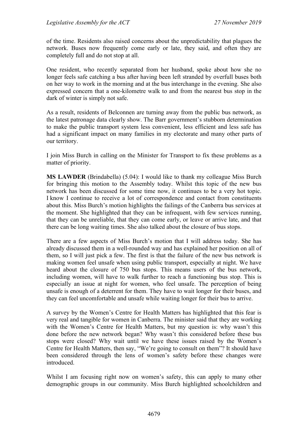of the time. Residents also raised concerns about the unpredictability that plagues the network. Buses now frequently come early or late, they said, and often they are completely full and do not stop at all.

One resident, who recently separated from her husband, spoke about how she no longer feels safe catching a bus after having been left stranded by overfull buses both on her way to work in the morning and at the bus interchange in the evening. She also expressed concern that a one-kilometre walk to and from the nearest bus stop in the dark of winter is simply not safe.

As a result, residents of Belconnen are turning away from the public bus network, as the latest patronage data clearly show. The Barr government's stubborn determination to make the public transport system less convenient, less efficient and less safe has had a significant impact on many families in my electorate and many other parts of our territory.

I join Miss Burch in calling on the Minister for Transport to fix these problems as a matter of priority.

**MS LAWDER** (Brindabella) (5.04): I would like to thank my colleague Miss Burch for bringing this motion to the Assembly today. Whilst this topic of the new bus network has been discussed for some time now, it continues to be a very hot topic. I know I continue to receive a lot of correspondence and contact from constituents about this. Miss Burch's motion highlights the failings of the Canberra bus services at the moment. She highlighted that they can be infrequent, with few services running, that they can be unreliable, that they can come early, or leave or arrive late, and that there can be long waiting times. She also talked about the closure of bus stops.

There are a few aspects of Miss Burch's motion that I will address today. She has already discussed them in a well-rounded way and has explained her position on all of them, so I will just pick a few. The first is that the failure of the new bus network is making women feel unsafe when using public transport, especially at night. We have heard about the closure of 750 bus stops. This means users of the bus network, including women, will have to walk further to reach a functioning bus stop. This is especially an issue at night for women, who feel unsafe. The perception of being unsafe is enough of a deterrent for them. They have to wait longer for their buses, and they can feel uncomfortable and unsafe while waiting longer for their bus to arrive.

A survey by the Women's Centre for Health Matters has highlighted that this fear is very real and tangible for women in Canberra. The minister said that they are working with the Women's Centre for Health Matters, but my question is: why wasn't this done before the new network began? Why wasn't this considered before these bus stops were closed? Why wait until we have these issues raised by the Women's Centre for Health Matters, then say, "We're going to consult on them"? It should have been considered through the lens of women's safety before these changes were introduced.

Whilst I am focusing right now on women's safety, this can apply to many other demographic groups in our community. Miss Burch highlighted schoolchildren and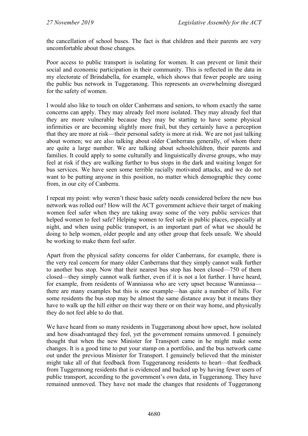the cancellation of school buses. The fact is that children and their parents are very uncomfortable about those changes.

Poor access to public transport is isolating for women. It can prevent or limit their social and economic participation in their community. This is reflected in the data in my electorate of Brindabella, for example, which shows that fewer people are using the public bus network in Tuggeranong. This represents an overwhelming disregard for the safety of women.

I would also like to touch on older Canberrans and seniors, to whom exactly the same concerns can apply. They may already feel more isolated. They may already feel that they are more vulnerable because they may be starting to have some physical infirmities or are becoming slightly more frail, but they certainly have a perception that they are more at risk—their personal safety is more at risk. We are not just talking about women; we are also talking about older Canberrans generally, of whom there are quite a large number. We are talking about schoolchildren, their parents and families. It could apply to some culturally and linguistically diverse groups, who may feel at risk if they are walking further to bus stops in the dark and waiting longer for bus services. We have seen some terrible racially motivated attacks, and we do not want to be putting anyone in this position, no matter which demographic they come from, in our city of Canberra.

I repeat my point: why weren't these basic safety needs considered before the new bus network was rolled out? How will the ACT government achieve their target of making women feel safer when they are taking away some of the very public services that helped women to feel safe? Helping women to feel safe in public places, especially at night, and when using public transport, is an important part of what we should be doing to help women, older people and any other group that feels unsafe. We should be working to make them feel safer.

Apart from the physical safety concerns for older Canberrans, for example, there is the very real concern for many older Canberrans that they simply cannot walk further to another bus stop. Now that their nearest bus stop has been closed—750 of them closed—they simply cannot walk further, even if it is not a lot further. I have heard, for example, from residents of Wanniassa who are very upset because Wanniassa there are many examples but this is one example—has quite a number of hills. For some residents the bus stop may be almost the same distance away but it means they have to walk up the hill either on their way there or on their way home, and physically they do not feel able to do that.

We have heard from so many residents in Tuggeranong about how upset, how isolated and how disadvantaged they feel, yet the government remains unmoved. I genuinely thought that when the new Minister for Transport came in he might make some changes. It is a good time to put your stamp on a portfolio, and the bus network came out under the previous Minister for Transport. I genuinely believed that the minister might take all of that feedback from Tuggeranong residents to heart—that feedback from Tuggeranong residents that is evidenced and backed up by having fewer users of public transport, according to the government's own data, in Tuggeranong. They have remained unmoved. They have not made the changes that residents of Tuggeranong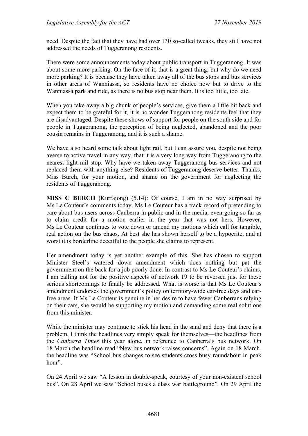need. Despite the fact that they have had over 130 so-called tweaks, they still have not addressed the needs of Tuggeranong residents.

There were some announcements today about public transport in Tuggeranong. It was about some more parking. On the face of it, that is a great thing; but why do we need more parking? It is because they have taken away all of the bus stops and bus services in other areas of Wanniassa, so residents have no choice now but to drive to the Wanniassa park and ride, as there is no bus stop near them. It is too little, too late.

When you take away a big chunk of people's services, give them a little bit back and expect them to be grateful for it, it is no wonder Tuggeranong residents feel that they are disadvantaged. Despite these shows of support for people on the south side and for people in Tuggeranong, the perception of being neglected, abandoned and the poor cousin remains in Tuggeranong, and it is such a shame.

We have also heard some talk about light rail, but I can assure you, despite not being averse to active travel in any way, that it is a very long way from Tuggeranong to the nearest light rail stop. Why have we taken away Tuggeranong bus services and not replaced them with anything else? Residents of Tuggeranong deserve better. Thanks, Miss Burch, for your motion, and shame on the government for neglecting the residents of Tuggeranong.

**MISS C BURCH** (Kurrajong) (5.14): Of course, I am in no way surprised by Ms Le Couteur's comments today. Ms Le Couteur has a track record of pretending to care about bus users across Canberra in public and in the media, even going so far as to claim credit for a motion earlier in the year that was not hers. However, Ms Le Couteur continues to vote down or amend my motions which call for tangible, real action on the bus chaos. At best she has shown herself to be a hypocrite, and at worst it is borderline deceitful to the people she claims to represent.

Her amendment today is yet another example of this. She has chosen to support Minister Steel's watered down amendment which does nothing but pat the government on the back for a job poorly done. In contrast to Ms Le Couteur's claims, I am calling not for the positive aspects of network 19 to be reversed just for these serious shortcomings to finally be addressed. What is worse is that Ms Le Couteur's amendment endorses the government's policy on territory-wide car-free days and carfree areas. If Ms Le Couteur is genuine in her desire to have fewer Canberrans relying on their cars, she would be supporting my motion and demanding some real solutions from this minister.

While the minister may continue to stick his head in the sand and deny that there is a problem, I think the headlines very simply speak for themselves—the headlines from the *Canberra Times* this year alone, in reference to Canberra's bus network. On 18 March the headline read "New bus network raises concerns". Again on 18 March, the headline was "School bus changes to see students cross busy roundabout in peak hour".

On 24 April we saw "A lesson in double-speak, courtesy of your non-existent school bus". On 28 April we saw "School buses a class war battleground". On 29 April the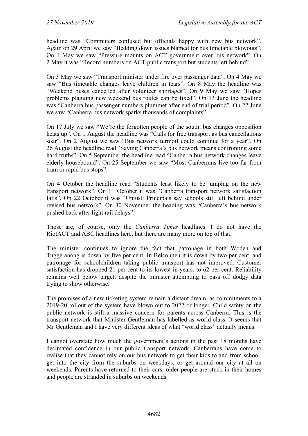headline was "Commuters confused but officials happy with new bus network". Again on 29 April we saw "Bedding down issues blamed for bus timetable blowouts". On 1 May we saw "Pressure mounts on ACT government over bus network". On 2 May it was "Record numbers on ACT public transport but students left behind".

On 3 May we saw "Transport minister under fire over passenger data". On 4 May we saw "Bus timetable changes leave children in tears". On 8 May the headline was "Weekend buses cancelled after volunteer shortages". On 9 May we saw "Hopes problems plaguing new weekend bus routes can be fixed". On 13 June the headline was "Canberra bus passenger numbers plummet after end of trial period". On 22 June we saw "Canberra bus network sparks thousands of complaints".

On 17 July we saw "We're the forgotten people of the south: bus changes opposition heats up". On 1 August the headline was "Calls for free transport as bus cancellations soar". On 2 August we saw "Bus network turmoil could continue for a year". On 26 August the headline read "Saving Canberra's bus network means confronting some hard truths". On 5 September the headline read "Canberra bus network changes leave elderly housebound". On 25 September we saw "Most Canberrans live too far from tram or rapid bus stops".

On 4 October the headline read "Students least likely to be jumping on the new transport network". On 11 October it was "Canberra transport network satisfaction falls". On 22 October it was "Unjust: Principals say schools still left behind under revised bus network". On 30 November the heading was "Canberra's bus network pushed back after light rail delays".

Those are, of course, only the *Canberra Times* headlines. I do not have the RiotACT and ABC headlines here, but there are many more on top of that.

The minister continues to ignore the fact that patronage in both Woden and Tuggeranong is down by five per cent. In Belconnen it is down by two per cent, and patronage for schoolchildren taking public transport has not improved. Customer satisfaction has dropped 21 per cent to its lowest in years, to 62 per cent. Reliability remains well below target, despite the minister attempting to pass off dodgy data trying to show otherwise.

The promises of a new ticketing system remain a distant dream, as commitments to a 2019-20 rollout of the system have blown out to 2022 or longer. Child safety on the public network is still a massive concern for parents across Canberra. This is the transport network that Minister Gentleman has labelled as world class. It seems that Mr Gentleman and I have very different ideas of what "world class" actually means.

I cannot overstate how much the government's actions in the past 18 months have decimated confidence in our public transport network. Canberrans have come to realise that they cannot rely on our bus network to get their kids to and from school, get into the city from the suburbs on weekdays, or get around our city at all on weekends. Parents have returned to their cars, older people are stuck in their homes and people are stranded in suburbs on weekends.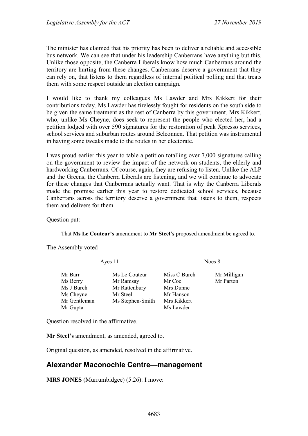The minister has claimed that his priority has been to deliver a reliable and accessible bus network. We can see that under his leadership Canberrans have anything but this. Unlike those opposite, the Canberra Liberals know how much Canberrans around the territory are hurting from these changes. Canberrans deserve a government that they can rely on, that listens to them regardless of internal political polling and that treats them with some respect outside an election campaign.

I would like to thank my colleagues Ms Lawder and Mrs Kikkert for their contributions today. Ms Lawder has tirelessly fought for residents on the south side to be given the same treatment as the rest of Canberra by this government. Mrs Kikkert, who, unlike Ms Cheyne, does seek to represent the people who elected her, had a petition lodged with over 590 signatures for the restoration of peak Xpresso services, school services and suburban routes around Belconnen. That petition was instrumental in having some tweaks made to the routes in her electorate.

I was proud earlier this year to table a petition totalling over 7,000 signatures calling on the government to review the impact of the network on students, the elderly and hardworking Canberrans. Of course, again, they are refusing to listen. Unlike the ALP and the Greens, the Canberra Liberals are listening, and we will continue to advocate for these changes that Canberrans actually want. That is why the Canberra Liberals made the promise earlier this year to restore dedicated school services, because Canberrans across the territory deserve a government that listens to them, respects them and delivers for them.

Question put:

That **Ms Le Couteur's** amendment to **Mr Steel's** proposed amendment be agreed to.

The Assembly voted—

Ayes 11 Noes 8

| Mr Barr      | Ms Le Couteur    | Miss C Burch | Mr Milligan |
|--------------|------------------|--------------|-------------|
| Ms Berry     | Mr Ramsay        | Mr Coe       | Mr Parton   |
| Ms J Burch   | Mr Rattenbury    | Mrs Dunne    |             |
| Ms Cheyne    | Mr Steel         | Mr Hanson    |             |
| Mr Gentleman | Ms Stephen-Smith | Mrs Kikkert  |             |
| Mr Gupta     |                  | Ms Lawder    |             |

Question resolved in the affirmative.

**Mr Steel's** amendment, as amended, agreed to.

Original question, as amended, resolved in the affirmative.

## **Alexander Maconochie Centre—management**

**MRS JONES** (Murrumbidgee) (5.26): I move: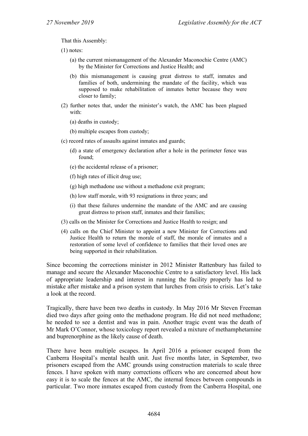That this Assembly:

(1) notes:

- (a) the current mismanagement of the Alexander Maconochie Centre (AMC) by the Minister for Corrections and Justice Health; and
- (b) this mismanagement is causing great distress to staff, inmates and families of both, undermining the mandate of the facility, which was supposed to make rehabilitation of inmates better because they were closer to family;
- (2) further notes that, under the minister's watch, the AMC has been plagued with:
	- (a) deaths in custody;
	- (b) multiple escapes from custody;
- (c) record rates of assaults against inmates and guards;
	- (d) a state of emergency declaration after a hole in the perimeter fence was found;
	- (e) the accidental release of a prisoner;
	- (f) high rates of illicit drug use;
	- (g) high methadone use without a methadone exit program;
	- (h) low staff morale, with 93 resignations in three years; and
	- (i) that these failures undermine the mandate of the AMC and are causing great distress to prison staff, inmates and their families;
- (3) calls on the Minister for Corrections and Justice Health to resign; and
- (4) calls on the Chief Minister to appoint a new Minister for Corrections and Justice Health to return the morale of staff, the morale of inmates and a restoration of some level of confidence to families that their loved ones are being supported in their rehabilitation.

Since becoming the corrections minister in 2012 Minister Rattenbury has failed to manage and secure the Alexander Maconochie Centre to a satisfactory level. His lack of appropriate leadership and interest in running the facility properly has led to mistake after mistake and a prison system that lurches from crisis to crisis. Let's take a look at the record.

Tragically, there have been two deaths in custody. In May 2016 Mr Steven Freeman died two days after going onto the methadone program. He did not need methadone; he needed to see a dentist and was in pain. Another tragic event was the death of Mr Mark O'Connor, whose toxicology report revealed a mixture of methamphetamine and buprenorphine as the likely cause of death.

There have been multiple escapes. In April 2016 a prisoner escaped from the Canberra Hospital's mental health unit. Just five months later, in September, two prisoners escaped from the AMC grounds using construction materials to scale three fences. I have spoken with many corrections officers who are concerned about how easy it is to scale the fences at the AMC, the internal fences between compounds in particular. Two more inmates escaped from custody from the Canberra Hospital, one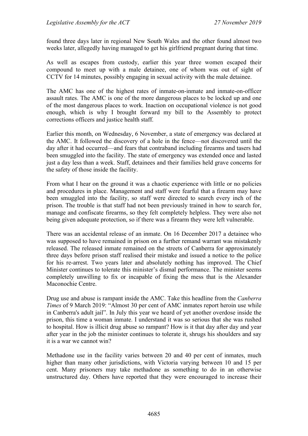found three days later in regional New South Wales and the other found almost two weeks later, allegedly having managed to get his girlfriend pregnant during that time.

As well as escapes from custody, earlier this year three women escaped their compound to meet up with a male detainee, one of whom was out of sight of CCTV for 14 minutes, possibly engaging in sexual activity with the male detainee.

The AMC has one of the highest rates of inmate-on-inmate and inmate-on-officer assault rates. The AMC is one of the more dangerous places to be locked up and one of the most dangerous places to work. Inaction on occupational violence is not good enough, which is why I brought forward my bill to the Assembly to protect corrections officers and justice health staff.

Earlier this month, on Wednesday, 6 November, a state of emergency was declared at the AMC. It followed the discovery of a hole in the fence—not discovered until the day after it had occurred—and fears that contraband including firearms and tasers had been smuggled into the facility. The state of emergency was extended once and lasted just a day less than a week. Staff, detainees and their families held grave concerns for the safety of those inside the facility.

From what I hear on the ground it was a chaotic experience with little or no policies and procedures in place. Management and staff were fearful that a firearm may have been smuggled into the facility, so staff were directed to search every inch of the prison. The trouble is that staff had not been previously trained in how to search for, manage and confiscate firearms, so they felt completely helpless. They were also not being given adequate protection, so if there was a firearm they were left vulnerable.

There was an accidental release of an inmate. On 16 December 2017 a detainee who was supposed to have remained in prison on a further remand warrant was mistakenly released. The released inmate remained on the streets of Canberra for approximately three days before prison staff realised their mistake and issued a notice to the police for his re-arrest. Two years later and absolutely nothing has improved. The Chief Minister continues to tolerate this minister's dismal performance. The minister seems completely unwilling to fix or incapable of fixing the mess that is the Alexander Maconochie Centre.

Drug use and abuse is rampant inside the AMC. Take this headline from the *Canberra Times* of 9 March 2019: "Almost 30 per cent of AMC inmates report heroin use while in Canberra's adult jail". In July this year we heard of yet another overdose inside the prison, this time a woman inmate. I understand it was so serious that she was rushed to hospital. How is illicit drug abuse so rampant? How is it that day after day and year after year in the job the minister continues to tolerate it, shrugs his shoulders and say it is a war we cannot win?

Methadone use in the facility varies between 20 and 40 per cent of inmates, much higher than many other jurisdictions, with Victoria varying between 10 and 15 per cent. Many prisoners may take methadone as something to do in an otherwise unstructured day. Others have reported that they were encouraged to increase their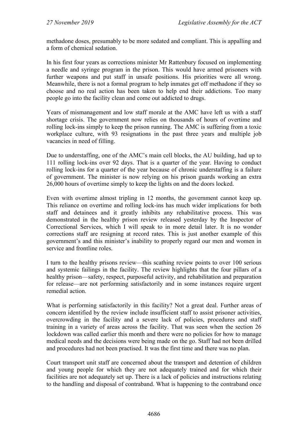methadone doses, presumably to be more sedated and compliant. This is appalling and a form of chemical sedation.

In his first four years as corrections minister Mr Rattenbury focused on implementing a needle and syringe program in the prison. This would have armed prisoners with further weapons and put staff in unsafe positions. His priorities were all wrong. Meanwhile, there is not a formal program to help inmates get off methadone if they so choose and no real action has been taken to help end their addictions. Too many people go into the facility clean and come out addicted to drugs.

Years of mismanagement and low staff morale at the AMC have left us with a staff shortage crisis. The government now relies on thousands of hours of overtime and rolling lock-ins simply to keep the prison running. The AMC is suffering from a toxic workplace culture, with 93 resignations in the past three years and multiple job vacancies in need of filling.

Due to understaffing, one of the AMC's main cell blocks, the AU building, had up to 111 rolling lock-ins over 92 days. That is a quarter of the year. Having to conduct rolling lock-ins for a quarter of the year because of chronic understaffing is a failure of government. The minister is now relying on his prison guards working an extra 26,000 hours of overtime simply to keep the lights on and the doors locked.

Even with overtime almost tripling in 12 months, the government cannot keep up. This reliance on overtime and rolling lock-ins has much wider implications for both staff and detainees and it greatly inhibits any rehabilitative process. This was demonstrated in the healthy prison review released yesterday by the Inspector of Correctional Services, which I will speak to in more detail later. It is no wonder corrections staff are resigning at record rates. This is just another example of this government's and this minister's inability to properly regard our men and women in service and frontline roles.

I turn to the healthy prisons review—this scathing review points to over 100 serious and systemic failings in the facility. The review highlights that the four pillars of a healthy prison—safety, respect, purposeful activity, and rehabilitation and preparation for release—are not performing satisfactorily and in some instances require urgent remedial action.

What is performing satisfactorily in this facility? Not a great deal. Further areas of concern identified by the review include insufficient staff to assist prisoner activities, overcrowding in the facility and a severe lack of policies, procedures and staff training in a variety of areas across the facility. That was seen when the section 26 lockdown was called earlier this month and there were no policies for how to manage medical needs and the decisions were being made on the go. Staff had not been drilled and procedures had not been practised. It was the first time and there was no plan.

Court transport unit staff are concerned about the transport and detention of children and young people for which they are not adequately trained and for which their facilities are not adequately set up. There is a lack of policies and instructions relating to the handling and disposal of contraband. What is happening to the contraband once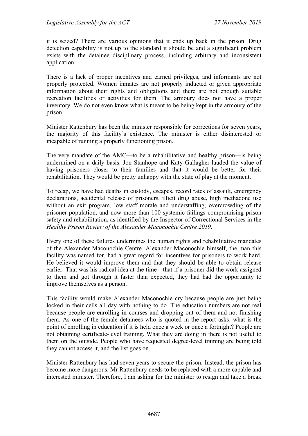it is seized? There are various opinions that it ends up back in the prison. Drug detection capability is not up to the standard it should be and a significant problem exists with the detainee disciplinary process, including arbitrary and inconsistent application.

There is a lack of proper incentives and earned privileges, and informants are not properly protected. Women inmates are not properly inducted or given appropriate information about their rights and obligations and there are not enough suitable recreation facilities or activities for them. The armoury does not have a proper inventory. We do not even know what is meant to be being kept in the armoury of the prison.

Minister Rattenbury has been the minister responsible for corrections for seven years, the majority of this facility's existence. The minister is either disinterested or incapable of running a properly functioning prison.

The very mandate of the AMC—to be a rehabilitative and healthy prison—is being undermined on a daily basis. Jon Stanhope and Katy Gallagher lauded the value of having prisoners closer to their families and that it would be better for their rehabilitation. They would be pretty unhappy with the state of play at the moment.

To recap, we have had deaths in custody, escapes, record rates of assault, emergency declarations, accidental release of prisoners, illicit drug abuse, high methadone use without an exit program, low staff morale and understaffing, overcrowding of the prisoner population, and now more than 100 systemic failings compromising prison safety and rehabilitation, as identified by the Inspector of Correctional Services in the *Healthy Prison Review of the Alexander Maconochie Centre 2019*.

Every one of these failures undermines the human rights and rehabilitative mandates of the Alexander Maconochie Centre. Alexander Maconochie himself, the man this facility was named for, had a great regard for incentives for prisoners to work hard. He believed it would improve them and that they should be able to obtain release earlier. That was his radical idea at the time—that if a prisoner did the work assigned to them and got through it faster than expected, they had had the opportunity to improve themselves as a person.

This facility would make Alexander Maconochie cry because people are just being locked in their cells all day with nothing to do. The education numbers are not real because people are enrolling in courses and dropping out of them and not finishing them. As one of the female detainees who is quoted in the report asks: what is the point of enrolling in education if it is held once a week or once a fortnight? People are not obtaining certificate-level training. What they are doing in there is not useful to them on the outside. People who have requested degree-level training are being told they cannot access it, and the list goes on.

Minister Rattenbury has had seven years to secure the prison. Instead, the prison has become more dangerous. Mr Rattenbury needs to be replaced with a more capable and interested minister. Therefore, I am asking for the minister to resign and take a break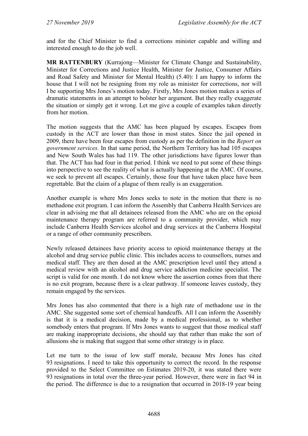and for the Chief Minister to find a corrections minister capable and willing and interested enough to do the job well.

**MR RATTENBURY** (Kurrajong—Minister for Climate Change and Sustainability, Minister for Corrections and Justice Health, Minister for Justice, Consumer Affairs and Road Safety and Minister for Mental Health) (5.40): I am happy to inform the house that I will not be resigning from my role as minister for corrections, nor will I be supporting Mrs Jones's motion today. Firstly, Mrs Jones motion makes a series of dramatic statements in an attempt to bolster her argument. But they really exaggerate the situation or simply get it wrong. Let me give a couple of examples taken directly from her motion.

The motion suggests that the AMC has been plagued by escapes. Escapes from custody in the ACT are lower than those in most states. Since the jail opened in 2009, there have been four escapes from custody as per the definition in the *Report on government services.* In that same period, the Northern Territory has had 105 escapes and New South Wales has had 119. The other jurisdictions have figures lower than that. The ACT has had four in that period. I think we need to put some of these things into perspective to see the reality of what is actually happening at the AMC. Of course, we seek to prevent all escapes. Certainly, those four that have taken place have been regrettable. But the claim of a plague of them really is an exaggeration.

Another example is where Mrs Jones seeks to note in the motion that there is no methadone exit program. I can inform the Assembly that Canberra Health Services are clear in advising me that all detainees released from the AMC who are on the opioid maintenance therapy program are referred to a community provider, which may include Canberra Health Services alcohol and drug services at the Canberra Hospital or a range of other community prescribers.

Newly released detainees have priority access to opioid maintenance therapy at the alcohol and drug service public clinic. This includes access to counsellors, nurses and medical staff. They are then dosed at the AMC prescription level until they attend a medical review with an alcohol and drug service addiction medicine specialist. The script is valid for one month. I do not know where the assertion comes from that there is no exit program, because there is a clear pathway. If someone leaves custody, they remain engaged by the services.

Mrs Jones has also commented that there is a high rate of methadone use in the AMC. She suggested some sort of chemical handcuffs. All I can inform the Assembly is that it is a medical decision, made by a medical professional, as to whether somebody enters that program. If Mrs Jones wants to suggest that those medical staff are making inappropriate decisions, she should say that rather than make the sort of allusions she is making that suggest that some other strategy is in place.

Let me turn to the issue of low staff morale, because Mrs Jones has cited 93 resignations. I need to take this opportunity to correct the record. In the response provided to the Select Committee on Estimates 2019-20, it was stated there were 93 resignations in total over the three-year period. However, there were in fact 94 in the period. The difference is due to a resignation that occurred in 2018-19 year being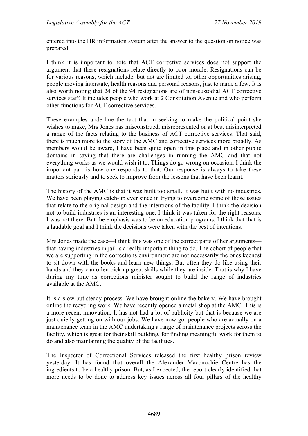entered into the HR information system after the answer to the question on notice was prepared.

I think it is important to note that ACT corrective services does not support the argument that these resignations relate directly to poor morale. Resignations can be for various reasons, which include, but not are limited to, other opportunities arising, people moving interstate, health reasons and personal reasons, just to name a few. It is also worth noting that 24 of the 94 resignations are of non-custodial ACT corrective services staff. It includes people who work at 2 Constitution Avenue and who perform other functions for ACT corrective services.

These examples underline the fact that in seeking to make the political point she wishes to make, Mrs Jones has misconstrued, misrepresented or at best misinterpreted a range of the facts relating to the business of ACT corrective services. That said, there is much more to the story of the AMC and corrective services more broadly. As members would be aware, I have been quite open in this place and in other public domains in saying that there are challenges in running the AMC and that not everything works as we would wish it to. Things do go wrong on occasion. I think the important part is how one responds to that. Our response is always to take these matters seriously and to seek to improve from the lessons that have been learnt.

The history of the AMC is that it was built too small. It was built with no industries. We have been playing catch-up ever since in trying to overcome some of those issues that relate to the original design and the intentions of the facility. I think the decision not to build industries is an interesting one. I think it was taken for the right reasons. I was not there. But the emphasis was to be on education programs. I think that that is a laudable goal and I think the decisions were taken with the best of intentions.

Mrs Jones made the case—I think this was one of the correct parts of her arguments that having industries in jail is a really important thing to do. The cohort of people that we are supporting in the corrections environment are not necessarily the ones keenest to sit down with the books and learn new things. But often they do like using their hands and they can often pick up great skills while they are inside. That is why I have during my time as corrections minister sought to build the range of industries available at the AMC.

It is a slow but steady process. We have brought online the bakery. We have brought online the recycling work. We have recently opened a metal shop at the AMC. This is a more recent innovation. It has not had a lot of publicity but that is because we are just quietly getting on with our jobs. We have now got people who are actually on a maintenance team in the AMC undertaking a range of maintenance projects across the facility, which is great for their skill building, for finding meaningful work for them to do and also maintaining the quality of the facilities.

The Inspector of Correctional Services released the first healthy prison review yesterday. It has found that overall the Alexander Maconochie Centre has the ingredients to be a healthy prison. But, as I expected, the report clearly identified that more needs to be done to address key issues across all four pillars of the healthy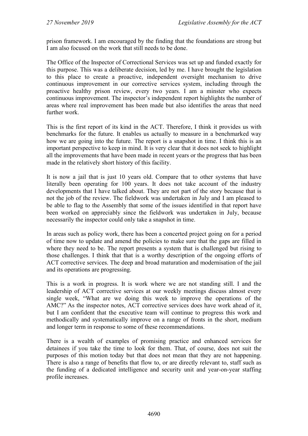prison framework. I am encouraged by the finding that the foundations are strong but I am also focused on the work that still needs to be done.

The Office of the Inspector of Correctional Services was set up and funded exactly for this purpose. This was a deliberate decision, led by me. I have brought the legislation to this place to create a proactive, independent oversight mechanism to drive continuous improvement in our corrective services system, including through the proactive healthy prison review, every two years. I am a minster who expects continuous improvement. The inspector's independent report highlights the number of areas where real improvement has been made but also identifies the areas that need further work.

This is the first report of its kind in the ACT. Therefore, I think it provides us with benchmarks for the future. It enables us actually to measure in a benchmarked way how we are going into the future. The report is a snapshot in time. I think this is an important perspective to keep in mind. It is very clear that it does not seek to highlight all the improvements that have been made in recent years or the progress that has been made in the relatively short history of this facility.

It is now a jail that is just 10 years old. Compare that to other systems that have literally been operating for 100 years. It does not take account of the industry developments that I have talked about. They are not part of the story because that is not the job of the review. The fieldwork was undertaken in July and I am pleased to be able to flag to the Assembly that some of the issues identified in that report have been worked on appreciably since the fieldwork was undertaken in July, because necessarily the inspector could only take a snapshot in time.

In areas such as policy work, there has been a concerted project going on for a period of time now to update and amend the policies to make sure that the gaps are filled in where they need to be. The report presents a system that is challenged but rising to those challenges. I think that that is a worthy description of the ongoing efforts of ACT corrective services. The deep and broad maturation and modernisation of the jail and its operations are progressing.

This is a work in progress. It is work where we are not standing still. I and the leadership of ACT corrective services at our weekly meetings discuss almost every single week, "What are we doing this week to improve the operations of the AMC?" As the inspector notes, ACT corrective services does have work ahead of it, but I am confident that the executive team will continue to progress this work and methodically and systematically improve on a range of fronts in the short, medium and longer term in response to some of these recommendations.

There is a wealth of examples of promising practice and enhanced services for detainees if you take the time to look for them. That, of course, does not suit the purposes of this motion today but that does not mean that they are not happening. There is also a range of benefits that flow to, or are directly relevant to, staff such as the funding of a dedicated intelligence and security unit and year-on-year staffing profile increases.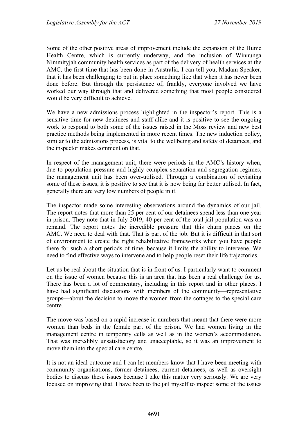Some of the other positive areas of improvement include the expansion of the Hume Health Centre, which is currently underway, and the inclusion of Winnunga Nimmityjah community health services as part of the delivery of health services at the AMC, the first time that has been done in Australia. I can tell you, Madam Speaker, that it has been challenging to put in place something like that when it has never been done before. But through the persistence of, frankly, everyone involved we have worked our way through that and delivered something that most people considered would be very difficult to achieve.

We have a new admissions process highlighted in the inspector's report. This is a sensitive time for new detainees and staff alike and it is positive to see the ongoing work to respond to both some of the issues raised in the Moss review and new best practice methods being implemented in more recent times. The new induction policy, similar to the admissions process, is vital to the wellbeing and safety of detainees, and the inspector makes comment on that.

In respect of the management unit, there were periods in the AMC's history when, due to population pressure and highly complex separation and segregation regimes, the management unit has been over-utilised. Through a combination of revisiting some of these issues, it is positive to see that it is now being far better utilised. In fact, generally there are very low numbers of people in it.

The inspector made some interesting observations around the dynamics of our jail. The report notes that more than 25 per cent of our detainees spend less than one year in prison. They note that in July 2019, 40 per cent of the total jail population was on remand. The report notes the incredible pressure that this churn places on the AMC. We need to deal with that. That is part of the job. But it is difficult in that sort of environment to create the right rehabilitative frameworks when you have people there for such a short periods of time, because it limits the ability to intervene. We need to find effective ways to intervene and to help people reset their life trajectories.

Let us be real about the situation that is in front of us. I particularly want to comment on the issue of women because this is an area that has been a real challenge for us. There has been a lot of commentary, including in this report and in other places. I have had significant discussions with members of the community—representative groups—about the decision to move the women from the cottages to the special care centre.

The move was based on a rapid increase in numbers that meant that there were more women than beds in the female part of the prison. We had women living in the management centre in temporary cells as well as in the women's accommodation. That was incredibly unsatisfactory and unacceptable, so it was an improvement to move them into the special care centre.

It is not an ideal outcome and I can let members know that I have been meeting with community organisations, former detainees, current detainees, as well as oversight bodies to discuss these issues because I take this matter very seriously. We are very focused on improving that. I have been to the jail myself to inspect some of the issues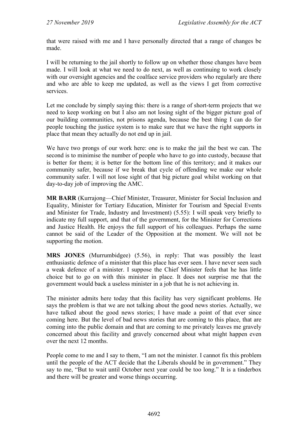that were raised with me and I have personally directed that a range of changes be made.

I will be returning to the jail shortly to follow up on whether those changes have been made. I will look at what we need to do next, as well as continuing to work closely with our oversight agencies and the coalface service providers who regularly are there and who are able to keep me updated, as well as the views I get from corrective services.

Let me conclude by simply saying this: there is a range of short-term projects that we need to keep working on but I also am not losing sight of the bigger picture goal of our building communities, not prisons agenda, because the best thing I can do for people touching the justice system is to make sure that we have the right supports in place that mean they actually do not end up in jail.

We have two prongs of our work here: one is to make the jail the best we can. The second is to minimise the number of people who have to go into custody, because that is better for them; it is better for the bottom line of this territory; and it makes our community safer, because if we break that cycle of offending we make our whole community safer. I will not lose sight of that big picture goal whilst working on that day-to-day job of improving the AMC.

**MR BARR** (Kurrajong—Chief Minister, Treasurer, Minister for Social Inclusion and Equality, Minister for Tertiary Education, Minister for Tourism and Special Events and Minister for Trade, Industry and Investment) (5.55): I will speak very briefly to indicate my full support, and that of the government, for the Minister for Corrections and Justice Health. He enjoys the full support of his colleagues. Perhaps the same cannot be said of the Leader of the Opposition at the moment. We will not be supporting the motion.

**MRS JONES** (Murrumbidgee) (5.56), in reply: That was possibly the least enthusiastic defence of a minister that this place has ever seen. I have never seen such a weak defence of a minister. I suppose the Chief Minister feels that he has little choice but to go on with this minister in place. It does not surprise me that the government would back a useless minister in a job that he is not achieving in.

The minister admits here today that this facility has very significant problems. He says the problem is that we are not talking about the good news stories. Actually, we have talked about the good news stories; I have made a point of that ever since coming here. But the level of bad news stories that are coming to this place, that are coming into the public domain and that are coming to me privately leaves me gravely concerned about this facility and gravely concerned about what might happen even over the next 12 months.

People come to me and I say to them, "I am not the minister. I cannot fix this problem until the people of the ACT decide that the Liberals should be in government." They say to me, "But to wait until October next year could be too long." It is a tinderbox and there will be greater and worse things occurring.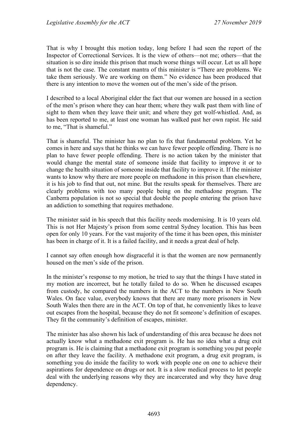That is why I brought this motion today, long before I had seen the report of the Inspector of Correctional Services. It is the view of others—not me; others—that the situation is so dire inside this prison that much worse things will occur. Let us all hope that is not the case. The constant mantra of this minister is "There are problems. We take them seriously. We are working on them." No evidence has been produced that there is any intention to move the women out of the men's side of the prison.

I described to a local Aboriginal elder the fact that our women are housed in a section of the men's prison where they can hear them; where they walk past them with line of sight to them when they leave their unit; and where they get wolf-whistled. And, as has been reported to me, at least one woman has walked past her own rapist. He said to me, "That is shameful."

That is shameful. The minister has no plan to fix that fundamental problem. Yet he comes in here and says that he thinks we can have fewer people offending. There is no plan to have fewer people offending. There is no action taken by the minister that would change the mental state of someone inside that facility to improve it or to change the health situation of someone inside that facility to improve it. If the minister wants to know why there are more people on methadone in this prison than elsewhere, it is his job to find that out, not mine. But the results speak for themselves. There are clearly problems with too many people being on the methadone program. The Canberra population is not so special that double the people entering the prison have an addiction to something that requires methadone.

The minister said in his speech that this facility needs modernising. It is 10 years old. This is not Her Majesty's prison from some central Sydney location. This has been open for only 10 years. For the vast majority of the time it has been open, this minister has been in charge of it. It is a failed facility, and it needs a great deal of help.

I cannot say often enough how disgraceful it is that the women are now permanently housed on the men's side of the prison.

In the minister's response to my motion, he tried to say that the things I have stated in my motion are incorrect, but he totally failed to do so. When he discussed escapes from custody, he compared the numbers in the ACT to the numbers in New South Wales. On face value, everybody knows that there are many more prisoners in New South Wales then there are in the ACT. On top of that, he conveniently likes to leave out escapes from the hospital, because they do not fit someone's definition of escapes. They fit the community's definition of escapes, minister.

The minister has also shown his lack of understanding of this area because he does not actually know what a methadone exit program is. He has no idea what a drug exit program is. He is claiming that a methadone exit program is something you put people on after they leave the facility. A methadone exit program, a drug exit program, is something you do inside the facility to work with people one on one to achieve their aspirations for dependence on drugs or not. It is a slow medical process to let people deal with the underlying reasons why they are incarcerated and why they have drug dependency.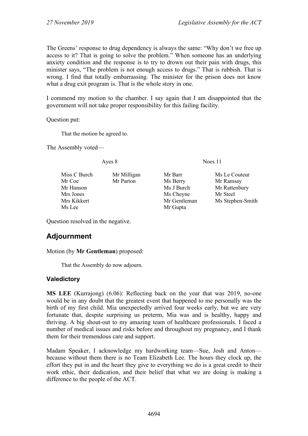The Greens' response to drug dependency is always the same: "Why don't we free up access to it? That is going to solve the problem." When someone has an underlying anxiety condition and the response is to try to drown out their pain with drugs, this minister says, "The problem is not enough access to drugs." That is rubbish. That is wrong. I find that totally embarrassing. The minister for the prison does not know what a drug exit program is. That is the whole story in one.

I commend my motion to the chamber. I say again that I am disappointed that the government will not take proper responsibility for this failing facility.

Question put:

That the motion be agreed to.

The Assembly voted—

Miss C Burch Mr Milligan Mr Barr Ms Le Couteur<br>
Mr Coe Mr Parton Ms Berry Mr Ramsay Mr Parton Ms Berry Mr Ramsay Mr Hanson Ms J Burch Mr Rattenbury Mrs Jones Mrs Ms Cheyne Mr Steel<br>Mrs Kikkert Mrs Henders Mr Gentleman Mrs Steph Mrs Kikkert Mrs Gentleman Ms Stephen-Smith<br>
Ms Lee Mrs Gupta

Ayes 8 Noes 11

- Mr Gupta
- 

Question resolved in the negative.

# **Adjournment**

Motion (by **Mr Gentleman**) proposed:

That the Assembly do now adjourn.

### **Valedictory**

**MS LEE** (Kurrajong) (6.06): Reflecting back on the year that was 2019, no-one would be in any doubt that the greatest event that happened to me personally was the birth of my first child. Mia unexpectedly arrived four weeks early, but we are very fortunate that, despite surprising us preterm, Mia was and is healthy, happy and thriving. A big shout-out to my amazing team of healthcare professionals. I faced a number of medical issues and risks before and throughout my pregnancy, and I thank them for their tremendous care and support.

Madam Speaker, I acknowledge my hardworking team—Sue, Josh and Anton because without them there is no Team Elizabeth Lee. The hours they clock up, the effort they put in and the heart they give to everything we do is a great credit to their work ethic, their dedication, and their belief that what we are doing is making a difference to the people of the ACT.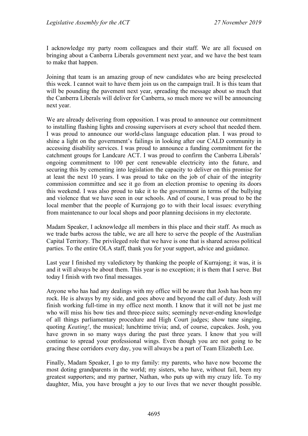I acknowledge my party room colleagues and their staff. We are all focused on bringing about a Canberra Liberals government next year, and we have the best team to make that happen.

Joining that team is an amazing group of new candidates who are being preselected this week. I cannot wait to have them join us on the campaign trail. It is this team that will be pounding the pavement next year, spreading the message about so much that the Canberra Liberals will deliver for Canberra, so much more we will be announcing next year.

We are already delivering from opposition. I was proud to announce our commitment to installing flashing lights and crossing supervisors at every school that needed them. I was proud to announce our world-class language education plan. I was proud to shine a light on the government's failings in looking after our CALD community in accessing disability services. I was proud to announce a funding commitment for the catchment groups for Landcare ACT. I was proud to confirm the Canberra Liberals' ongoing commitment to 100 per cent renewable electricity into the future, and securing this by cementing into legislation the capacity to deliver on this promise for at least the next 10 years. I was proud to take on the job of chair of the integrity commission committee and see it go from an election promise to opening its doors this weekend. I was also proud to take it to the government in terms of the bullying and violence that we have seen in our schools. And of course, I was proud to be the local member that the people of Kurrajong go to with their local issues: everything from maintenance to our local shops and poor planning decisions in my electorate.

Madam Speaker, I acknowledge all members in this place and their staff. As much as we trade barbs across the table, we are all here to serve the people of the Australian Capital Territory. The privileged role that we have is one that is shared across political parties. To the entire OLA staff, thank you for your support, advice and guidance.

Last year I finished my valedictory by thanking the people of Kurrajong; it was, it is and it will always be about them. This year is no exception; it is them that I serve. But today I finish with two final messages.

Anyone who has had any dealings with my office will be aware that Josh has been my rock. He is always by my side, and goes above and beyond the call of duty. Josh will finish working full-time in my office next month. I know that it will not be just me who will miss his bow ties and three-piece suits; seemingly never-ending knowledge of all things parliamentary procedure and High Court judges; show tune singing, quoting *Keating!*, the musical; lunchtime trivia; and, of course, cupcakes. Josh, you have grown in so many ways during the past three years. I know that you will continue to spread your professional wings. Even though you are not going to be gracing these corridors every day, you will always be a part of Team Elizabeth Lee.

Finally, Madam Speaker, I go to my family: my parents, who have now become the most doting grandparents in the world; my sisters, who have, without fail, been my greatest supporters; and my partner, Nathan, who puts up with my crazy life. To my daughter, Mia, you have brought a joy to our lives that we never thought possible.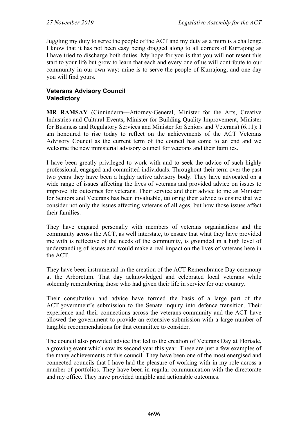Juggling my duty to serve the people of the ACT and my duty as a mum is a challenge. I know that it has not been easy being dragged along to all corners of Kurrajong as I have tried to discharge both duties. My hope for you is that you will not resent this start to your life but grow to learn that each and every one of us will contribute to our community in our own way: mine is to serve the people of Kurrajong, and one day you will find yours.

#### **Veterans Advisory Council Valedictory**

**MR RAMSAY** (Ginninderra––Attorney-General, Minister for the Arts, Creative Industries and Cultural Events, Minister for Building Quality Improvement, Minister for Business and Regulatory Services and Minister for Seniors and Veterans) (6.11): I am honoured to rise today to reflect on the achievements of the ACT Veterans Advisory Council as the current term of the council has come to an end and we welcome the new ministerial advisory council for veterans and their families.

I have been greatly privileged to work with and to seek the advice of such highly professional, engaged and committed individuals. Throughout their term over the past two years they have been a highly active advisory body. They have advocated on a wide range of issues affecting the lives of veterans and provided advice on issues to improve life outcomes for veterans. Their service and their advice to me as Minister for Seniors and Veterans has been invaluable, tailoring their advice to ensure that we consider not only the issues affecting veterans of all ages, but how those issues affect their families.

They have engaged personally with members of veterans organisations and the community across the ACT, as well interstate, to ensure that what they have provided me with is reflective of the needs of the community, is grounded in a high level of understanding of issues and would make a real impact on the lives of veterans here in the ACT.

They have been instrumental in the creation of the ACT Remembrance Day ceremony at the Arboretum. That day acknowledged and celebrated local veterans while solemnly remembering those who had given their life in service for our country.

Their consultation and advice have formed the basis of a large part of the ACT government's submission to the Senate inquiry into defence transition. Their experience and their connections across the veterans community and the ACT have allowed the government to provide an extensive submission with a large number of tangible recommendations for that committee to consider.

The council also provided advice that led to the creation of Veterans Day at Floriade, a growing event which saw its second year this year. These are just a few examples of the many achievements of this council. They have been one of the most energised and connected councils that I have had the pleasure of working with in my role across a number of portfolios. They have been in regular communication with the directorate and my office. They have provided tangible and actionable outcomes.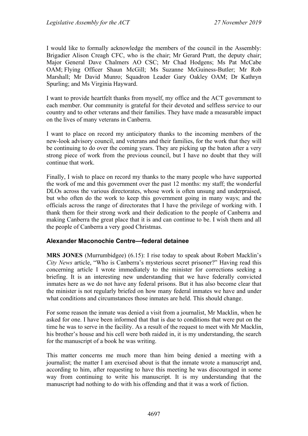I would like to formally acknowledge the members of the council in the Assembly: Brigadier Alison Creagh CFC, who is the chair; Mr Gerard Pratt, the deputy chair; Major General Dave Chalmers AO CSC; Mr Chad Hodgens; Ms Pat McCabe OAM; Flying Officer Shaun McGill; Ms Suzanne McGuiness-Butler; Mr Rob Marshall; Mr David Munro; Squadron Leader Gary Oakley OAM; Dr Kathryn Spurling; and Ms Virginia Hayward.

I want to provide heartfelt thanks from myself, my office and the ACT government to each member. Our community is grateful for their devoted and selfless service to our country and to other veterans and their families. They have made a measurable impact on the lives of many veterans in Canberra.

I want to place on record my anticipatory thanks to the incoming members of the new-look advisory council, and veterans and their families, for the work that they will be continuing to do over the coming years. They are picking up the baton after a very strong piece of work from the previous council, but I have no doubt that they will continue that work.

Finally, I wish to place on record my thanks to the many people who have supported the work of me and this government over the past 12 months: my staff; the wonderful DLOs across the various directorates, whose work is often unsung and underpraised, but who often do the work to keep this government going in many ways; and the officials across the range of directorates that I have the privilege of working with. I thank them for their strong work and their dedication to the people of Canberra and making Canberra the great place that it is and can continue to be. I wish them and all the people of Canberra a very good Christmas.

#### **Alexander Maconochie Centre—federal detainee**

**MRS JONES** (Murrumbidgee) (6.15): I rise today to speak about Robert Macklin's *City News* article, "Who is Canberra's mysterious secret prisoner?" Having read this concerning article I wrote immediately to the minister for corrections seeking a briefing. It is an interesting new understanding that we have federally convicted inmates here as we do not have any federal prisons. But it has also become clear that the minister is not regularly briefed on how many federal inmates we have and under what conditions and circumstances those inmates are held. This should change.

For some reason the inmate was denied a visit from a journalist, Mr Macklin, when he asked for one. I have been informed that that is due to conditions that were put on the time he was to serve in the facility. As a result of the request to meet with Mr Macklin, his brother's house and his cell were both raided in, it is my understanding, the search for the manuscript of a book he was writing.

This matter concerns me much more than him being denied a meeting with a journalist; the matter I am exercised about is that the inmate wrote a manuscript and, according to him, after requesting to have this meeting he was discouraged in some way from continuing to write his manuscript. It is my understanding that the manuscript had nothing to do with his offending and that it was a work of fiction.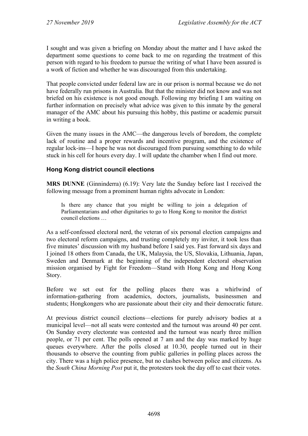I sought and was given a briefing on Monday about the matter and I have asked the department some questions to come back to me on regarding the treatment of this person with regard to his freedom to pursue the writing of what I have been assured is a work of fiction and whether he was discouraged from this undertaking.

That people convicted under federal law are in our prison is normal because we do not have federally run prisons in Australia. But that the minister did not know and was not briefed on his existence is not good enough. Following my briefing I am waiting on further information on precisely what advice was given to this inmate by the general manager of the AMC about his pursuing this hobby, this pastime or academic pursuit in writing a book.

Given the many issues in the AMC—the dangerous levels of boredom, the complete lack of routine and a proper rewards and incentive program, and the existence of regular lock-ins—I hope he was not discouraged from pursuing something to do while stuck in his cell for hours every day. I will update the chamber when I find out more.

# **Hong Kong district council elections**

**MRS DUNNE** (Ginninderra) (6.19): Very late the Sunday before last I received the following message from a prominent human rights advocate in London:

Is there any chance that you might be willing to join a delegation of Parliamentarians and other dignitaries to go to Hong Kong to monitor the district council elections …

As a self-confessed electoral nerd, the veteran of six personal election campaigns and two electoral reform campaigns, and trusting completely my inviter, it took less than five minutes' discussion with my husband before I said yes. Fast forward six days and I joined 18 others from Canada, the UK, Malaysia, the US, Slovakia, Lithuania, Japan, Sweden and Denmark at the beginning of the independent electoral observation mission organised by Fight for Freedom—Stand with Hong Kong and Hong Kong Story.

Before we set out for the polling places there was a whirlwind of information-gathering from academics, doctors, journalists, businessmen and students; Hongkongers who are passionate about their city and their democratic future.

At previous district council elections—elections for purely advisory bodies at a municipal level—not all seats were contested and the turnout was around 40 per cent. On Sunday every electorate was contested and the turnout was nearly three million people, or 71 per cent. The polls opened at 7 am and the day was marked by huge queues everywhere. After the polls closed at 10.30, people turned out in their thousands to observe the counting from public galleries in polling places across the city. There was a high police presence, but no clashes between police and citizens. As the *South China Morning Post* put it, the protesters took the day off to cast their votes.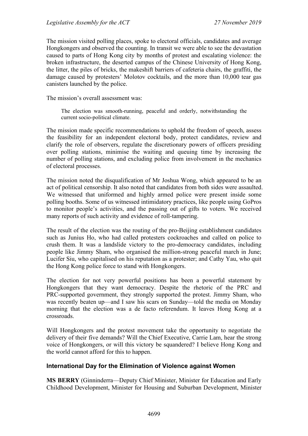The mission visited polling places, spoke to electoral officials, candidates and average Hongkongers and observed the counting. In transit we were able to see the devastation caused to parts of Hong Kong city by months of protest and escalating violence: the broken infrastructure, the deserted campus of the Chinese University of Hong Kong, the litter, the piles of bricks, the makeshift barriers of cafeteria chairs, the graffiti, the damage caused by protesters' Molotov cocktails, and the more than 10,000 tear gas canisters launched by the police.

The mission's overall assessment was:

The election was smooth-running, peaceful and orderly, notwithstanding the current socio-political climate.

The mission made specific recommendations to uphold the freedom of speech, assess the feasibility for an independent electoral body, protect candidates, review and clarify the role of observers, regulate the discretionary powers of officers presiding over polling stations, minimise the waiting and queuing time by increasing the number of polling stations, and excluding police from involvement in the mechanics of electoral processes.

The mission noted the disqualification of Mr Joshua Wong, which appeared to be an act of political censorship. It also noted that candidates from both sides were assaulted. We witnessed that uniformed and highly armed police were present inside some polling booths. Some of us witnessed intimidatory practices, like people using GoPros to monitor people's activities, and the passing out of gifts to voters. We received many reports of such activity and evidence of roll-tampering.

The result of the election was the routing of the pro-Beijing establishment candidates such as Junius Ho, who had called protesters cockroaches and called on police to crush them. It was a landslide victory to the pro-democracy candidates, including people like Jimmy Sham, who organised the million-strong peaceful march in June; Lucifer Siu, who capitalised on his reputation as a protester; and Cathy Yau, who quit the Hong Kong police force to stand with Hongkongers.

The election for not very powerful positions has been a powerful statement by Hongkongers that they want democracy. Despite the rhetoric of the PRC and PRC-supported government, they strongly supported the protest. Jimmy Sham, who was recently beaten up—and I saw his scars on Sunday—told the media on Monday morning that the election was a de facto referendum. It leaves Hong Kong at a crossroads.

Will Hongkongers and the protest movement take the opportunity to negotiate the delivery of their five demands? Will the Chief Executive, Carrie Lam, hear the strong voice of Hongkongers, or will this victory be squandered? I believe Hong Kong and the world cannot afford for this to happen.

#### **International Day for the Elimination of Violence against Women**

**MS BERRY** (Ginninderra—Deputy Chief Minister, Minister for Education and Early Childhood Development, Minister for Housing and Suburban Development, Minister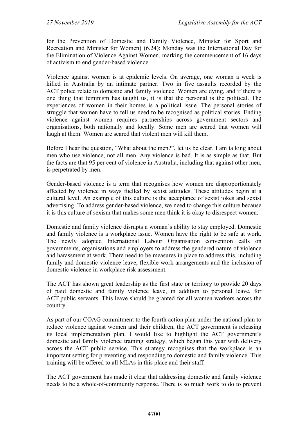for the Prevention of Domestic and Family Violence, Minister for Sport and Recreation and Minister for Women) (6.24): Monday was the International Day for the Elimination of Violence Against Women, marking the commencement of 16 days of activism to end gender-based violence.

Violence against women is at epidemic levels. On average, one woman a week is killed in Australia by an intimate partner. Two in five assaults recorded by the ACT police relate to domestic and family violence. Women are dying, and if there is one thing that feminism has taught us, it is that the personal is the political. The experiences of women in their homes is a political issue. The personal stories of struggle that women have to tell us need to be recognised as political stories. Ending violence against women requires partnerships across government sectors and organisations, both nationally and locally. Some men are scared that women will laugh at them. Women are scared that violent men will kill them.

Before I hear the question, "What about the men?", let us be clear. I am talking about men who use violence, not all men. Any violence is bad. It is as simple as that. But the facts are that 95 per cent of violence in Australia, including that against other men, is perpetrated by men.

Gender-based violence is a term that recognises how women are disproportionately affected by violence in ways fuelled by sexist attitudes. These attitudes begin at a cultural level. An example of this culture is the acceptance of sexist jokes and sexist advertising. To address gender-based violence, we need to change this culture because it is this culture of sexism that makes some men think it is okay to disrespect women.

Domestic and family violence disrupts a woman's ability to stay employed. Domestic and family violence is a workplace issue. Women have the right to be safe at work. The newly adopted International Labour Organisation convention calls on governments, organisations and employers to address the gendered nature of violence and harassment at work. There need to be measures in place to address this, including family and domestic violence leave, flexible work arrangements and the inclusion of domestic violence in workplace risk assessment.

The ACT has shown great leadership as the first state or territory to provide 20 days of paid domestic and family violence leave, in addition to personal leave, for ACT public servants. This leave should be granted for all women workers across the country.

As part of our COAG commitment to the fourth action plan under the national plan to reduce violence against women and their children, the ACT government is releasing its local implementation plan. I would like to highlight the ACT government's domestic and family violence training strategy, which began this year with delivery across the ACT public service. This strategy recognises that the workplace is an important setting for preventing and responding to domestic and family violence. This training will be offered to all MLAs in this place and their staff.

The ACT government has made it clear that addressing domestic and family violence needs to be a whole-of-community response. There is so much work to do to prevent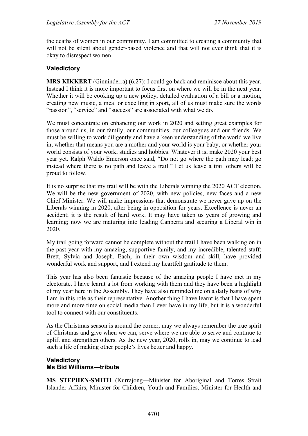the deaths of women in our community. I am committed to creating a community that will not be silent about gender-based violence and that will not ever think that it is okay to disrespect women.

#### **Valedictory**

**MRS KIKKERT** (Ginninderra) (6.27): I could go back and reminisce about this year. Instead I think it is more important to focus first on where we will be in the next year. Whether it will be cooking up a new policy, detailed evaluation of a bill or a motion, creating new music, a meal or excelling in sport, all of us must make sure the words "passion", "service" and "success" are associated with what we do.

We must concentrate on enhancing our work in 2020 and setting great examples for those around us, in our family, our communities, our colleagues and our friends. We must be willing to work diligently and have a keen understanding of the world we live in, whether that means you are a mother and your world is your baby, or whether your world consists of your work, studies and hobbies. Whatever it is, make 2020 your best year yet. Ralph Waldo Emerson once said, "Do not go where the path may lead; go instead where there is no path and leave a trail." Let us leave a trail others will be proud to follow.

It is no surprise that my trail will be with the Liberals winning the 2020 ACT election. We will be the new government of 2020, with new policies, new faces and a new Chief Minister. We will make impressions that demonstrate we never gave up on the Liberals winning in 2020, after being in opposition for years. Excellence is never an accident; it is the result of hard work. It may have taken us years of growing and learning; now we are maturing into leading Canberra and securing a Liberal win in 2020.

My trail going forward cannot be complete without the trail I have been walking on in the past year with my amazing, supportive family, and my incredible, talented staff: Brett, Sylvia and Joseph. Each, in their own wisdom and skill, have provided wonderful work and support, and I extend my heartfelt gratitude to them.

This year has also been fantastic because of the amazing people I have met in my electorate. I have learnt a lot from working with them and they have been a highlight of my year here in the Assembly. They have also reminded me on a daily basis of why I am in this role as their representative. Another thing I have learnt is that I have spent more and more time on social media than I ever have in my life, but it is a wonderful tool to connect with our constituents.

As the Christmas season is around the corner, may we always remember the true spirit of Christmas and give when we can, serve where we are able to serve and continue to uplift and strengthen others. As the new year, 2020, rolls in, may we continue to lead such a life of making other people's lives better and happy.

#### **Valedictory Ms Bid Williams—tribute**

**MS STEPHEN-SMITH** (Kurrajong—Minister for Aboriginal and Torres Strait Islander Affairs, Minister for Children, Youth and Families, Minister for Health and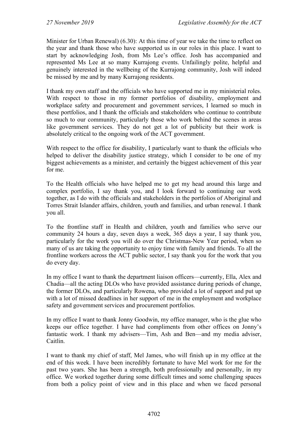Minister for Urban Renewal) (6.30): At this time of year we take the time to reflect on the year and thank those who have supported us in our roles in this place. I want to start by acknowledging Josh, from Ms Lee's office. Josh has accompanied and represented Ms Lee at so many Kurrajong events. Unfailingly polite, helpful and genuinely interested in the wellbeing of the Kurrajong community, Josh will indeed be missed by me and by many Kurrajong residents.

I thank my own staff and the officials who have supported me in my ministerial roles. With respect to those in my former portfolios of disability, employment and workplace safety and procurement and government services, I learned so much in these portfolios, and I thank the officials and stakeholders who continue to contribute so much to our community, particularly those who work behind the scenes in areas like government services. They do not get a lot of publicity but their work is absolutely critical to the ongoing work of the ACT government.

With respect to the office for disability, I particularly want to thank the officials who helped to deliver the disability justice strategy, which I consider to be one of my biggest achievements as a minister, and certainly the biggest achievement of this year for me.

To the Health officials who have helped me to get my head around this large and complex portfolio, I say thank you, and I look forward to continuing our work together, as I do with the officials and stakeholders in the portfolios of Aboriginal and Torres Strait Islander affairs, children, youth and families, and urban renewal. I thank you all.

To the frontline staff in Health and children, youth and families who serve our community 24 hours a day, seven days a week, 365 days a year, I say thank you, particularly for the work you will do over the Christmas-New Year period, when so many of us are taking the opportunity to enjoy time with family and friends. To all the frontline workers across the ACT public sector, I say thank you for the work that you do every day.

In my office I want to thank the department liaison officers—currently, Ella, Alex and Chadia—all the acting DLOs who have provided assistance during periods of change, the former DLOs, and particularly Rowena, who provided a lot of support and put up with a lot of missed deadlines in her support of me in the employment and workplace safety and government services and procurement portfolios.

In my office I want to thank Jonny Goodwin, my office manager, who is the glue who keeps our office together. I have had compliments from other offices on Jonny's fantastic work. I thank my advisers—Tim, Ash and Ben—and my media adviser, Caitlin.

I want to thank my chief of staff, Mel James, who will finish up in my office at the end of this week. I have been incredibly fortunate to have Mel work for me for the past two years. She has been a strength, both professionally and personally, in my office. We worked together during some difficult times and some challenging spaces from both a policy point of view and in this place and when we faced personal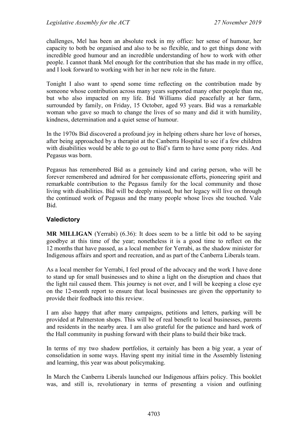challenges, Mel has been an absolute rock in my office: her sense of humour, her capacity to both be organised and also to be so flexible, and to get things done with incredible good humour and an incredible understanding of how to work with other people. I cannot thank Mel enough for the contribution that she has made in my office, and I look forward to working with her in her new role in the future.

Tonight I also want to spend some time reflecting on the contribution made by someone whose contribution across many years supported many other people than me, but who also impacted on my life. Bid Williams died peacefully at her farm, surrounded by family, on Friday, 15 October, aged 93 years. Bid was a remarkable woman who gave so much to change the lives of so many and did it with humility, kindness, determination and a quiet sense of humour.

In the 1970s Bid discovered a profound joy in helping others share her love of horses, after being approached by a therapist at the Canberra Hospital to see if a few children with disabilities would be able to go out to Bid's farm to have some pony rides. And Pegasus was born.

Pegasus has remembered Bid as a genuinely kind and caring person, who will be forever remembered and admired for her compassionate efforts, pioneering spirit and remarkable contribution to the Pegasus family for the local community and those living with disabilities. Bid will be deeply missed, but her legacy will live on through the continued work of Pegasus and the many people whose lives she touched. Vale Bid.

### **Valedictory**

**MR MILLIGAN** (Yerrabi) (6.36): It does seem to be a little bit odd to be saying goodbye at this time of the year; nonetheless it is a good time to reflect on the 12 months that have passed, as a local member for Yerrabi, as the shadow minister for Indigenous affairs and sport and recreation, and as part of the Canberra Liberals team.

As a local member for Yerrabi, I feel proud of the advocacy and the work I have done to stand up for small businesses and to shine a light on the disruption and chaos that the light rail caused them. This journey is not over, and I will be keeping a close eye on the 12-month report to ensure that local businesses are given the opportunity to provide their feedback into this review.

I am also happy that after many campaigns, petitions and letters, parking will be provided at Palmerston shops. This will be of real benefit to local businesses, parents and residents in the nearby area. I am also grateful for the patience and hard work of the Hall community in pushing forward with their plans to build their bike track.

In terms of my two shadow portfolios, it certainly has been a big year, a year of consolidation in some ways. Having spent my initial time in the Assembly listening and learning, this year was about policymaking.

In March the Canberra Liberals launched our Indigenous affairs policy. This booklet was, and still is, revolutionary in terms of presenting a vision and outlining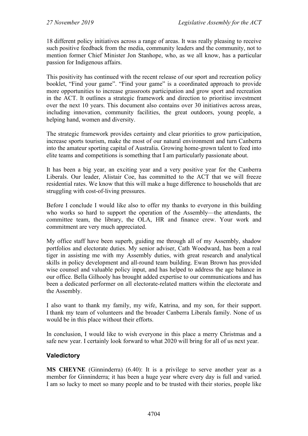18 different policy initiatives across a range of areas. It was really pleasing to receive such positive feedback from the media, community leaders and the community, not to mention former Chief Minister Jon Stanhope, who, as we all know, has a particular passion for Indigenous affairs.

This positivity has continued with the recent release of our sport and recreation policy booklet, "Find your game". "Find your game" is a coordinated approach to provide more opportunities to increase grassroots participation and grow sport and recreation in the ACT. It outlines a strategic framework and direction to prioritise investment over the next 10 years. This document also contains over 30 initiatives across areas, including innovation, community facilities, the great outdoors, young people, a helping hand, women and diversity.

The strategic framework provides certainty and clear priorities to grow participation, increase sports tourism, make the most of our natural environment and turn Canberra into the amateur sporting capital of Australia. Growing home-grown talent to feed into elite teams and competitions is something that I am particularly passionate about.

It has been a big year, an exciting year and a very positive year for the Canberra Liberals. Our leader, Alistair Coe, has committed to the ACT that we will freeze residential rates. We know that this will make a huge difference to households that are struggling with cost-of-living pressures.

Before I conclude I would like also to offer my thanks to everyone in this building who works so hard to support the operation of the Assembly—the attendants, the committee team, the library, the OLA, HR and finance crew. Your work and commitment are very much appreciated.

My office staff have been superb, guiding me through all of my Assembly, shadow portfolios and electorate duties. My senior adviser, Cath Woodward, has been a real tiger in assisting me with my Assembly duties, with great research and analytical skills in policy development and all-round team building. Ewan Brown has provided wise counsel and valuable policy input, and has helped to address the age balance in our office. Bella Gilhooly has brought added expertise to our communications and has been a dedicated performer on all electorate-related matters within the electorate and the Assembly.

I also want to thank my family, my wife, Katrina, and my son, for their support. I thank my team of volunteers and the broader Canberra Liberals family. None of us would be in this place without their efforts.

In conclusion, I would like to wish everyone in this place a merry Christmas and a safe new year. I certainly look forward to what 2020 will bring for all of us next year.

# **Valedictory**

**MS CHEYNE** (Ginninderra) (6.40): It is a privilege to serve another year as a member for Ginninderra; it has been a huge year where every day is full and varied. I am so lucky to meet so many people and to be trusted with their stories, people like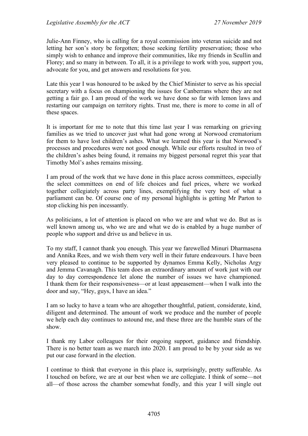Julie-Ann Finney, who is calling for a royal commission into veteran suicide and not letting her son's story be forgotten; those seeking fertility preservation; those who simply wish to enhance and improve their communities, like my friends in Scullin and Florey; and so many in between. To all, it is a privilege to work with you, support you, advocate for you, and get answers and resolutions for you.

Late this year I was honoured to be asked by the Chief Minister to serve as his special secretary with a focus on championing the issues for Canberrans where they are not getting a fair go. I am proud of the work we have done so far with lemon laws and restarting our campaign on territory rights. Trust me, there is more to come in all of these spaces.

It is important for me to note that this time last year I was remarking on grieving families as we tried to uncover just what had gone wrong at Norwood crematorium for them to have lost children's ashes. What we learned this year is that Norwood's processes and procedures were not good enough. While our efforts resulted in two of the children's ashes being found, it remains my biggest personal regret this year that Timothy Mol's ashes remains missing.

I am proud of the work that we have done in this place across committees, especially the select committees on end of life choices and fuel prices, where we worked together collegiately across party lines, exemplifying the very best of what a parliament can be. Of course one of my personal highlights is getting Mr Parton to stop clicking his pen incessantly.

As politicians, a lot of attention is placed on who we are and what we do. But as is well known among us, who we are and what we do is enabled by a huge number of people who support and drive us and believe in us.

To my staff, I cannot thank you enough. This year we farewelled Minuri Dharmasena and Annika Rees, and we wish them very well in their future endeavours. I have been very pleased to continue to be supported by dynamos Emma Kelly, Nicholas Argy and Jemma Cavanagh. This team does an extraordinary amount of work just with our day to day correspondence let alone the number of issues we have championed. I thank them for their responsiveness—or at least appeasement—when I walk into the door and say, "Hey, guys, I have an idea."

I am so lucky to have a team who are altogether thoughtful, patient, considerate, kind, diligent and determined. The amount of work we produce and the number of people we help each day continues to astound me, and these three are the humble stars of the show.

I thank my Labor colleagues for their ongoing support, guidance and friendship. There is no better team as we march into 2020. I am proud to be by your side as we put our case forward in the election.

I continue to think that everyone in this place is, surprisingly, pretty sufferable. As I touched on before, we are at our best when we are collegiate. I think of some—not all—of those across the chamber somewhat fondly, and this year I will single out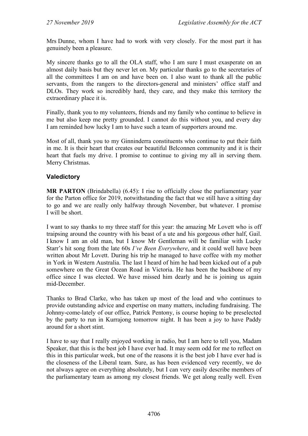Mrs Dunne, whom I have had to work with very closely. For the most part it has genuinely been a pleasure.

My sincere thanks go to all the OLA staff, who I am sure I must exasperate on an almost daily basis but they never let on. My particular thanks go to the secretaries of all the committees I am on and have been on. I also want to thank all the public servants, from the rangers to the directors-general and ministers' office staff and DLOs. They work so incredibly hard, they care, and they make this territory the extraordinary place it is.

Finally, thank you to my volunteers, friends and my family who continue to believe in me but also keep me pretty grounded. I cannot do this without you, and every day I am reminded how lucky I am to have such a team of supporters around me.

Most of all, thank you to my Ginninderra constituents who continue to put their faith in me. It is their heart that creates our beautiful Belconnen community and it is their heart that fuels my drive. I promise to continue to giving my all in serving them. Merry Christmas.

### **Valedictory**

**MR PARTON** (Brindabella) (6.45): I rise to officially close the parliamentary year for the Parton office for 2019, notwithstanding the fact that we still have a sitting day to go and we are really only halfway through November, but whatever. I promise I will be short.

I want to say thanks to my three staff for this year: the amazing Mr Lovett who is off traipsing around the country with his beast of a ute and his gorgeous other half, Gail. I know I am an old man, but I know Mr Gentleman will be familiar with Lucky Starr's hit song from the late 60s *I've Been Everywhere*, and it could well have been written about Mr Lovett. During his trip he managed to have coffee with my mother in York in Western Australia. The last I heard of him he had been kicked out of a pub somewhere on the Great Ocean Road in Victoria. He has been the backbone of my office since I was elected. We have missed him dearly and he is joining us again mid-December.

Thanks to Brad Clarke, who has taken up most of the load and who continues to provide outstanding advice and expertise on many matters, including fundraising. The Johnny-come-lately of our office, Patrick Pentony, is course hoping to be preselected by the party to run in Kurrajong tomorrow night. It has been a joy to have Paddy around for a short stint.

I have to say that I really enjoyed working in radio, but I am here to tell you, Madam Speaker, that this is the best job I have ever had. It may seem odd for me to reflect on this in this particular week, but one of the reasons it is the best job I have ever had is the closeness of the Liberal team. Sure, as has been evidenced very recently, we do not always agree on everything absolutely, but I can very easily describe members of the parliamentary team as among my closest friends. We get along really well. Even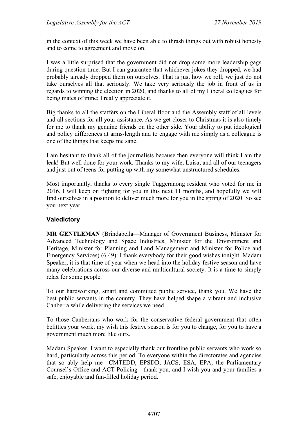in the context of this week we have been able to thrash things out with robust honesty and to come to agreement and move on.

I was a little surprised that the government did not drop some more leadership gags during question time. But I can guarantee that whichever jokes they dropped, we had probably already dropped them on ourselves. That is just how we roll; we just do not take ourselves all that seriously. We take very seriously the job in front of us in regards to winning the election in 2020, and thanks to all of my Liberal colleagues for being mates of mine; I really appreciate it.

Big thanks to all the staffers on the Liberal floor and the Assembly staff of all levels and all sections for all your assistance. As we get closer to Christmas it is also timely for me to thank my genuine friends on the other side. Your ability to put ideological and policy differences at arms-length and to engage with me simply as a colleague is one of the things that keeps me sane.

I am hesitant to thank all of the journalists because then everyone will think I am the leak! But well done for your work. Thanks to my wife, Luisa, and all of our teenagers and just out of teens for putting up with my somewhat unstructured schedules.

Most importantly, thanks to every single Tuggeranong resident who voted for me in 2016. I will keep on fighting for you in this next 11 months, and hopefully we will find ourselves in a position to deliver much more for you in the spring of 2020. So see you next year.

### **Valedictory**

**MR GENTLEMAN** (Brindabella—Manager of Government Business, Minister for Advanced Technology and Space Industries, Minister for the Environment and Heritage, Minister for Planning and Land Management and Minister for Police and Emergency Services) (6.49): I thank everybody for their good wishes tonight. Madam Speaker, it is that time of year when we head into the holiday festive season and have many celebrations across our diverse and multicultural society. It is a time to simply relax for some people.

To our hardworking, smart and committed public service, thank you. We have the best public servants in the country. They have helped shape a vibrant and inclusive Canberra while delivering the services we need.

To those Canberrans who work for the conservative federal government that often belittles your work, my wish this festive season is for you to change, for you to have a government much more like ours.

Madam Speaker, I want to especially thank our frontline public servants who work so hard, particularly across this period. To everyone within the directorates and agencies that so ably help me—CMTEDD, EPSDD, JACS, ESA, EPA, the Parliamentary Counsel's Office and ACT Policing—thank you, and I wish you and your families a safe, enjoyable and fun-filled holiday period.